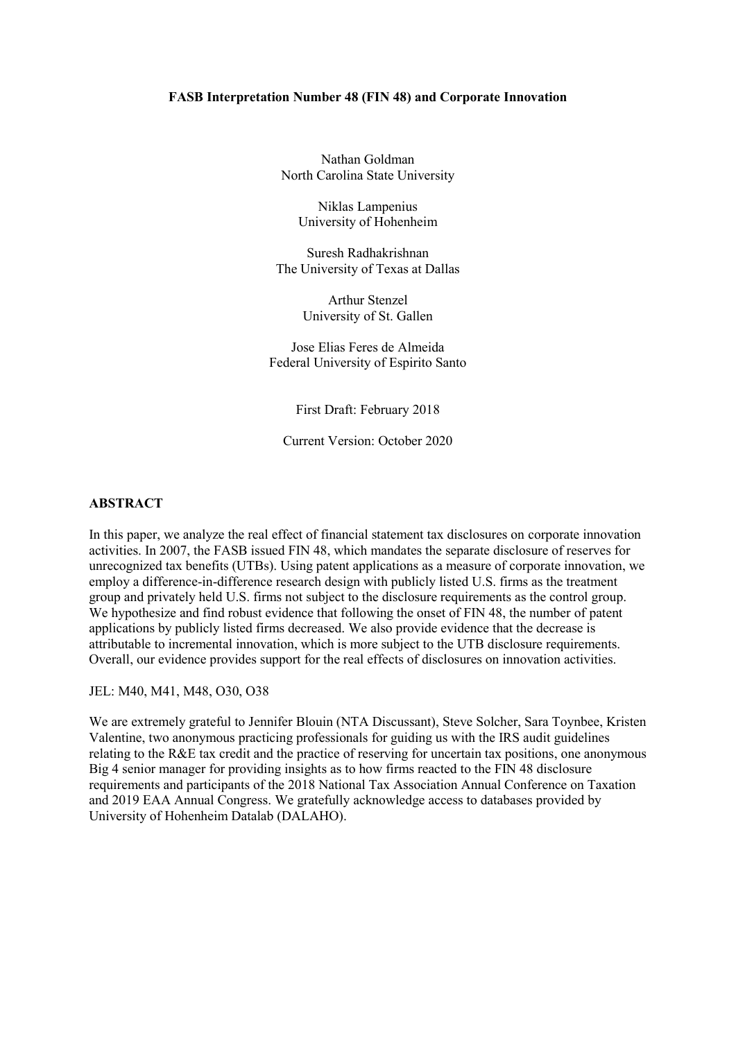### **FASB Interpretation Number 48 (FIN 48) and Corporate Innovation**

Nathan Goldman North Carolina State University

Niklas Lampenius University of Hohenheim

Suresh Radhakrishnan The University of Texas at Dallas

> Arthur Stenzel University of St. Gallen

Jose Elias Feres de Almeida Federal University of Espirito Santo

First Draft: February 2018

Current Version: October 2020

### **ABSTRACT**

In this paper, we analyze the real effect of financial statement tax disclosures on corporate innovation activities. In 2007, the FASB issued FIN 48, which mandates the separate disclosure of reserves for unrecognized tax benefits (UTBs). Using patent applications as a measure of corporate innovation, we employ a difference-in-difference research design with publicly listed U.S. firms as the treatment group and privately held U.S. firms not subject to the disclosure requirements as the control group. We hypothesize and find robust evidence that following the onset of FIN 48, the number of patent applications by publicly listed firms decreased. We also provide evidence that the decrease is attributable to incremental innovation, which is more subject to the UTB disclosure requirements. Overall, our evidence provides support for the real effects of disclosures on innovation activities.

JEL: M40, M41, M48, O30, O38

We are extremely grateful to Jennifer Blouin (NTA Discussant), Steve Solcher, Sara Toynbee, Kristen Valentine, two anonymous practicing professionals for guiding us with the IRS audit guidelines relating to the R&E tax credit and the practice of reserving for uncertain tax positions, one anonymous Big 4 senior manager for providing insights as to how firms reacted to the FIN 48 disclosure requirements and participants of the 2018 National Tax Association Annual Conference on Taxation and 2019 EAA Annual Congress. We gratefully acknowledge access to databases provided by University of Hohenheim Datalab (DALAHO).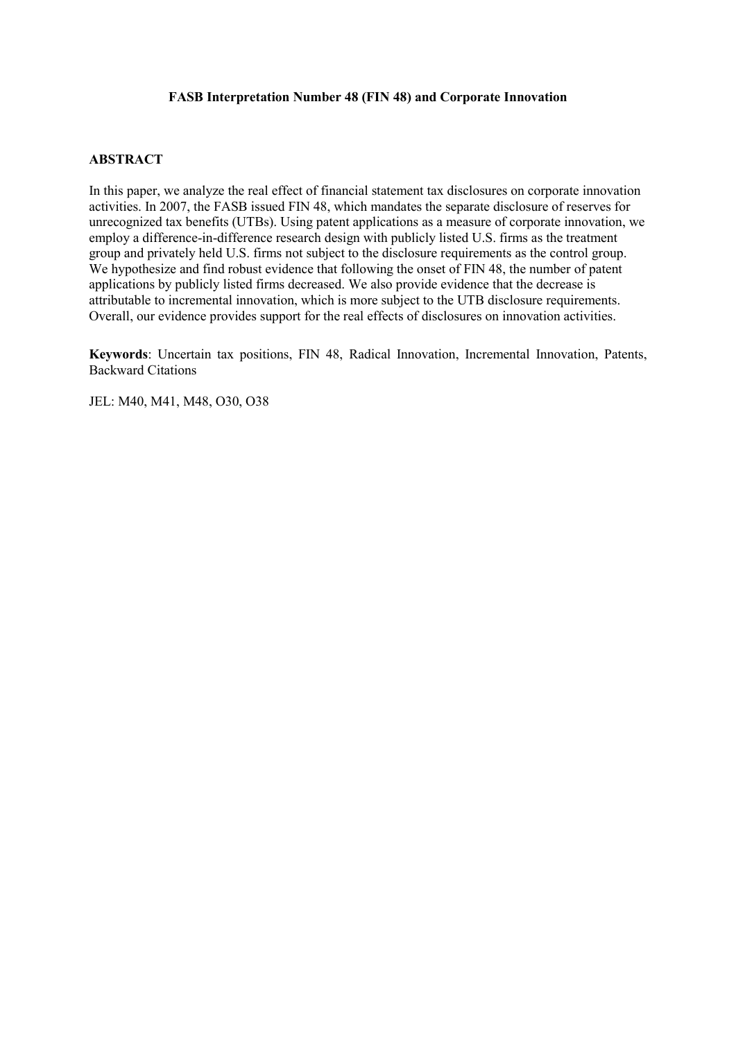### **FASB Interpretation Number 48 (FIN 48) and Corporate Innovation**

### **ABSTRACT**

In this paper, we analyze the real effect of financial statement tax disclosures on corporate innovation activities. In 2007, the FASB issued FIN 48, which mandates the separate disclosure of reserves for unrecognized tax benefits (UTBs). Using patent applications as a measure of corporate innovation, we employ a difference-in-difference research design with publicly listed U.S. firms as the treatment group and privately held U.S. firms not subject to the disclosure requirements as the control group. We hypothesize and find robust evidence that following the onset of FIN 48, the number of patent applications by publicly listed firms decreased. We also provide evidence that the decrease is attributable to incremental innovation, which is more subject to the UTB disclosure requirements. Overall, our evidence provides support for the real effects of disclosures on innovation activities.

**Keywords**: Uncertain tax positions, FIN 48, Radical Innovation, Incremental Innovation, Patents, Backward Citations

JEL: M40, M41, M48, O30, O38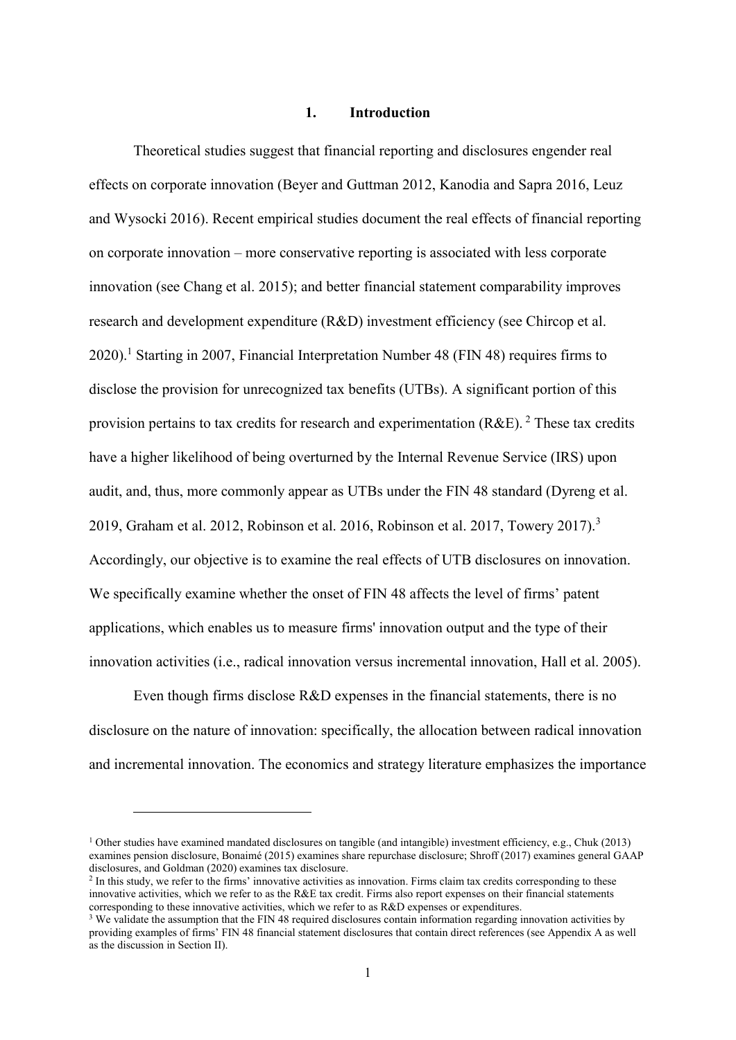### **1. Introduction**

Theoretical studies suggest that financial reporting and disclosures engender real effects on corporate innovation (Beyer and Guttman 2012, Kanodia and Sapra 2016, Leuz and Wysocki 2016). Recent empirical studies document the real effects of financial reporting on corporate innovation – more conservative reporting is associated with less corporate innovation (see Chang et al. 2015); and better financial statement comparability improves research and development expenditure (R&D) investment efficiency (see Chircop et al.  $2020$ .<sup>1</sup> Starting in 2007, Financial Interpretation Number 48 (FIN 48) requires firms to disclose the provision for unrecognized tax benefits (UTBs). A significant portion of this provision pertains to tax credits for research and experimentation  $(RAE)$ . <sup>2</sup> These tax credits have a higher likelihood of being overturned by the Internal Revenue Service (IRS) upon audit, and, thus, more commonly appear as UTBs under the FIN 48 standard (Dyreng et al. 2019, Graham et al. 2012, Robinson et al. 2016, Robinson et al. 2017, Towery 2017).<sup>3</sup> Accordingly, our objective is to examine the real effects of UTB disclosures on innovation. We specifically examine whether the onset of FIN 48 affects the level of firms' patent applications, which enables us to measure firms' innovation output and the type of their innovation activities (i.e., radical innovation versus incremental innovation, Hall et al. 2005).

Even though firms disclose R&D expenses in the financial statements, there is no disclosure on the nature of innovation: specifically, the allocation between radical innovation and incremental innovation. The economics and strategy literature emphasizes the importance

<sup>&</sup>lt;sup>1</sup> Other studies have examined mandated disclosures on tangible (and intangible) investment efficiency, e.g., Chuk (2013) examines pension disclosure, Bonaimé (2015) examines share repurchase disclosure; Shroff (2017) examines general GAAP disclosures, and Goldman (2020) examines tax disclosure.

 $2$  In this study, we refer to the firms' innovative activities as innovation. Firms claim tax credits corresponding to these innovative activities, which we refer to as the R&E tax credit. Firms also report expenses on their financial statements corresponding to these innovative activities, which we refer to as R&D expenses or expenditures.

<sup>&</sup>lt;sup>3</sup> We validate the assumption that the FIN 48 required disclosures contain information regarding innovation activities by providing examples of firms' FIN 48 financial statement disclosures that contain direct references (see Appendix A as well as the discussion in Section II).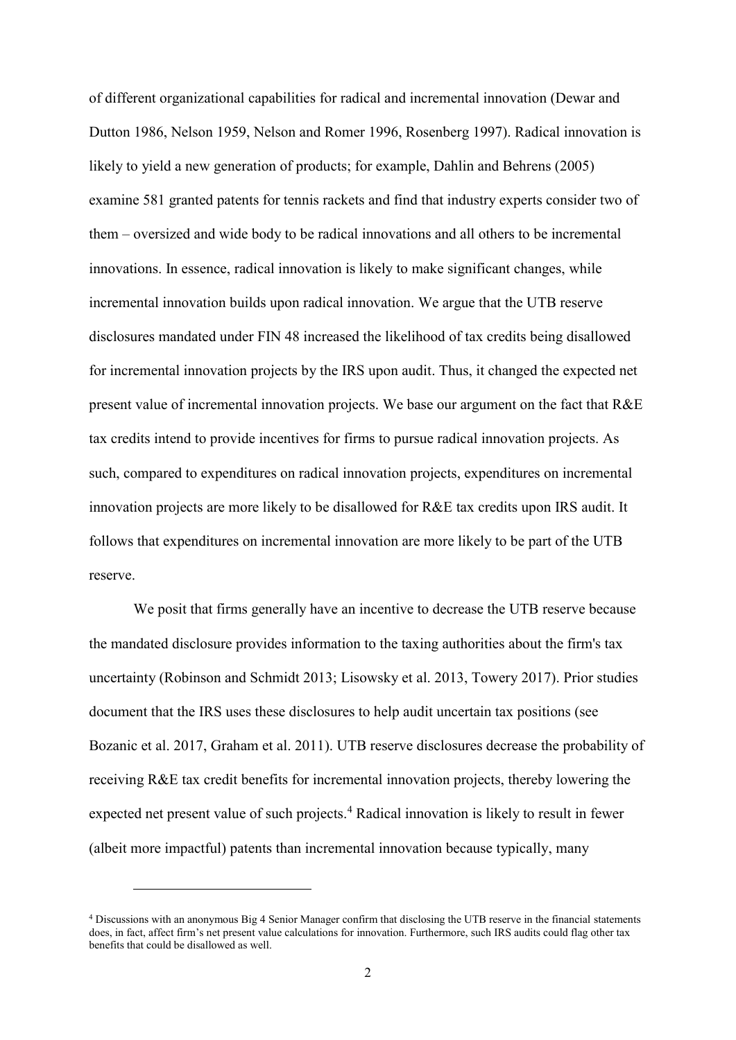of different organizational capabilities for radical and incremental innovation (Dewar and Dutton 1986, Nelson 1959, Nelson and Romer 1996, Rosenberg 1997). Radical innovation is likely to yield a new generation of products; for example, Dahlin and Behrens (2005) examine 581 granted patents for tennis rackets and find that industry experts consider two of them – oversized and wide body to be radical innovations and all others to be incremental innovations. In essence, radical innovation is likely to make significant changes, while incremental innovation builds upon radical innovation. We argue that the UTB reserve disclosures mandated under FIN 48 increased the likelihood of tax credits being disallowed for incremental innovation projects by the IRS upon audit. Thus, it changed the expected net present value of incremental innovation projects. We base our argument on the fact that R&E tax credits intend to provide incentives for firms to pursue radical innovation projects. As such, compared to expenditures on radical innovation projects, expenditures on incremental innovation projects are more likely to be disallowed for R&E tax credits upon IRS audit. It follows that expenditures on incremental innovation are more likely to be part of the UTB reserve.

We posit that firms generally have an incentive to decrease the UTB reserve because the mandated disclosure provides information to the taxing authorities about the firm's tax uncertainty (Robinson and Schmidt 2013; Lisowsky et al. 2013, Towery 2017). Prior studies document that the IRS uses these disclosures to help audit uncertain tax positions (see Bozanic et al. 2017, Graham et al. 2011). UTB reserve disclosures decrease the probability of receiving R&E tax credit benefits for incremental innovation projects, thereby lowering the expected net present value of such projects.<sup>4</sup> Radical innovation is likely to result in fewer (albeit more impactful) patents than incremental innovation because typically, many

<sup>4</sup> Discussions with an anonymous Big 4 Senior Manager confirm that disclosing the UTB reserve in the financial statements does, in fact, affect firm's net present value calculations for innovation. Furthermore, such IRS audits could flag other tax benefits that could be disallowed as well.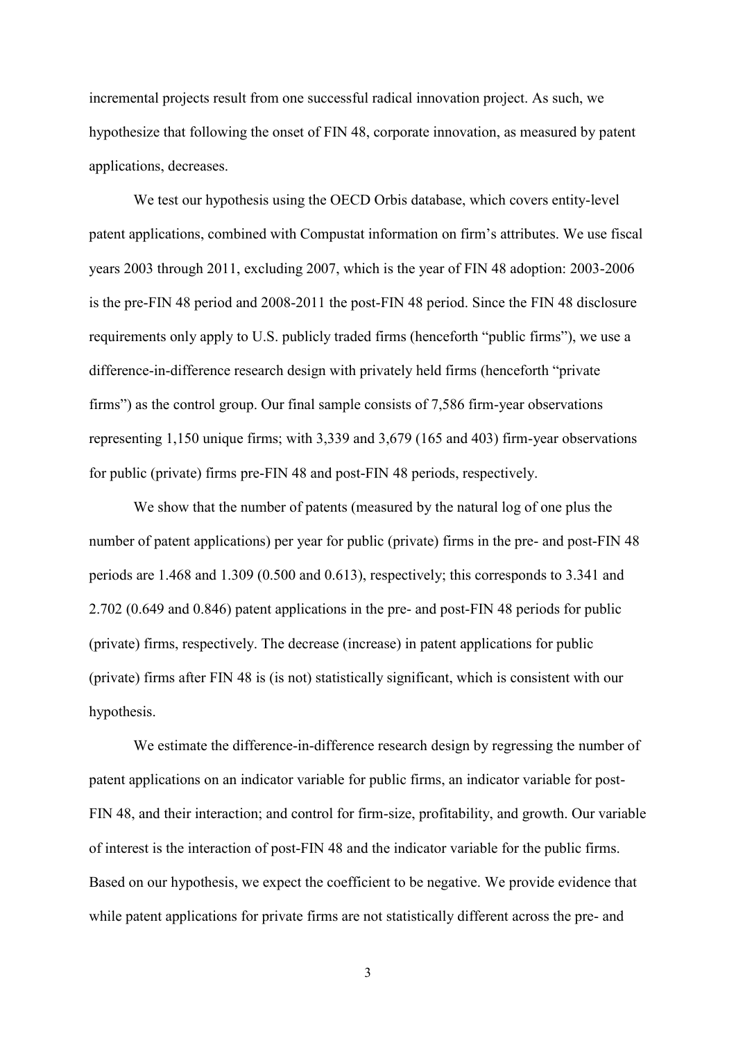incremental projects result from one successful radical innovation project. As such, we hypothesize that following the onset of FIN 48, corporate innovation, as measured by patent applications, decreases.

We test our hypothesis using the OECD Orbis database, which covers entity-level patent applications, combined with Compustat information on firm's attributes. We use fiscal years 2003 through 2011, excluding 2007, which is the year of FIN 48 adoption: 2003-2006 is the pre-FIN 48 period and 2008-2011 the post-FIN 48 period. Since the FIN 48 disclosure requirements only apply to U.S. publicly traded firms (henceforth "public firms"), we use a difference-in-difference research design with privately held firms (henceforth "private firms") as the control group. Our final sample consists of 7,586 firm-year observations representing 1,150 unique firms; with 3,339 and 3,679 (165 and 403) firm-year observations for public (private) firms pre-FIN 48 and post-FIN 48 periods, respectively.

We show that the number of patents (measured by the natural log of one plus the number of patent applications) per year for public (private) firms in the pre- and post-FIN 48 periods are 1.468 and 1.309 (0.500 and 0.613), respectively; this corresponds to 3.341 and 2.702 (0.649 and 0.846) patent applications in the pre- and post-FIN 48 periods for public (private) firms, respectively. The decrease (increase) in patent applications for public (private) firms after FIN 48 is (is not) statistically significant, which is consistent with our hypothesis.

We estimate the difference-in-difference research design by regressing the number of patent applications on an indicator variable for public firms, an indicator variable for post-FIN 48, and their interaction; and control for firm-size, profitability, and growth. Our variable of interest is the interaction of post-FIN 48 and the indicator variable for the public firms. Based on our hypothesis, we expect the coefficient to be negative. We provide evidence that while patent applications for private firms are not statistically different across the pre- and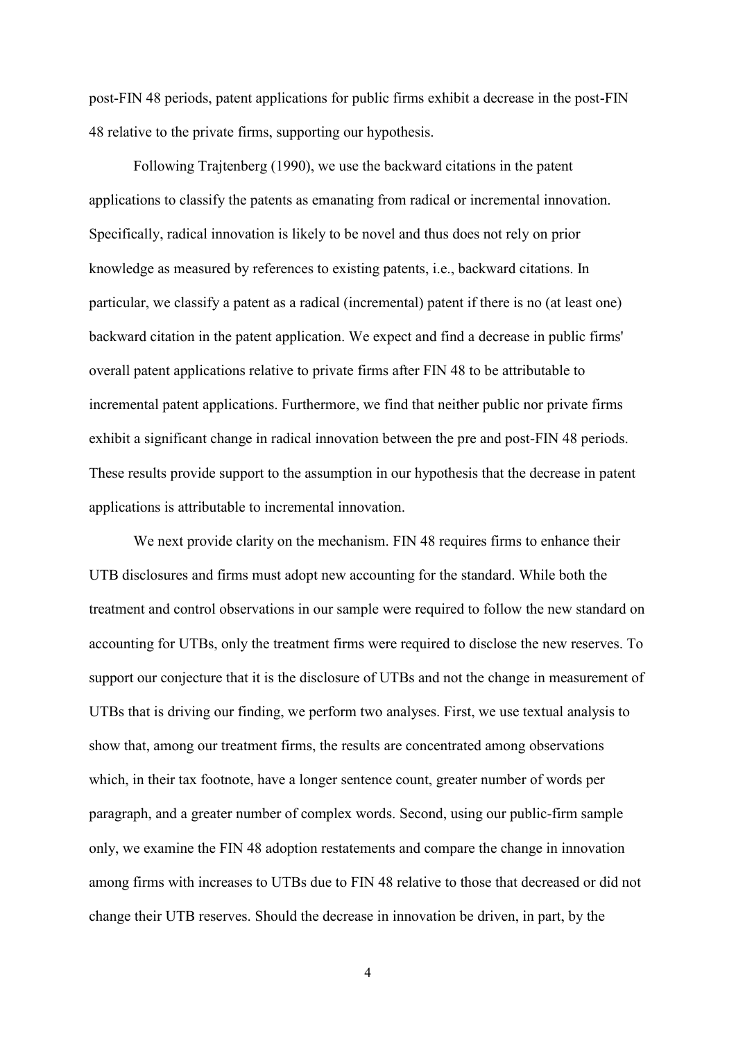post-FIN 48 periods, patent applications for public firms exhibit a decrease in the post-FIN 48 relative to the private firms, supporting our hypothesis.

Following Trajtenberg (1990), we use the backward citations in the patent applications to classify the patents as emanating from radical or incremental innovation. Specifically, radical innovation is likely to be novel and thus does not rely on prior knowledge as measured by references to existing patents, i.e., backward citations. In particular, we classify a patent as a radical (incremental) patent if there is no (at least one) backward citation in the patent application. We expect and find a decrease in public firms' overall patent applications relative to private firms after FIN 48 to be attributable to incremental patent applications. Furthermore, we find that neither public nor private firms exhibit a significant change in radical innovation between the pre and post-FIN 48 periods. These results provide support to the assumption in our hypothesis that the decrease in patent applications is attributable to incremental innovation.

We next provide clarity on the mechanism. FIN 48 requires firms to enhance their UTB disclosures and firms must adopt new accounting for the standard. While both the treatment and control observations in our sample were required to follow the new standard on accounting for UTBs, only the treatment firms were required to disclose the new reserves. To support our conjecture that it is the disclosure of UTBs and not the change in measurement of UTBs that is driving our finding, we perform two analyses. First, we use textual analysis to show that, among our treatment firms, the results are concentrated among observations which, in their tax footnote, have a longer sentence count, greater number of words per paragraph, and a greater number of complex words. Second, using our public-firm sample only, we examine the FIN 48 adoption restatements and compare the change in innovation among firms with increases to UTBs due to FIN 48 relative to those that decreased or did not change their UTB reserves. Should the decrease in innovation be driven, in part, by the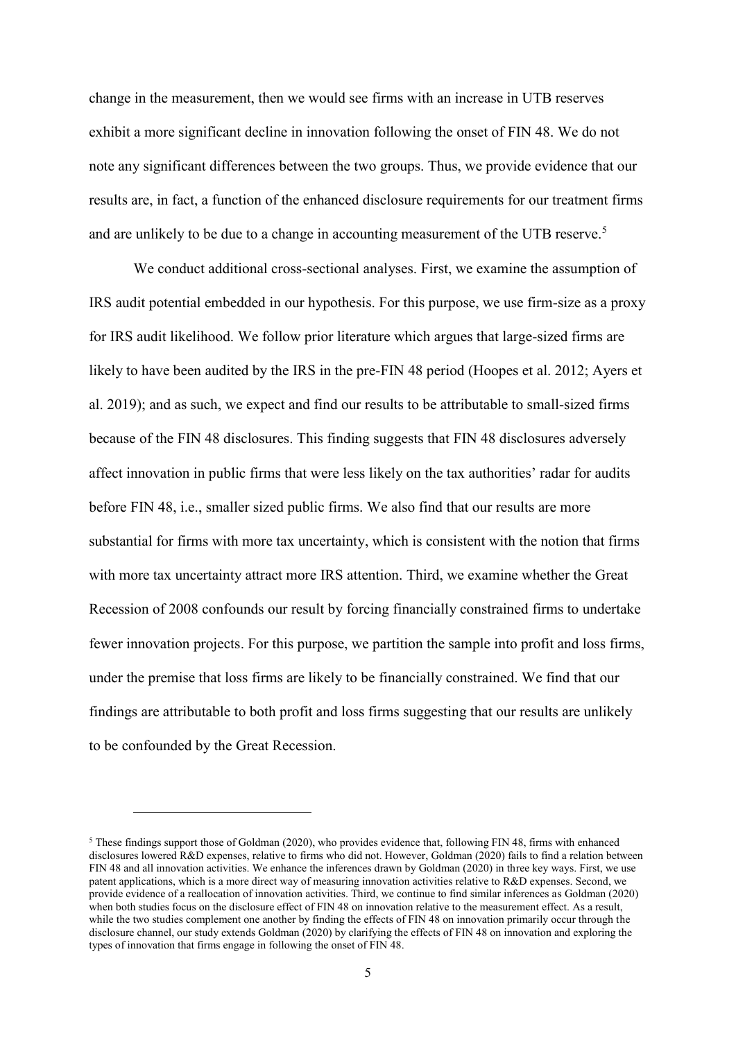change in the measurement, then we would see firms with an increase in UTB reserves exhibit a more significant decline in innovation following the onset of FIN 48. We do not note any significant differences between the two groups. Thus, we provide evidence that our results are, in fact, a function of the enhanced disclosure requirements for our treatment firms and are unlikely to be due to a change in accounting measurement of the UTB reserve.<sup>5</sup>

We conduct additional cross-sectional analyses. First, we examine the assumption of IRS audit potential embedded in our hypothesis. For this purpose, we use firm-size as a proxy for IRS audit likelihood. We follow prior literature which argues that large-sized firms are likely to have been audited by the IRS in the pre-FIN 48 period (Hoopes et al. 2012; Ayers et al. 2019); and as such, we expect and find our results to be attributable to small-sized firms because of the FIN 48 disclosures. This finding suggests that FIN 48 disclosures adversely affect innovation in public firms that were less likely on the tax authorities' radar for audits before FIN 48, i.e., smaller sized public firms. We also find that our results are more substantial for firms with more tax uncertainty, which is consistent with the notion that firms with more tax uncertainty attract more IRS attention. Third, we examine whether the Great Recession of 2008 confounds our result by forcing financially constrained firms to undertake fewer innovation projects. For this purpose, we partition the sample into profit and loss firms, under the premise that loss firms are likely to be financially constrained. We find that our findings are attributable to both profit and loss firms suggesting that our results are unlikely to be confounded by the Great Recession.

<sup>5</sup> These findings support those of Goldman (2020), who provides evidence that, following FIN 48, firms with enhanced disclosures lowered R&D expenses, relative to firms who did not. However, Goldman (2020) fails to find a relation between FIN 48 and all innovation activities. We enhance the inferences drawn by Goldman (2020) in three key ways. First, we use patent applications, which is a more direct way of measuring innovation activities relative to R&D expenses. Second, we provide evidence of a reallocation of innovation activities. Third, we continue to find similar inferences as Goldman (2020) when both studies focus on the disclosure effect of FIN 48 on innovation relative to the measurement effect. As a result, while the two studies complement one another by finding the effects of FIN 48 on innovation primarily occur through the disclosure channel, our study extends Goldman (2020) by clarifying the effects of FIN 48 on innovation and exploring the types of innovation that firms engage in following the onset of FIN 48.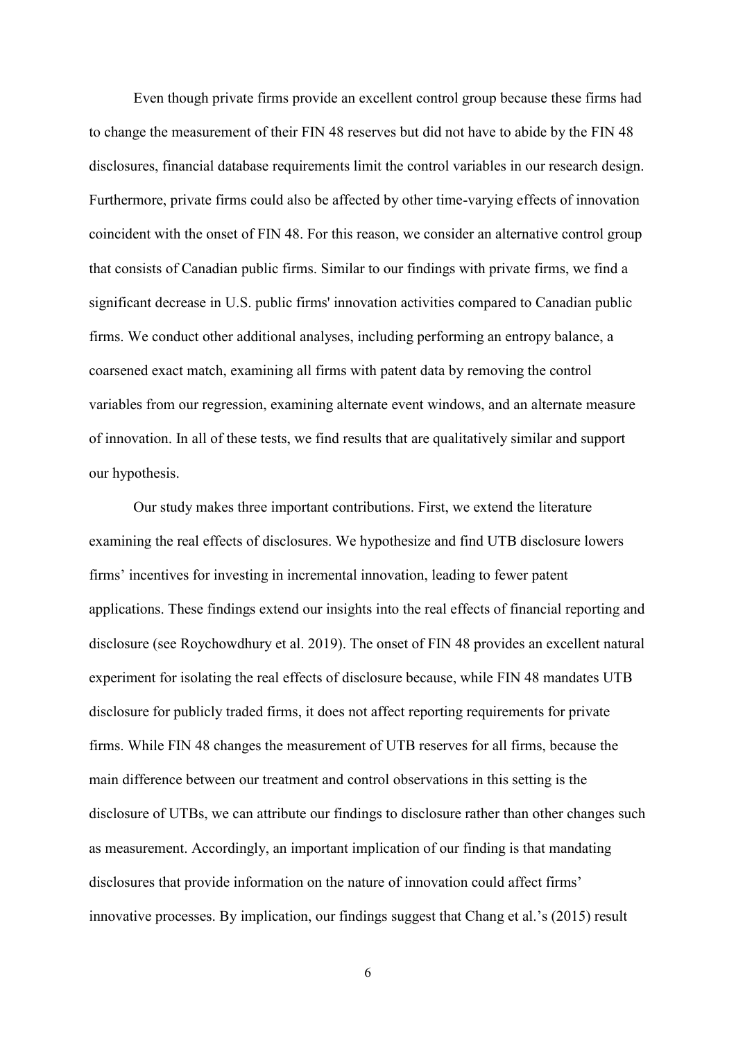Even though private firms provide an excellent control group because these firms had to change the measurement of their FIN 48 reserves but did not have to abide by the FIN 48 disclosures, financial database requirements limit the control variables in our research design. Furthermore, private firms could also be affected by other time-varying effects of innovation coincident with the onset of FIN 48. For this reason, we consider an alternative control group that consists of Canadian public firms. Similar to our findings with private firms, we find a significant decrease in U.S. public firms' innovation activities compared to Canadian public firms. We conduct other additional analyses, including performing an entropy balance, a coarsened exact match, examining all firms with patent data by removing the control variables from our regression, examining alternate event windows, and an alternate measure of innovation. In all of these tests, we find results that are qualitatively similar and support our hypothesis.

Our study makes three important contributions. First, we extend the literature examining the real effects of disclosures. We hypothesize and find UTB disclosure lowers firms' incentives for investing in incremental innovation, leading to fewer patent applications. These findings extend our insights into the real effects of financial reporting and disclosure (see Roychowdhury et al. 2019). The onset of FIN 48 provides an excellent natural experiment for isolating the real effects of disclosure because, while FIN 48 mandates UTB disclosure for publicly traded firms, it does not affect reporting requirements for private firms. While FIN 48 changes the measurement of UTB reserves for all firms, because the main difference between our treatment and control observations in this setting is the disclosure of UTBs, we can attribute our findings to disclosure rather than other changes such as measurement. Accordingly, an important implication of our finding is that mandating disclosures that provide information on the nature of innovation could affect firms' innovative processes. By implication, our findings suggest that Chang et al.'s (2015) result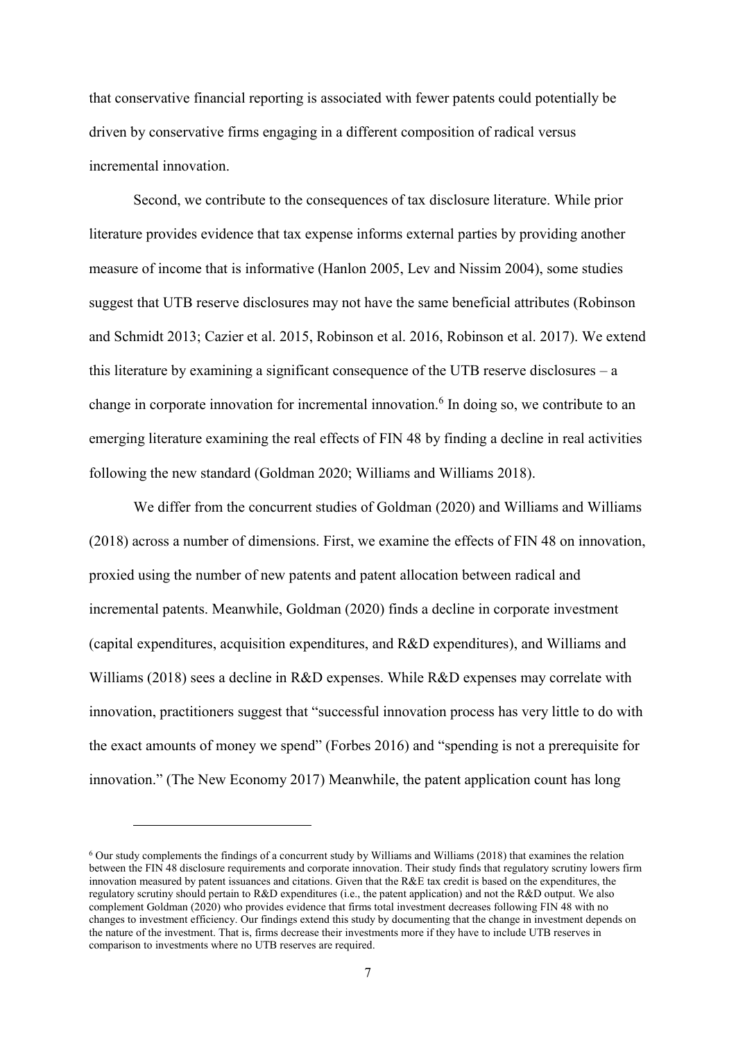that conservative financial reporting is associated with fewer patents could potentially be driven by conservative firms engaging in a different composition of radical versus incremental innovation.

Second, we contribute to the consequences of tax disclosure literature. While prior literature provides evidence that tax expense informs external parties by providing another measure of income that is informative (Hanlon 2005, Lev and Nissim 2004), some studies suggest that UTB reserve disclosures may not have the same beneficial attributes (Robinson and Schmidt 2013; Cazier et al. 2015, Robinson et al. 2016, Robinson et al. 2017). We extend this literature by examining a significant consequence of the UTB reserve disclosures – a change in corporate innovation for incremental innovation.<sup>6</sup> In doing so, we contribute to an emerging literature examining the real effects of FIN 48 by finding a decline in real activities following the new standard (Goldman 2020; Williams and Williams 2018).

We differ from the concurrent studies of Goldman (2020) and Williams and Williams (2018) across a number of dimensions. First, we examine the effects of FIN 48 on innovation, proxied using the number of new patents and patent allocation between radical and incremental patents. Meanwhile, Goldman (2020) finds a decline in corporate investment (capital expenditures, acquisition expenditures, and R&D expenditures), and Williams and Williams (2018) sees a decline in R&D expenses. While R&D expenses may correlate with innovation, practitioners suggest that "successful innovation process has very little to do with the exact amounts of money we spend" (Forbes 2016) and "spending is not a prerequisite for innovation." (The New Economy 2017) Meanwhile, the patent application count has long

<sup>6</sup> Our study complements the findings of a concurrent study by Williams and Williams (2018) that examines the relation between the FIN 48 disclosure requirements and corporate innovation. Their study finds that regulatory scrutiny lowers firm innovation measured by patent issuances and citations. Given that the R&E tax credit is based on the expenditures, the regulatory scrutiny should pertain to R&D expenditures (i.e., the patent application) and not the R&D output. We also complement Goldman (2020) who provides evidence that firms total investment decreases following FIN 48 with no changes to investment efficiency. Our findings extend this study by documenting that the change in investment depends on the nature of the investment. That is, firms decrease their investments more if they have to include UTB reserves in comparison to investments where no UTB reserves are required.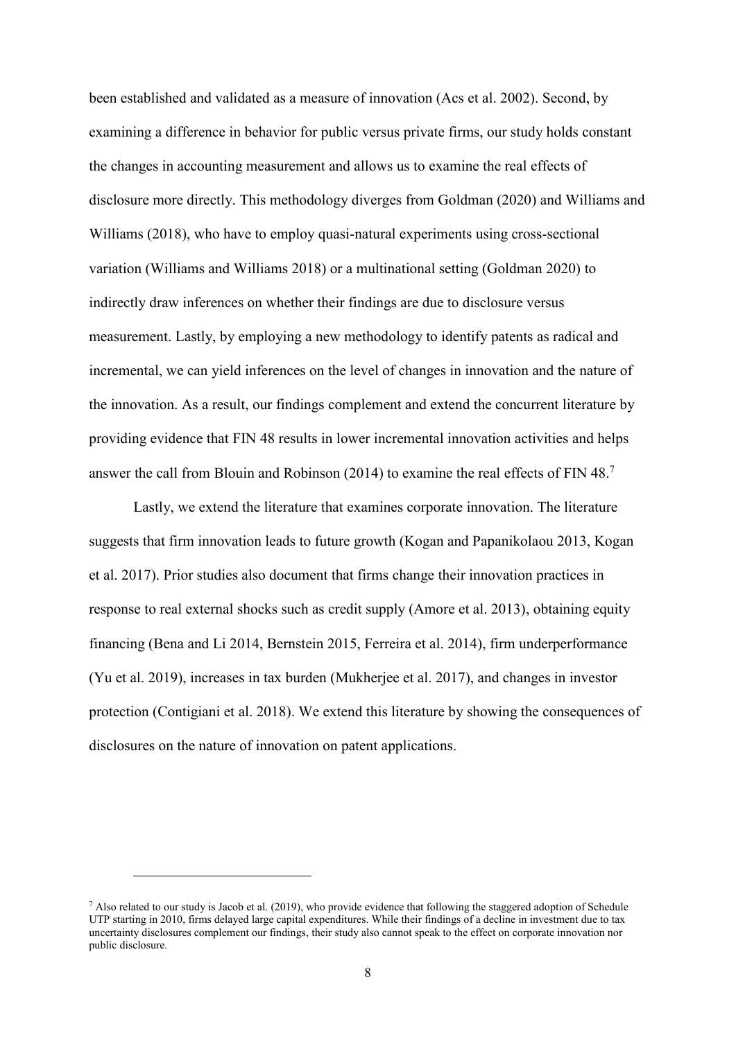been established and validated as a measure of innovation (Acs et al. 2002). Second, by examining a difference in behavior for public versus private firms, our study holds constant the changes in accounting measurement and allows us to examine the real effects of disclosure more directly. This methodology diverges from Goldman (2020) and Williams and Williams (2018), who have to employ quasi-natural experiments using cross-sectional variation (Williams and Williams 2018) or a multinational setting (Goldman 2020) to indirectly draw inferences on whether their findings are due to disclosure versus measurement. Lastly, by employing a new methodology to identify patents as radical and incremental, we can yield inferences on the level of changes in innovation and the nature of the innovation. As a result, our findings complement and extend the concurrent literature by providing evidence that FIN 48 results in lower incremental innovation activities and helps answer the call from Blouin and Robinson (2014) to examine the real effects of FIN 48.<sup>7</sup>

Lastly, we extend the literature that examines corporate innovation. The literature suggests that firm innovation leads to future growth (Kogan and Papanikolaou 2013, Kogan et al. 2017). Prior studies also document that firms change their innovation practices in response to real external shocks such as credit supply (Amore et al. 2013), obtaining equity financing (Bena and Li 2014, Bernstein 2015, Ferreira et al. 2014), firm underperformance (Yu et al. 2019), increases in tax burden (Mukherjee et al. 2017), and changes in investor protection (Contigiani et al. 2018). We extend this literature by showing the consequences of disclosures on the nature of innovation on patent applications.

 $7$  Also related to our study is Jacob et al. (2019), who provide evidence that following the staggered adoption of Schedule UTP starting in 2010, firms delayed large capital expenditures. While their findings of a decline in investment due to tax uncertainty disclosures complement our findings, their study also cannot speak to the effect on corporate innovation nor public disclosure.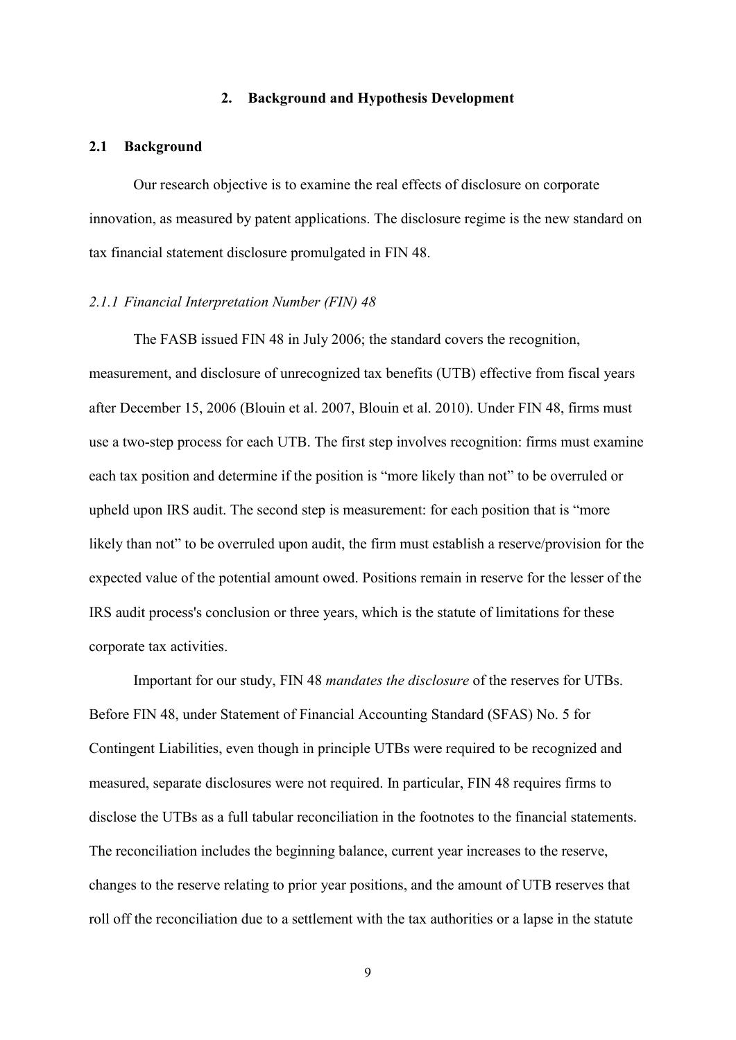### **2. Background and Hypothesis Development**

### **2.1 Background**

Our research objective is to examine the real effects of disclosure on corporate innovation, as measured by patent applications. The disclosure regime is the new standard on tax financial statement disclosure promulgated in FIN 48.

#### *2.1.1 Financial Interpretation Number (FIN) 48*

The FASB issued FIN 48 in July 2006; the standard covers the recognition, measurement, and disclosure of unrecognized tax benefits (UTB) effective from fiscal years after December 15, 2006 (Blouin et al. 2007, Blouin et al. 2010). Under FIN 48, firms must use a two-step process for each UTB. The first step involves recognition: firms must examine each tax position and determine if the position is "more likely than not" to be overruled or upheld upon IRS audit. The second step is measurement: for each position that is "more likely than not" to be overruled upon audit, the firm must establish a reserve/provision for the expected value of the potential amount owed. Positions remain in reserve for the lesser of the IRS audit process's conclusion or three years, which is the statute of limitations for these corporate tax activities.

Important for our study, FIN 48 *mandates the disclosure* of the reserves for UTBs. Before FIN 48, under Statement of Financial Accounting Standard (SFAS) No. 5 for Contingent Liabilities, even though in principle UTBs were required to be recognized and measured, separate disclosures were not required. In particular, FIN 48 requires firms to disclose the UTBs as a full tabular reconciliation in the footnotes to the financial statements. The reconciliation includes the beginning balance, current year increases to the reserve, changes to the reserve relating to prior year positions, and the amount of UTB reserves that roll off the reconciliation due to a settlement with the tax authorities or a lapse in the statute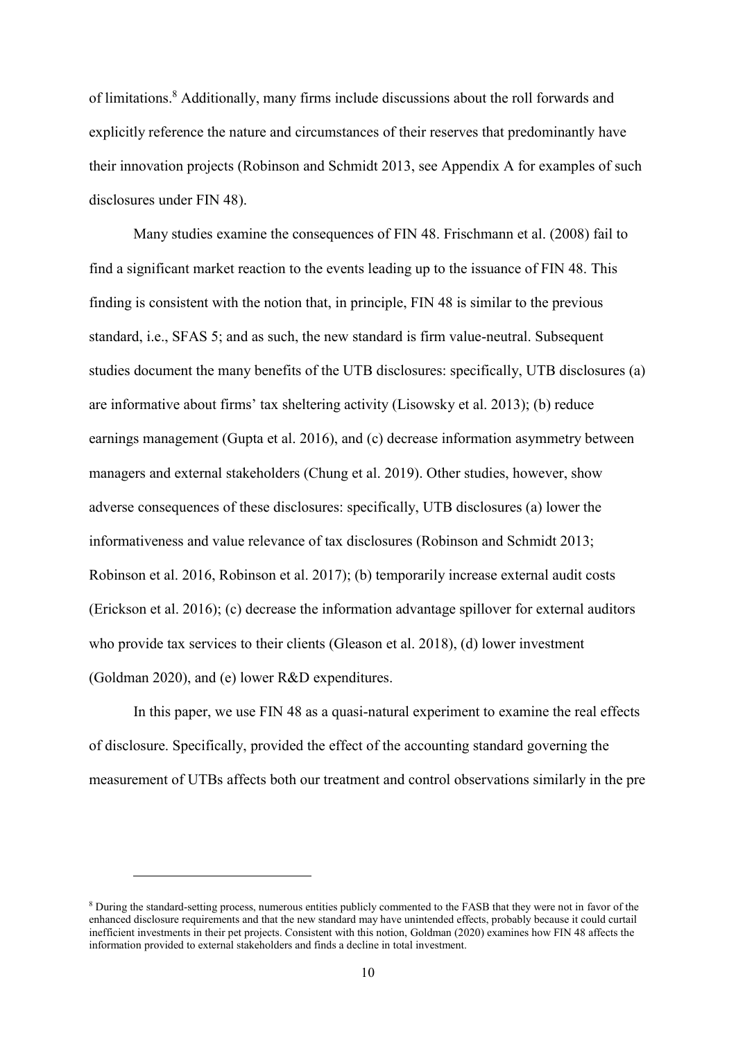of limitations.<sup>8</sup> Additionally, many firms include discussions about the roll forwards and explicitly reference the nature and circumstances of their reserves that predominantly have their innovation projects (Robinson and Schmidt 2013, see Appendix A for examples of such disclosures under FIN 48).

Many studies examine the consequences of FIN 48. Frischmann et al. (2008) fail to find a significant market reaction to the events leading up to the issuance of FIN 48. This finding is consistent with the notion that, in principle, FIN 48 is similar to the previous standard, i.e., SFAS 5; and as such, the new standard is firm value-neutral. Subsequent studies document the many benefits of the UTB disclosures: specifically, UTB disclosures (a) are informative about firms' tax sheltering activity (Lisowsky et al. 2013); (b) reduce earnings management (Gupta et al. 2016), and (c) decrease information asymmetry between managers and external stakeholders (Chung et al. 2019). Other studies, however, show adverse consequences of these disclosures: specifically, UTB disclosures (a) lower the informativeness and value relevance of tax disclosures (Robinson and Schmidt 2013; Robinson et al. 2016, Robinson et al. 2017); (b) temporarily increase external audit costs (Erickson et al. 2016); (c) decrease the information advantage spillover for external auditors who provide tax services to their clients (Gleason et al. 2018), (d) lower investment (Goldman 2020), and (e) lower R&D expenditures.

In this paper, we use FIN 48 as a quasi-natural experiment to examine the real effects of disclosure. Specifically, provided the effect of the accounting standard governing the measurement of UTBs affects both our treatment and control observations similarly in the pre

<sup>8</sup> During the standard-setting process, numerous entities publicly commented to the FASB that they were not in favor of the enhanced disclosure requirements and that the new standard may have unintended effects, probably because it could curtail inefficient investments in their pet projects. Consistent with this notion, Goldman (2020) examines how FIN 48 affects the information provided to external stakeholders and finds a decline in total investment.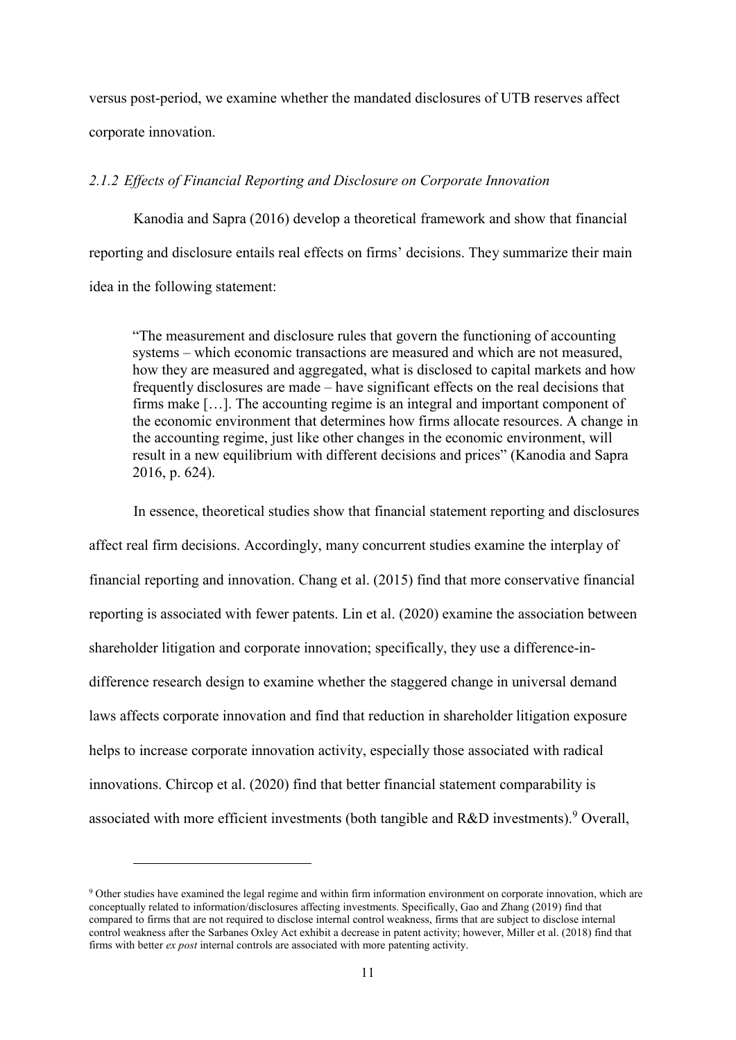versus post-period, we examine whether the mandated disclosures of UTB reserves affect corporate innovation.

## *2.1.2 Effects of Financial Reporting and Disclosure on Corporate Innovation*

Kanodia and Sapra (2016) develop a theoretical framework and show that financial reporting and disclosure entails real effects on firms' decisions. They summarize their main idea in the following statement:

"The measurement and disclosure rules that govern the functioning of accounting systems – which economic transactions are measured and which are not measured, how they are measured and aggregated, what is disclosed to capital markets and how frequently disclosures are made – have significant effects on the real decisions that firms make […]. The accounting regime is an integral and important component of the economic environment that determines how firms allocate resources. A change in the accounting regime, just like other changes in the economic environment, will result in a new equilibrium with different decisions and prices" (Kanodia and Sapra 2016, p. 624).

In essence, theoretical studies show that financial statement reporting and disclosures affect real firm decisions. Accordingly, many concurrent studies examine the interplay of financial reporting and innovation. Chang et al. (2015) find that more conservative financial reporting is associated with fewer patents. Lin et al. (2020) examine the association between shareholder litigation and corporate innovation; specifically, they use a difference-indifference research design to examine whether the staggered change in universal demand laws affects corporate innovation and find that reduction in shareholder litigation exposure helps to increase corporate innovation activity, especially those associated with radical innovations. Chircop et al. (2020) find that better financial statement comparability is associated with more efficient investments (both tangible and R&D investments).<sup>9</sup> Overall,

<sup>9</sup> Other studies have examined the legal regime and within firm information environment on corporate innovation, which are conceptually related to information/disclosures affecting investments. Specifically, Gao and Zhang (2019) find that compared to firms that are not required to disclose internal control weakness, firms that are subject to disclose internal control weakness after the Sarbanes Oxley Act exhibit a decrease in patent activity; however, Miller et al. (2018) find that firms with better *ex post* internal controls are associated with more patenting activity.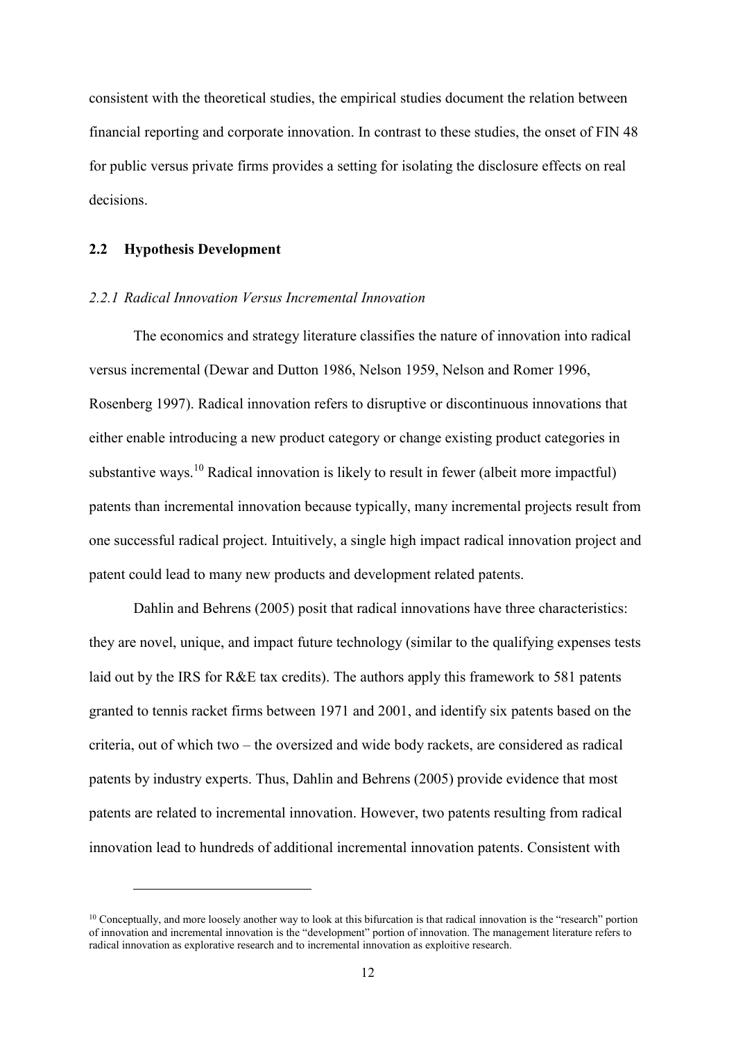consistent with the theoretical studies, the empirical studies document the relation between financial reporting and corporate innovation. In contrast to these studies, the onset of FIN 48 for public versus private firms provides a setting for isolating the disclosure effects on real decisions.

### **2.2 Hypothesis Development**

<u>.</u>

### *2.2.1 Radical Innovation Versus Incremental Innovation*

The economics and strategy literature classifies the nature of innovation into radical versus incremental (Dewar and Dutton 1986, Nelson 1959, Nelson and Romer 1996, Rosenberg 1997). Radical innovation refers to disruptive or discontinuous innovations that either enable introducing a new product category or change existing product categories in substantive ways.<sup>10</sup> Radical innovation is likely to result in fewer (albeit more impactful) patents than incremental innovation because typically, many incremental projects result from one successful radical project. Intuitively, a single high impact radical innovation project and patent could lead to many new products and development related patents.

Dahlin and Behrens (2005) posit that radical innovations have three characteristics: they are novel, unique, and impact future technology (similar to the qualifying expenses tests laid out by the IRS for R&E tax credits). The authors apply this framework to 581 patents granted to tennis racket firms between 1971 and 2001, and identify six patents based on the criteria, out of which two – the oversized and wide body rackets, are considered as radical patents by industry experts. Thus, Dahlin and Behrens (2005) provide evidence that most patents are related to incremental innovation. However, two patents resulting from radical innovation lead to hundreds of additional incremental innovation patents. Consistent with

<sup>&</sup>lt;sup>10</sup> Conceptually, and more loosely another way to look at this bifurcation is that radical innovation is the "research" portion of innovation and incremental innovation is the "development" portion of innovation. The management literature refers to radical innovation as explorative research and to incremental innovation as exploitive research.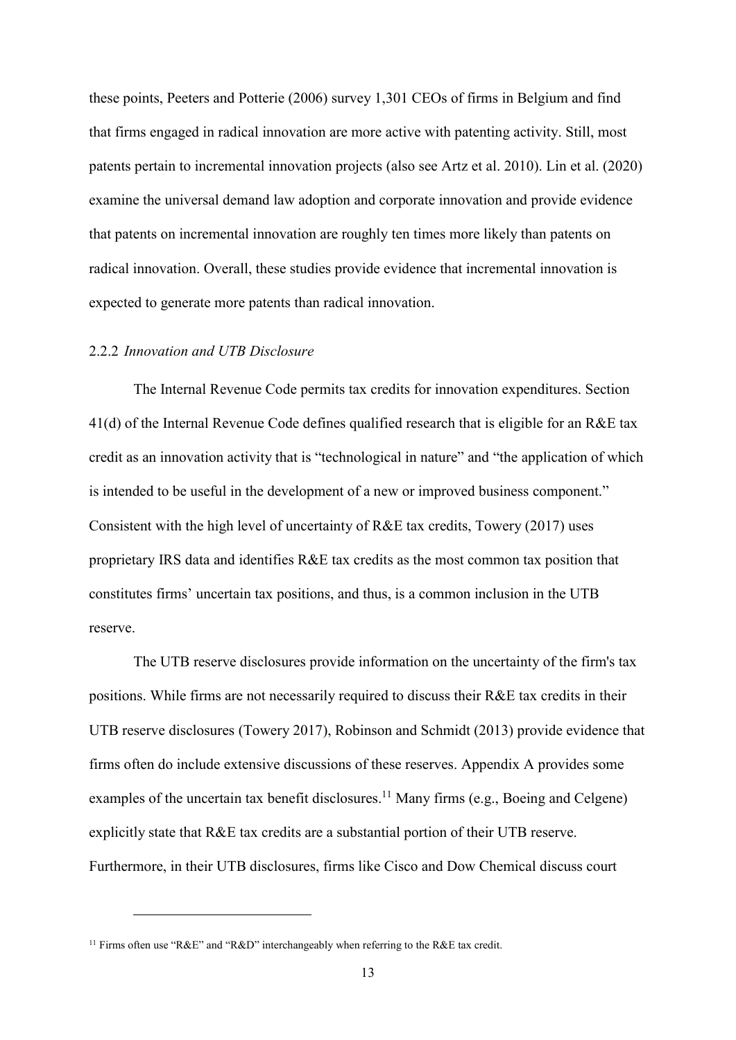these points, Peeters and Potterie (2006) survey 1,301 CEOs of firms in Belgium and find that firms engaged in radical innovation are more active with patenting activity. Still, most patents pertain to incremental innovation projects (also see Artz et al. 2010). Lin et al. (2020) examine the universal demand law adoption and corporate innovation and provide evidence that patents on incremental innovation are roughly ten times more likely than patents on radical innovation. Overall, these studies provide evidence that incremental innovation is expected to generate more patents than radical innovation.

# 2.2.2 *Innovation and UTB Disclosure*

The Internal Revenue Code permits tax credits for innovation expenditures. Section 41(d) of the Internal Revenue Code defines qualified research that is eligible for an R&E tax credit as an innovation activity that is "technological in nature" and "the application of which is intended to be useful in the development of a new or improved business component." Consistent with the high level of uncertainty of R&E tax credits, Towery (2017) uses proprietary IRS data and identifies R&E tax credits as the most common tax position that constitutes firms' uncertain tax positions, and thus, is a common inclusion in the UTB reserve.

The UTB reserve disclosures provide information on the uncertainty of the firm's tax positions. While firms are not necessarily required to discuss their R&E tax credits in their UTB reserve disclosures (Towery 2017), Robinson and Schmidt (2013) provide evidence that firms often do include extensive discussions of these reserves. Appendix A provides some examples of the uncertain tax benefit disclosures.<sup>11</sup> Many firms (e.g., Boeing and Celgene) explicitly state that R&E tax credits are a substantial portion of their UTB reserve. Furthermore, in their UTB disclosures, firms like Cisco and Dow Chemical discuss court

<sup>&</sup>lt;sup>11</sup> Firms often use "R&E" and "R&D" interchangeably when referring to the R&E tax credit.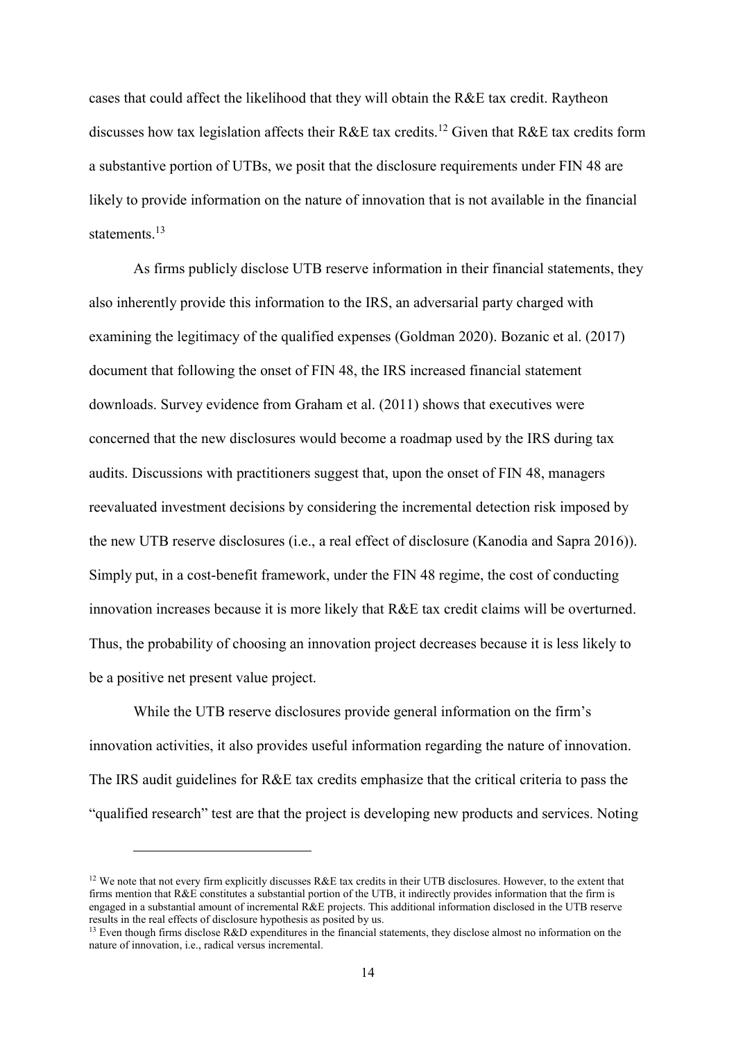cases that could affect the likelihood that they will obtain the R&E tax credit. Raytheon discusses how tax legislation affects their R&E tax credits.<sup>12</sup> Given that R&E tax credits form a substantive portion of UTBs, we posit that the disclosure requirements under FIN 48 are likely to provide information on the nature of innovation that is not available in the financial statements.<sup>13</sup>

As firms publicly disclose UTB reserve information in their financial statements, they also inherently provide this information to the IRS, an adversarial party charged with examining the legitimacy of the qualified expenses (Goldman 2020). Bozanic et al. (2017) document that following the onset of FIN 48, the IRS increased financial statement downloads. Survey evidence from Graham et al. (2011) shows that executives were concerned that the new disclosures would become a roadmap used by the IRS during tax audits. Discussions with practitioners suggest that, upon the onset of FIN 48, managers reevaluated investment decisions by considering the incremental detection risk imposed by the new UTB reserve disclosures (i.e., a real effect of disclosure (Kanodia and Sapra 2016)). Simply put, in a cost-benefit framework, under the FIN 48 regime, the cost of conducting innovation increases because it is more likely that R&E tax credit claims will be overturned. Thus, the probability of choosing an innovation project decreases because it is less likely to be a positive net present value project.

While the UTB reserve disclosures provide general information on the firm's innovation activities, it also provides useful information regarding the nature of innovation. The IRS audit guidelines for R&E tax credits emphasize that the critical criteria to pass the "qualified research" test are that the project is developing new products and services. Noting

<sup>&</sup>lt;sup>12</sup> We note that not every firm explicitly discusses R&E tax credits in their UTB disclosures. However, to the extent that firms mention that R&E constitutes a substantial portion of the UTB, it indirectly provides information that the firm is engaged in a substantial amount of incremental R&E projects. This additional information disclosed in the UTB reserve results in the real effects of disclosure hypothesis as posited by us.

<sup>&</sup>lt;sup>13</sup> Even though firms disclose R&D expenditures in the financial statements, they disclose almost no information on the nature of innovation, i.e., radical versus incremental.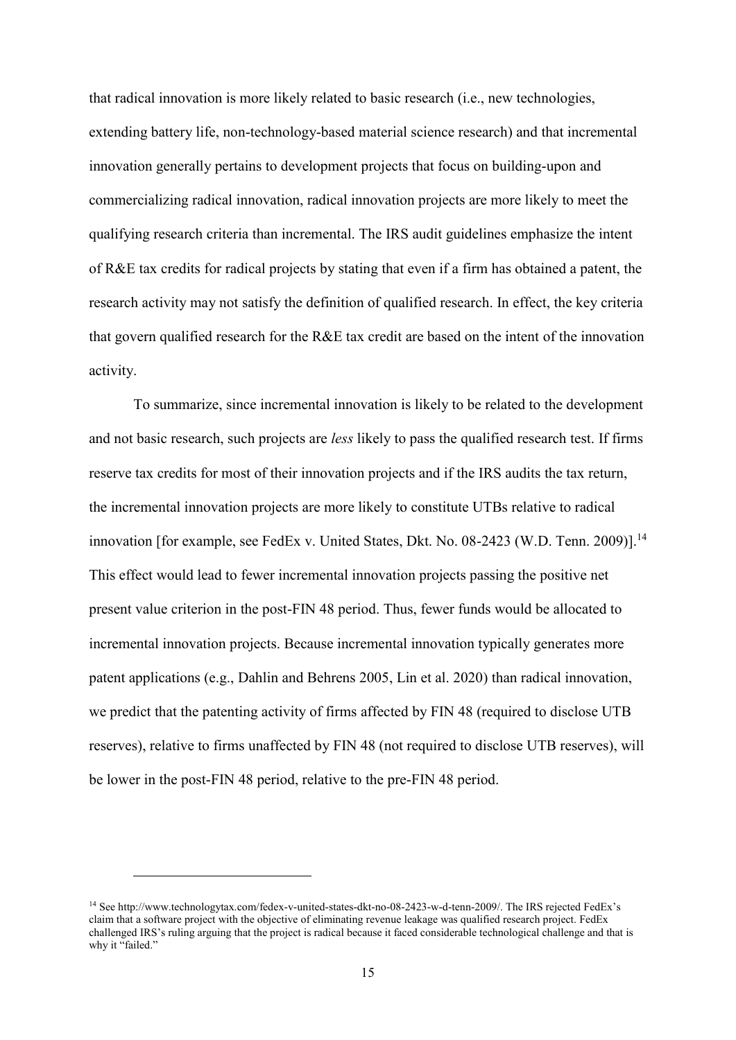that radical innovation is more likely related to basic research (i.e., new technologies, extending battery life, non-technology-based material science research) and that incremental innovation generally pertains to development projects that focus on building-upon and commercializing radical innovation, radical innovation projects are more likely to meet the qualifying research criteria than incremental. The IRS audit guidelines emphasize the intent of R&E tax credits for radical projects by stating that even if a firm has obtained a patent, the research activity may not satisfy the definition of qualified research. In effect, the key criteria that govern qualified research for the R&E tax credit are based on the intent of the innovation activity.

To summarize, since incremental innovation is likely to be related to the development and not basic research, such projects are *less* likely to pass the qualified research test. If firms reserve tax credits for most of their innovation projects and if the IRS audits the tax return, the incremental innovation projects are more likely to constitute UTBs relative to radical innovation [for example, see FedEx v. United States, Dkt. No. 08-2423 (W.D. Tenn. 2009)].<sup>14</sup> This effect would lead to fewer incremental innovation projects passing the positive net present value criterion in the post-FIN 48 period. Thus, fewer funds would be allocated to incremental innovation projects. Because incremental innovation typically generates more patent applications (e.g., Dahlin and Behrens 2005, Lin et al. 2020) than radical innovation, we predict that the patenting activity of firms affected by FIN 48 (required to disclose UTB reserves), relative to firms unaffected by FIN 48 (not required to disclose UTB reserves), will be lower in the post-FIN 48 period, relative to the pre-FIN 48 period.

<sup>14</sup> Se[e http://www.technologytax.com/fedex-v-united-states-dkt-no-08-2423-w-d-tenn-2009/](http://www.technologytax.com/fedex-v-united-states-dkt-no-08-2423-w-d-tenn-2009/). The IRS rejected FedEx's claim that a software project with the objective of eliminating revenue leakage was qualified research project. FedEx challenged IRS's ruling arguing that the project is radical because it faced considerable technological challenge and that is why it "failed."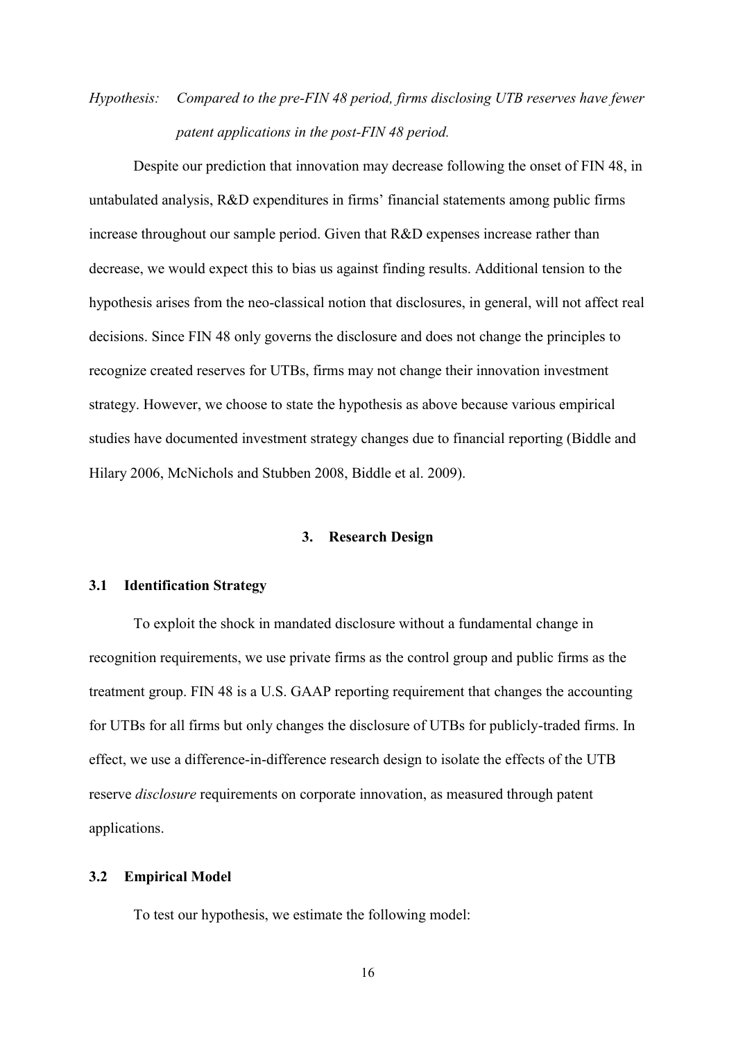# *Hypothesis: Compared to the pre-FIN 48 period, firms disclosing UTB reserves have fewer patent applications in the post-FIN 48 period.*

Despite our prediction that innovation may decrease following the onset of FIN 48, in untabulated analysis, R&D expenditures in firms' financial statements among public firms increase throughout our sample period. Given that R&D expenses increase rather than decrease, we would expect this to bias us against finding results. Additional tension to the hypothesis arises from the neo-classical notion that disclosures, in general, will not affect real decisions. Since FIN 48 only governs the disclosure and does not change the principles to recognize created reserves for UTBs, firms may not change their innovation investment strategy. However, we choose to state the hypothesis as above because various empirical studies have documented investment strategy changes due to financial reporting (Biddle and Hilary 2006, McNichols and Stubben 2008, Biddle et al. 2009).

### **3. Research Design**

### **3.1 Identification Strategy**

To exploit the shock in mandated disclosure without a fundamental change in recognition requirements, we use private firms as the control group and public firms as the treatment group. FIN 48 is a U.S. GAAP reporting requirement that changes the accounting for UTBs for all firms but only changes the disclosure of UTBs for publicly-traded firms. In effect, we use a difference-in-difference research design to isolate the effects of the UTB reserve *disclosure* requirements on corporate innovation, as measured through patent applications.

### **3.2 Empirical Model**

To test our hypothesis, we estimate the following model: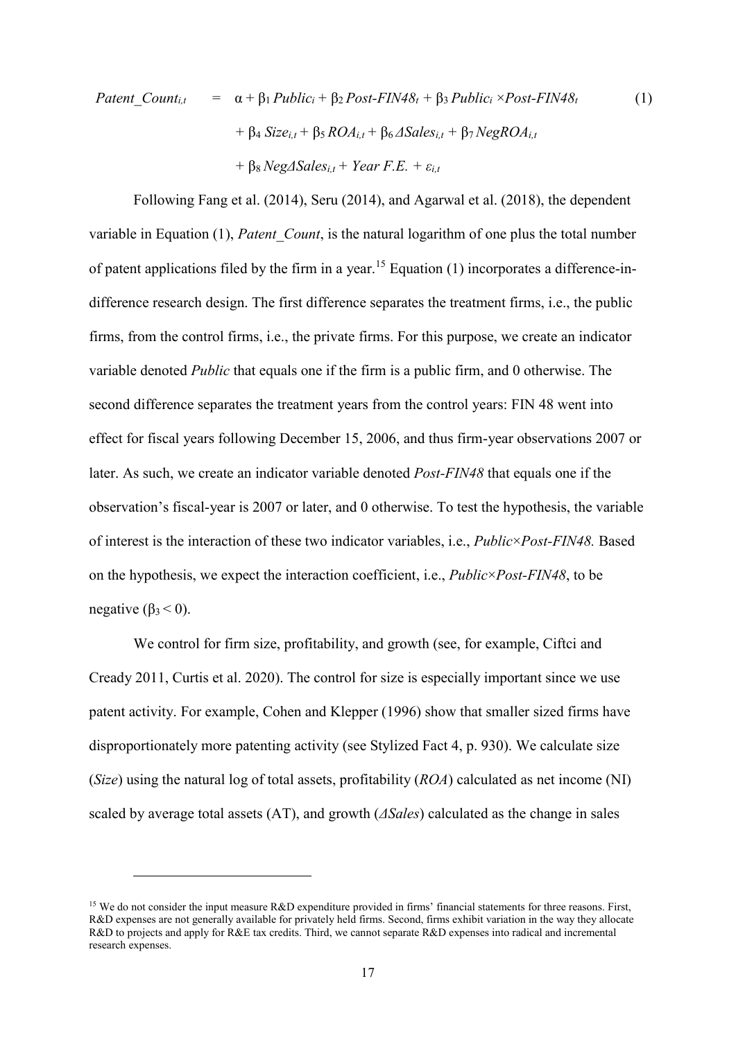$$
Pattern\_Count_{i,t} = \alpha + \beta_1 Public_i + \beta_2 Post-FIN48_t + \beta_3 Public_i \times Post-FIN48_t + \beta_4 Size_{i,t} + \beta_5 ROA_{i,t} + \beta_6 \Delta Sales_{i,t} + \beta_7 NegROA_{i,t} + \beta_8 Neg\Delta Sales_{i,t} + Year F.E. + \varepsilon_{i,t}
$$
\n(1)

Following Fang et al. (2014), Seru (2014), and Agarwal et al. (2018), the dependent variable in Equation (1), *Patent\_Count*, is the natural logarithm of one plus the total number of patent applications filed by the firm in a year.<sup>15</sup> Equation  $(1)$  incorporates a difference-indifference research design. The first difference separates the treatment firms, i.e., the public firms, from the control firms, i.e., the private firms. For this purpose, we create an indicator variable denoted *Public* that equals one if the firm is a public firm, and 0 otherwise. The second difference separates the treatment years from the control years: FIN 48 went into effect for fiscal years following December 15, 2006, and thus firm-year observations 2007 or later. As such, we create an indicator variable denoted *Post-FIN48* that equals one if the observation's fiscal-year is 2007 or later, and 0 otherwise. To test the hypothesis, the variable of interest is the interaction of these two indicator variables, i.e., *Public*×*Post-FIN48.* Based on the hypothesis, we expect the interaction coefficient, i.e., *Public*×*Post-FIN48*, to be negative  $(\beta_3 < 0)$ .

We control for firm size, profitability, and growth (see, for example, Ciftci and Cready 2011, Curtis et al. 2020). The control for size is especially important since we use patent activity. For example, Cohen and Klepper (1996) show that smaller sized firms have disproportionately more patenting activity (see Stylized Fact 4, p. 930). We calculate size (*Size*) using the natural log of total assets, profitability (*ROA*) calculated as net income (NI) scaled by average total assets (AT), and growth (*ΔSales*) calculated as the change in sales

<sup>&</sup>lt;sup>15</sup> We do not consider the input measure R&D expenditure provided in firms' financial statements for three reasons. First, R&D expenses are not generally available for privately held firms. Second, firms exhibit variation in the way they allocate R&D to projects and apply for R&E tax credits. Third, we cannot separate R&D expenses into radical and incremental research expenses.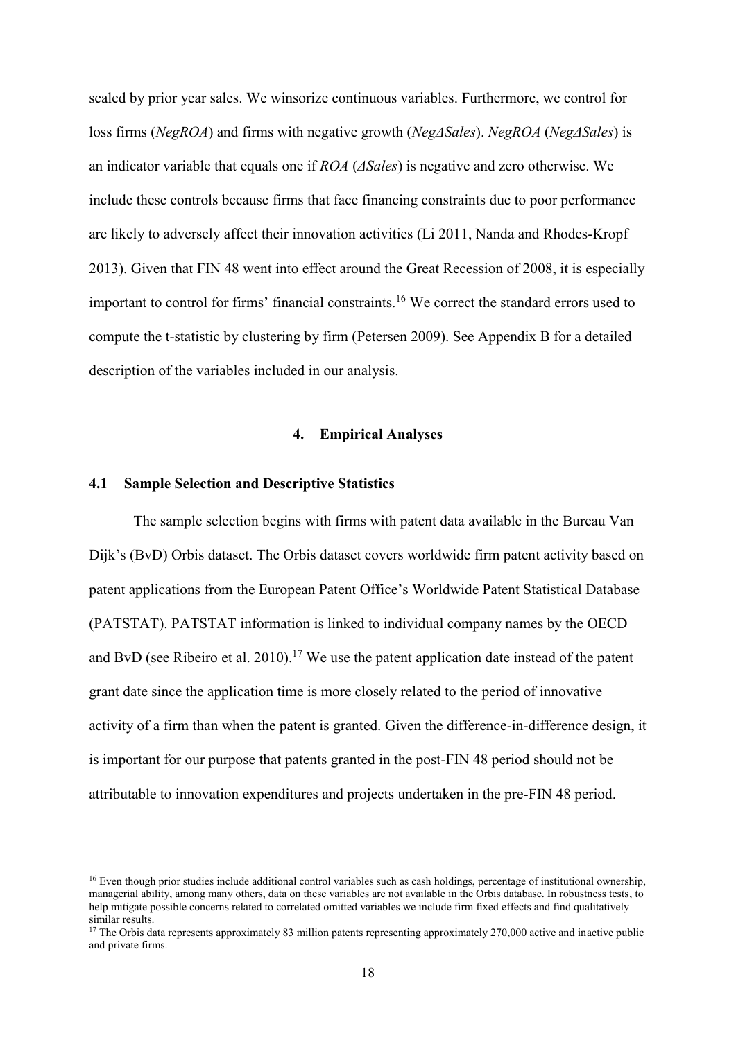scaled by prior year sales. We winsorize continuous variables. Furthermore, we control for loss firms (*NegROA*) and firms with negative growth (*NegΔSales*). *NegROA* (*NegΔSales*) is an indicator variable that equals one if *ROA* (*ΔSales*) is negative and zero otherwise. We include these controls because firms that face financing constraints due to poor performance are likely to adversely affect their innovation activities (Li 2011, Nanda and Rhodes-Kropf 2013). Given that FIN 48 went into effect around the Great Recession of 2008, it is especially important to control for firms' financial constraints.<sup>16</sup> We correct the standard errors used to compute the t-statistic by clustering by firm (Petersen 2009). See Appendix B for a detailed description of the variables included in our analysis.

### **4. Empirical Analyses**

### **4.1 Sample Selection and Descriptive Statistics**

<u>.</u>

The sample selection begins with firms with patent data available in the Bureau Van Dijk's (BvD) Orbis dataset. The Orbis dataset covers worldwide firm patent activity based on patent applications from the European Patent Office's Worldwide Patent Statistical Database (PATSTAT). PATSTAT information is linked to individual company names by the OECD and BvD (see Ribeiro et al. 2010).<sup>17</sup> We use the patent application date instead of the patent grant date since the application time is more closely related to the period of innovative activity of a firm than when the patent is granted. Given the difference-in-difference design, it is important for our purpose that patents granted in the post-FIN 48 period should not be attributable to innovation expenditures and projects undertaken in the pre-FIN 48 period.

<sup>&</sup>lt;sup>16</sup> Even though prior studies include additional control variables such as cash holdings, percentage of institutional ownership, managerial ability, among many others, data on these variables are not available in the Orbis database. In robustness tests, to help mitigate possible concerns related to correlated omitted variables we include firm fixed effects and find qualitatively similar results.

 $17$  The Orbis data represents approximately 83 million patents representing approximately 270,000 active and inactive public and private firms.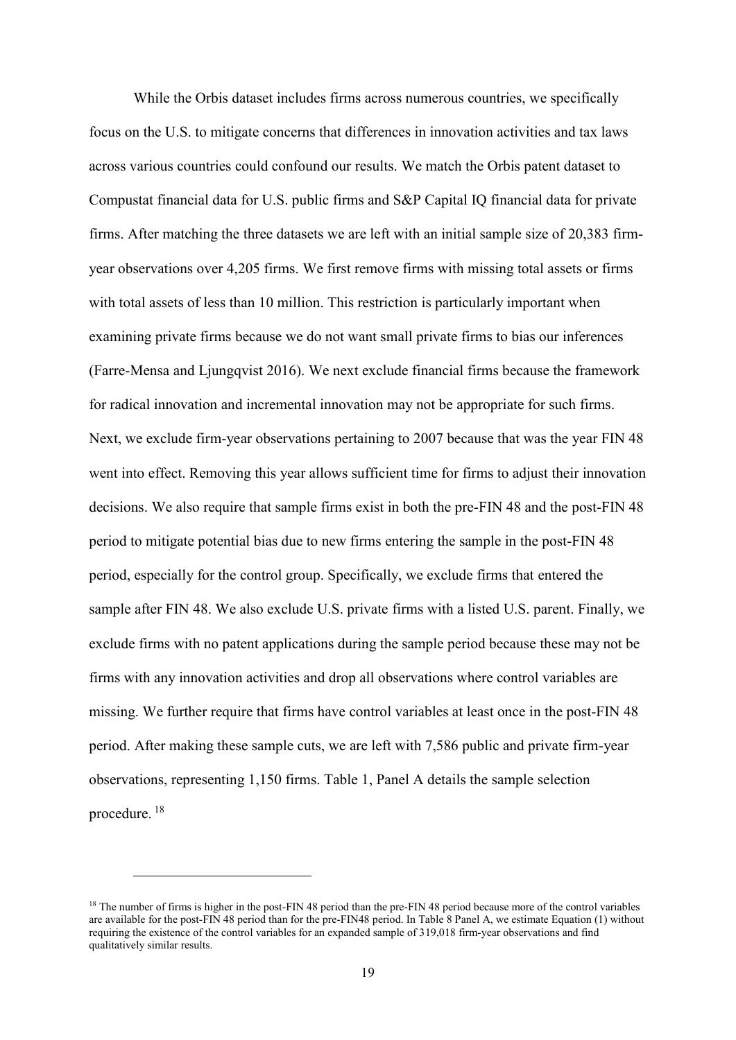While the Orbis dataset includes firms across numerous countries, we specifically focus on the U.S. to mitigate concerns that differences in innovation activities and tax laws across various countries could confound our results. We match the Orbis patent dataset to Compustat financial data for U.S. public firms and S&P Capital IQ financial data for private firms. After matching the three datasets we are left with an initial sample size of 20,383 firmyear observations over 4,205 firms. We first remove firms with missing total assets or firms with total assets of less than 10 million. This restriction is particularly important when examining private firms because we do not want small private firms to bias our inferences (Farre-Mensa and Ljungqvist 2016). We next exclude financial firms because the framework for radical innovation and incremental innovation may not be appropriate for such firms. Next, we exclude firm-year observations pertaining to 2007 because that was the year FIN 48 went into effect. Removing this year allows sufficient time for firms to adjust their innovation decisions. We also require that sample firms exist in both the pre-FIN 48 and the post-FIN 48 period to mitigate potential bias due to new firms entering the sample in the post-FIN 48 period, especially for the control group. Specifically, we exclude firms that entered the sample after FIN 48. We also exclude U.S. private firms with a listed U.S. parent. Finally, we exclude firms with no patent applications during the sample period because these may not be firms with any innovation activities and drop all observations where control variables are missing. We further require that firms have control variables at least once in the post-FIN 48 period. After making these sample cuts, we are left with 7,586 public and private firm-year observations, representing 1,150 firms. Table 1, Panel A details the sample selection procedure. <sup>18</sup>

<sup>&</sup>lt;sup>18</sup> The number of firms is higher in the post-FIN 48 period than the pre-FIN 48 period because more of the control variables are available for the post-FIN 48 period than for the pre-FIN48 period. In Table 8 Panel A, we estimate Equation (1) without requiring the existence of the control variables for an expanded sample of 319,018 firm-year observations and find qualitatively similar results.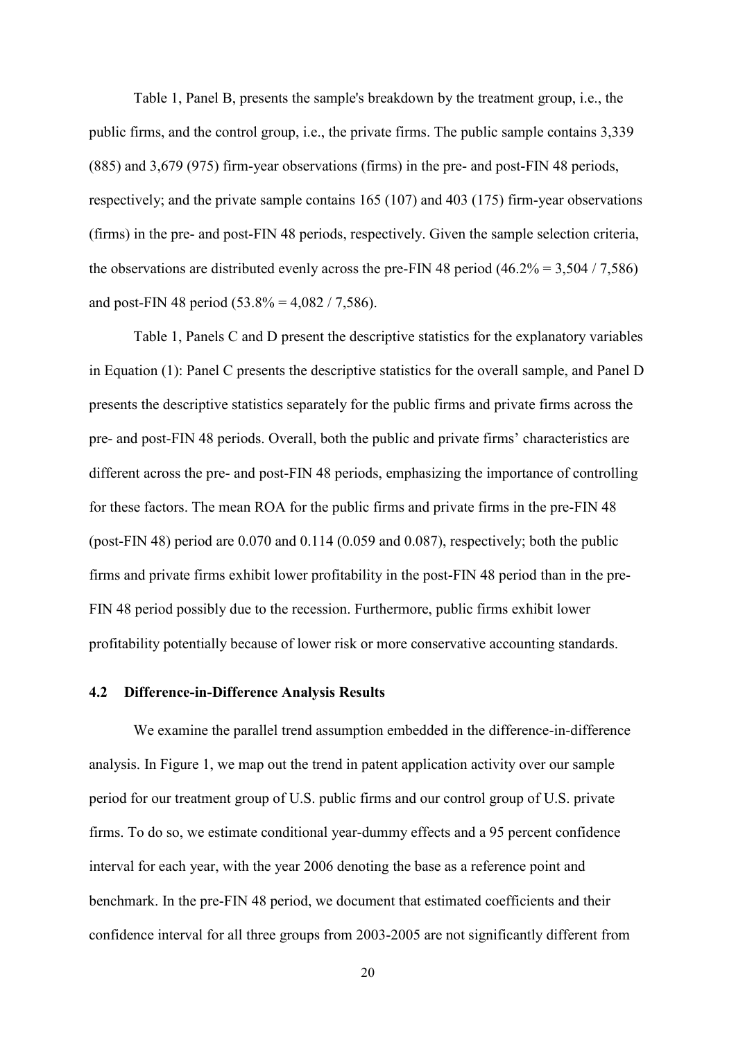Table 1, Panel B, presents the sample's breakdown by the treatment group, i.e., the public firms, and the control group, i.e., the private firms. The public sample contains 3,339 (885) and 3,679 (975) firm-year observations (firms) in the pre- and post-FIN 48 periods, respectively; and the private sample contains 165 (107) and 403 (175) firm-year observations (firms) in the pre- and post-FIN 48 periods, respectively. Given the sample selection criteria, the observations are distributed evenly across the pre-FIN 48 period  $(46.2\% = 3,504 / 7,586)$ and post-FIN 48 period  $(53.8\% = 4.082 / 7.586)$ .

Table 1, Panels C and D present the descriptive statistics for the explanatory variables in Equation (1): Panel C presents the descriptive statistics for the overall sample, and Panel D presents the descriptive statistics separately for the public firms and private firms across the pre- and post-FIN 48 periods. Overall, both the public and private firms' characteristics are different across the pre- and post-FIN 48 periods, emphasizing the importance of controlling for these factors. The mean ROA for the public firms and private firms in the pre-FIN 48 (post-FIN 48) period are 0.070 and 0.114 (0.059 and 0.087), respectively; both the public firms and private firms exhibit lower profitability in the post-FIN 48 period than in the pre-FIN 48 period possibly due to the recession. Furthermore, public firms exhibit lower profitability potentially because of lower risk or more conservative accounting standards.

### **4.2 Difference-in-Difference Analysis Results**

We examine the parallel trend assumption embedded in the difference-in-difference analysis. In Figure 1, we map out the trend in patent application activity over our sample period for our treatment group of U.S. public firms and our control group of U.S. private firms. To do so, we estimate conditional year-dummy effects and a 95 percent confidence interval for each year, with the year 2006 denoting the base as a reference point and benchmark. In the pre-FIN 48 period, we document that estimated coefficients and their confidence interval for all three groups from 2003-2005 are not significantly different from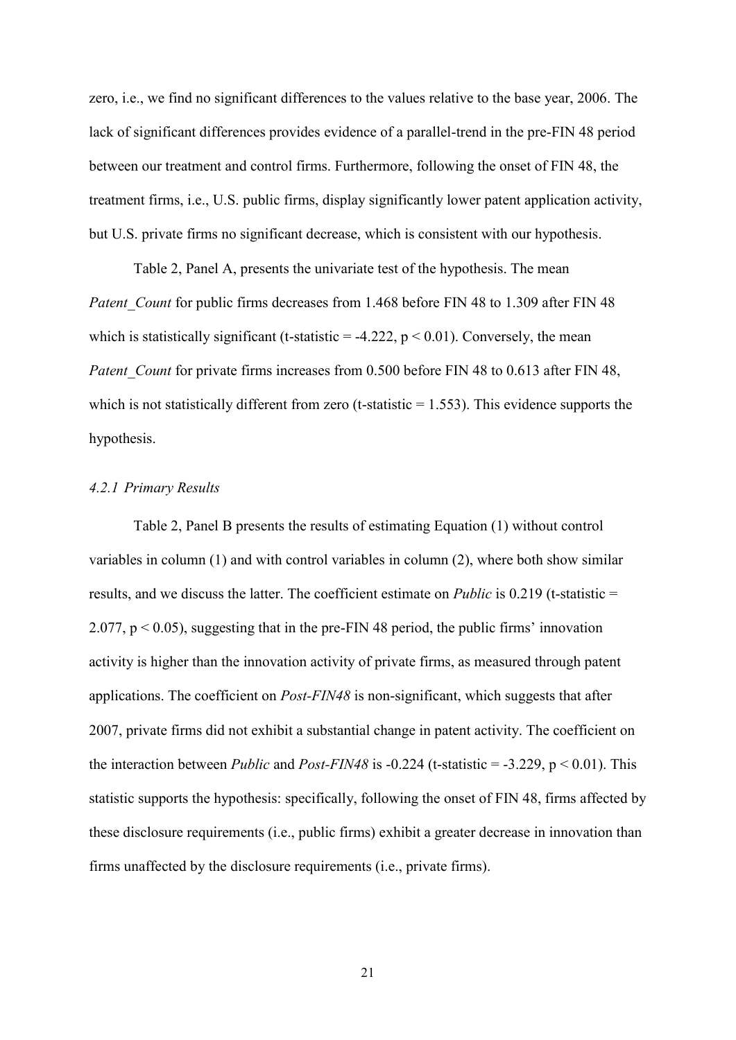zero, i.e., we find no significant differences to the values relative to the base year, 2006. The lack of significant differences provides evidence of a parallel-trend in the pre-FIN 48 period between our treatment and control firms. Furthermore, following the onset of FIN 48, the treatment firms, i.e., U.S. public firms, display significantly lower patent application activity, but U.S. private firms no significant decrease, which is consistent with our hypothesis.

Table 2, Panel A, presents the univariate test of the hypothesis. The mean *Patent Count* for public firms decreases from 1.468 before FIN 48 to 1.309 after FIN 48 which is statistically significant (t-statistic  $= -4.222$ ,  $p < 0.01$ ). Conversely, the mean *Patent Count* for private firms increases from 0.500 before FIN 48 to 0.613 after FIN 48, which is not statistically different from zero (t-statistic  $= 1.553$ ). This evidence supports the hypothesis.

### *4.2.1 Primary Results*

Table 2, Panel B presents the results of estimating Equation (1) without control variables in column (1) and with control variables in column (2), where both show similar results, and we discuss the latter. The coefficient estimate on *Public* is 0.219 (t-statistic = 2.077,  $p < 0.05$ ), suggesting that in the pre-FIN 48 period, the public firms' innovation activity is higher than the innovation activity of private firms, as measured through patent applications. The coefficient on *Post-FIN48* is non-significant, which suggests that after 2007, private firms did not exhibit a substantial change in patent activity. The coefficient on the interaction between *Public* and *Post-FIN48* is -0.224 (t-statistic = -3.229,  $p < 0.01$ ). This statistic supports the hypothesis: specifically, following the onset of FIN 48, firms affected by these disclosure requirements (i.e., public firms) exhibit a greater decrease in innovation than firms unaffected by the disclosure requirements (i.e., private firms).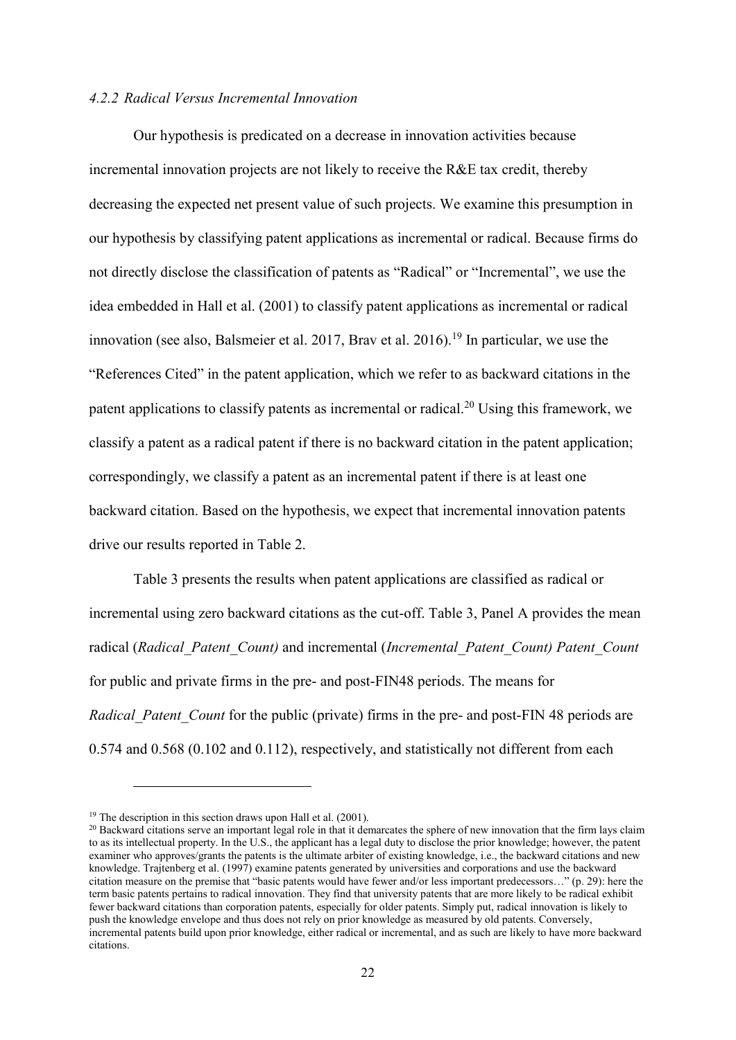### *4.2.2 Radical Versus Incremental Innovation*

Our hypothesis is predicated on a decrease in innovation activities because incremental innovation projects are not likely to receive the R&E tax credit, thereby decreasing the expected net present value of such projects. We examine this presumption in our hypothesis by classifying patent applications as incremental or radical. Because firms do not directly disclose the classification of patents as "Radical" or "Incremental", we use the idea embedded in Hall et al. (2001) to classify patent applications as incremental or radical innovation (see also, Balsmeier et al. 2017, Brav et al. 2016).<sup>19</sup> In particular, we use the "References Cited" in the patent application, which we refer to as backward citations in the patent applications to classify patents as incremental or radical.<sup>20</sup> Using this framework, we classify a patent as a radical patent if there is no backward citation in the patent application; correspondingly, we classify a patent as an incremental patent if there is at least one backward citation. Based on the hypothesis, we expect that incremental innovation patents drive our results reported in Table 2.

Table 3 presents the results when patent applications are classified as radical or incremental using zero backward citations as the cut-off. Table 3, Panel A provides the mean radical (*Radical\_Patent\_Count)* and incremental (*Incremental\_Patent\_Count) Patent\_Count* for public and private firms in the pre- and post-FIN48 periods. The means for *Radical Patent Count* for the public (private) firms in the pre- and post-FIN 48 periods are 0.574 and 0.568 (0.102 and 0.112), respectively, and statistically not different from each

<sup>&</sup>lt;sup>19</sup> The description in this section draws upon Hall et al. (2001).

<sup>&</sup>lt;sup>20</sup> Backward citations serve an important legal role in that it demarcates the sphere of new innovation that the firm lays claim to as its intellectual property. In the U.S., the applicant has a legal duty to disclose the prior knowledge; however, the patent examiner who approves/grants the patents is the ultimate arbiter of existing knowledge, i.e., the backward citations and new knowledge. Trajtenberg et al. (1997) examine patents generated by universities and corporations and use the backward citation measure on the premise that "basic patents would have fewer and/or less important predecessors…" (p. 29): here the term basic patents pertains to radical innovation. They find that university patents that are more likely to be radical exhibit fewer backward citations than corporation patents, especially for older patents. Simply put, radical innovation is likely to push the knowledge envelope and thus does not rely on prior knowledge as measured by old patents. Conversely, incremental patents build upon prior knowledge, either radical or incremental, and as such are likely to have more backward citations.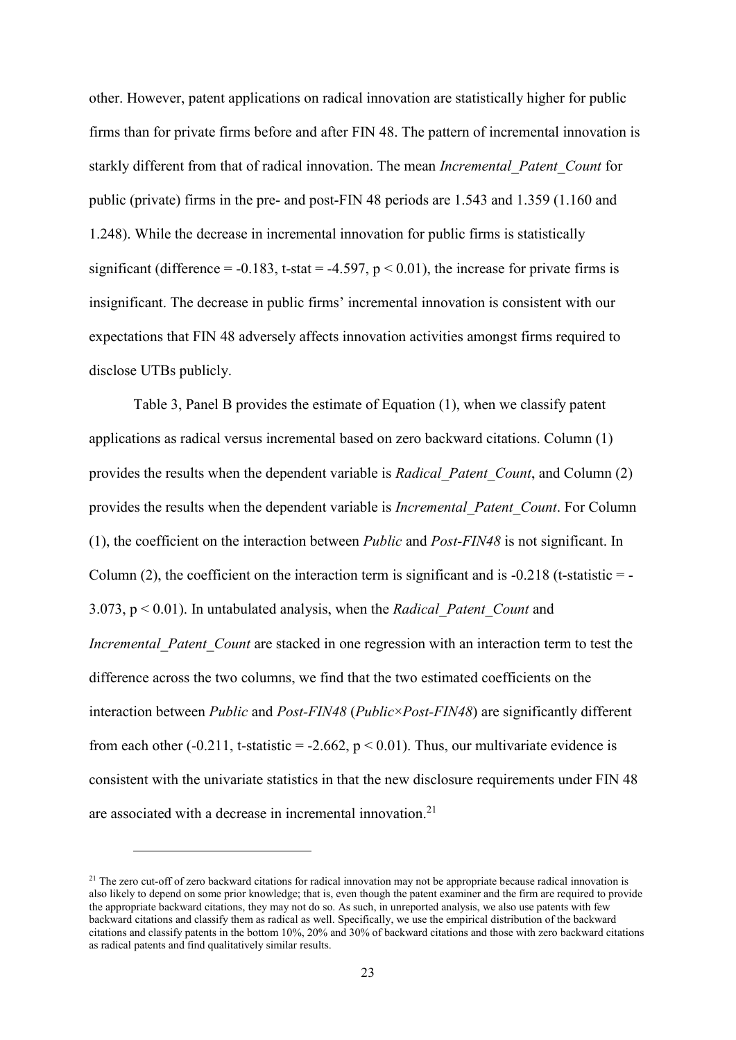other. However, patent applications on radical innovation are statistically higher for public firms than for private firms before and after FIN 48. The pattern of incremental innovation is starkly different from that of radical innovation. The mean *Incremental\_Patent\_Count* for public (private) firms in the pre- and post-FIN 48 periods are 1.543 and 1.359 (1.160 and 1.248). While the decrease in incremental innovation for public firms is statistically significant (difference =  $-0.183$ , t-stat =  $-4.597$ , p < 0.01), the increase for private firms is insignificant. The decrease in public firms' incremental innovation is consistent with our expectations that FIN 48 adversely affects innovation activities amongst firms required to disclose UTBs publicly.

Table 3, Panel B provides the estimate of Equation (1), when we classify patent applications as radical versus incremental based on zero backward citations. Column (1) provides the results when the dependent variable is *Radical\_Patent\_Count*, and Column (2) provides the results when the dependent variable is *Incremental\_Patent\_Count*. For Column (1), the coefficient on the interaction between *Public* and *Post-FIN48* is not significant. In Column (2), the coefficient on the interaction term is significant and is  $-0.218$  (t-statistic  $=$  -3.073, p < 0.01). In untabulated analysis, when the *Radical\_Patent\_Count* and *Incremental Patent Count* are stacked in one regression with an interaction term to test the difference across the two columns, we find that the two estimated coefficients on the interaction between *Public* and *Post-FIN48* (*Public*×*Post-FIN48*) are significantly different from each other (-0.211, t-statistic = -2.662,  $p < 0.01$ ). Thus, our multivariate evidence is consistent with the univariate statistics in that the new disclosure requirements under FIN 48 are associated with a decrease in incremental innovation.<sup>21</sup>

<sup>&</sup>lt;sup>21</sup> The zero cut-off of zero backward citations for radical innovation may not be appropriate because radical innovation is also likely to depend on some prior knowledge; that is, even though the patent examiner and the firm are required to provide the appropriate backward citations, they may not do so. As such, in unreported analysis, we also use patents with few backward citations and classify them as radical as well. Specifically, we use the empirical distribution of the backward citations and classify patents in the bottom 10%, 20% and 30% of backward citations and those with zero backward citations as radical patents and find qualitatively similar results.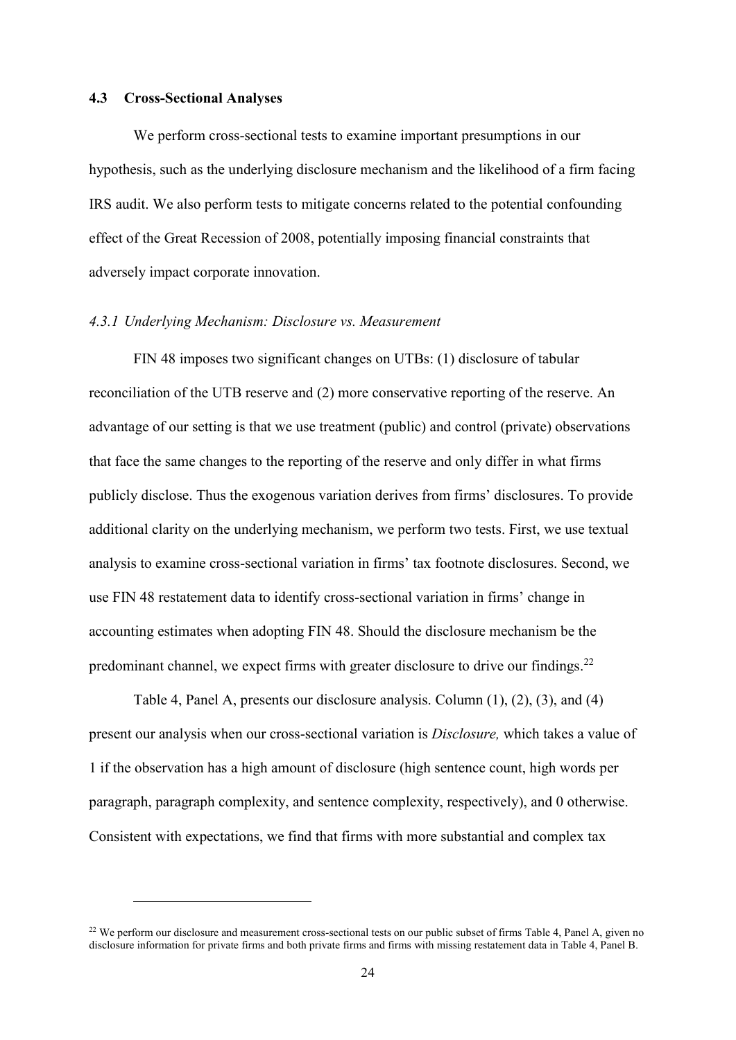### **4.3 Cross-Sectional Analyses**

1

We perform cross-sectional tests to examine important presumptions in our hypothesis, such as the underlying disclosure mechanism and the likelihood of a firm facing IRS audit. We also perform tests to mitigate concerns related to the potential confounding effect of the Great Recession of 2008, potentially imposing financial constraints that adversely impact corporate innovation.

### *4.3.1 Underlying Mechanism: Disclosure vs. Measurement*

FIN 48 imposes two significant changes on UTBs: (1) disclosure of tabular reconciliation of the UTB reserve and (2) more conservative reporting of the reserve. An advantage of our setting is that we use treatment (public) and control (private) observations that face the same changes to the reporting of the reserve and only differ in what firms publicly disclose. Thus the exogenous variation derives from firms' disclosures. To provide additional clarity on the underlying mechanism, we perform two tests. First, we use textual analysis to examine cross-sectional variation in firms' tax footnote disclosures. Second, we use FIN 48 restatement data to identify cross-sectional variation in firms' change in accounting estimates when adopting FIN 48. Should the disclosure mechanism be the predominant channel, we expect firms with greater disclosure to drive our findings.<sup>22</sup>

Table 4, Panel A, presents our disclosure analysis. Column (1), (2), (3), and (4) present our analysis when our cross-sectional variation is *Disclosure,* which takes a value of 1 if the observation has a high amount of disclosure (high sentence count, high words per paragraph, paragraph complexity, and sentence complexity, respectively), and 0 otherwise. Consistent with expectations, we find that firms with more substantial and complex tax

<sup>&</sup>lt;sup>22</sup> We perform our disclosure and measurement cross-sectional tests on our public subset of firms Table 4, Panel A, given no disclosure information for private firms and both private firms and firms with missing restatement data in Table 4, Panel B.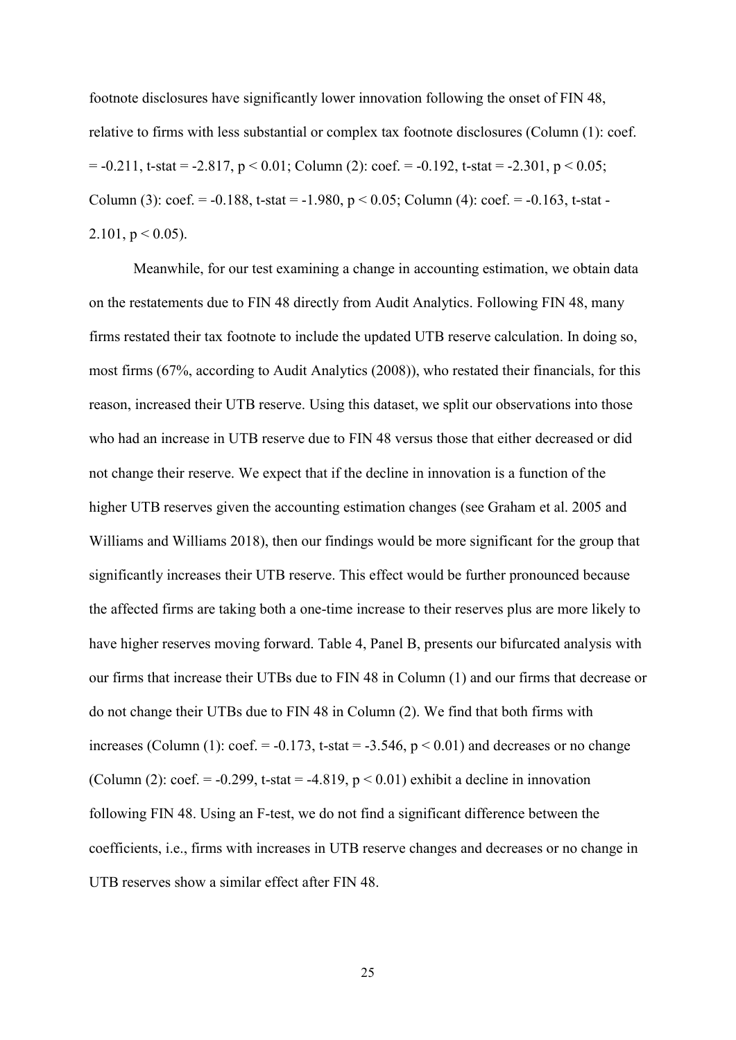footnote disclosures have significantly lower innovation following the onset of FIN 48, relative to firms with less substantial or complex tax footnote disclosures (Column (1): coef.  $= -0.211$ , t-stat  $= -2.817$ ,  $p < 0.01$ ; Column (2): coef.  $= -0.192$ , t-stat  $= -2.301$ ,  $p < 0.05$ ; Column (3): coef. =  $-0.188$ , t-stat =  $-1.980$ , p < 0.05; Column (4): coef. =  $-0.163$ , t-stat -2.101,  $p < 0.05$ ).

Meanwhile, for our test examining a change in accounting estimation, we obtain data on the restatements due to FIN 48 directly from Audit Analytics. Following FIN 48, many firms restated their tax footnote to include the updated UTB reserve calculation. In doing so, most firms (67%, according to Audit Analytics (2008)), who restated their financials, for this reason, increased their UTB reserve. Using this dataset, we split our observations into those who had an increase in UTB reserve due to FIN 48 versus those that either decreased or did not change their reserve. We expect that if the decline in innovation is a function of the higher UTB reserves given the accounting estimation changes (see Graham et al. 2005 and Williams and Williams 2018), then our findings would be more significant for the group that significantly increases their UTB reserve. This effect would be further pronounced because the affected firms are taking both a one-time increase to their reserves plus are more likely to have higher reserves moving forward. Table 4, Panel B, presents our bifurcated analysis with our firms that increase their UTBs due to FIN 48 in Column (1) and our firms that decrease or do not change their UTBs due to FIN 48 in Column (2). We find that both firms with increases (Column (1):  $\text{coef.} = -0.173$ , t-stat = -3.546,  $p < 0.01$ ) and decreases or no change (Column (2): coef. =  $-0.299$ , t-stat =  $-4.819$ , p < 0.01) exhibit a decline in innovation following FIN 48. Using an F-test, we do not find a significant difference between the coefficients, i.e., firms with increases in UTB reserve changes and decreases or no change in UTB reserves show a similar effect after FIN 48.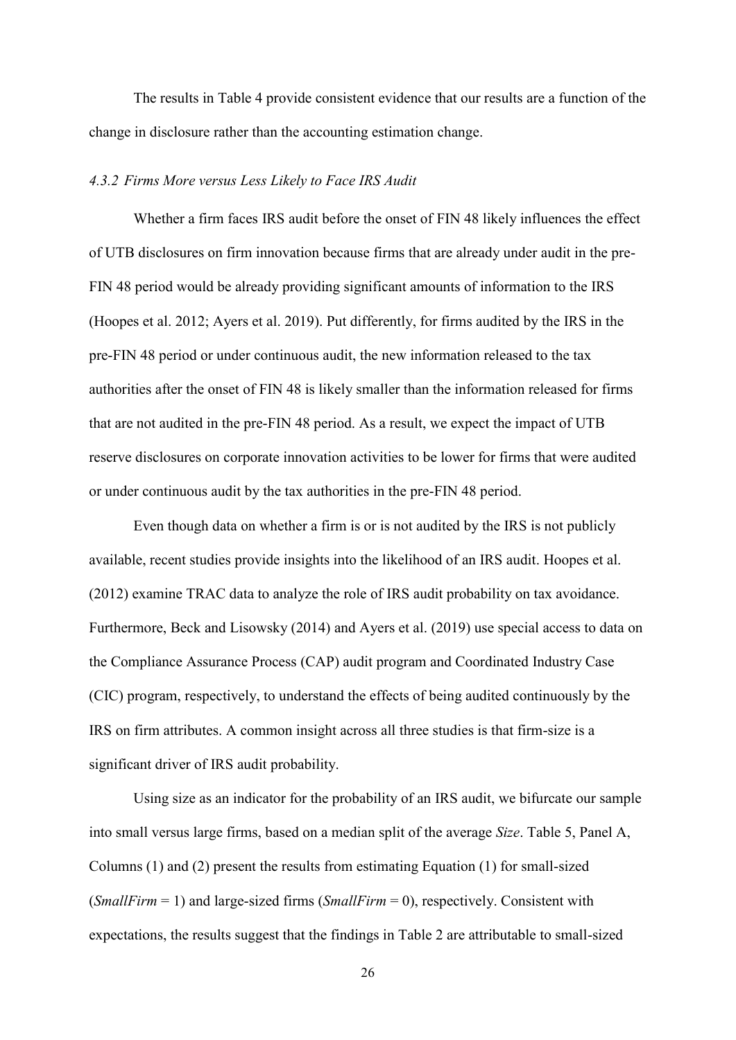The results in Table 4 provide consistent evidence that our results are a function of the change in disclosure rather than the accounting estimation change.

### *4.3.2 Firms More versus Less Likely to Face IRS Audit*

Whether a firm faces IRS audit before the onset of FIN 48 likely influences the effect of UTB disclosures on firm innovation because firms that are already under audit in the pre-FIN 48 period would be already providing significant amounts of information to the IRS (Hoopes et al. 2012; Ayers et al. 2019). Put differently, for firms audited by the IRS in the pre-FIN 48 period or under continuous audit, the new information released to the tax authorities after the onset of FIN 48 is likely smaller than the information released for firms that are not audited in the pre-FIN 48 period. As a result, we expect the impact of UTB reserve disclosures on corporate innovation activities to be lower for firms that were audited or under continuous audit by the tax authorities in the pre-FIN 48 period.

Even though data on whether a firm is or is not audited by the IRS is not publicly available, recent studies provide insights into the likelihood of an IRS audit. Hoopes et al. (2012) examine TRAC data to analyze the role of IRS audit probability on tax avoidance. Furthermore, Beck and Lisowsky (2014) and Ayers et al. (2019) use special access to data on the Compliance Assurance Process (CAP) audit program and Coordinated Industry Case (CIC) program, respectively, to understand the effects of being audited continuously by the IRS on firm attributes. A common insight across all three studies is that firm-size is a significant driver of IRS audit probability.

Using size as an indicator for the probability of an IRS audit, we bifurcate our sample into small versus large firms, based on a median split of the average *Size*. Table 5, Panel A, Columns (1) and (2) present the results from estimating Equation (1) for small-sized (*SmallFirm* = 1) and large-sized firms (*SmallFirm* = 0), respectively. Consistent with expectations, the results suggest that the findings in Table 2 are attributable to small-sized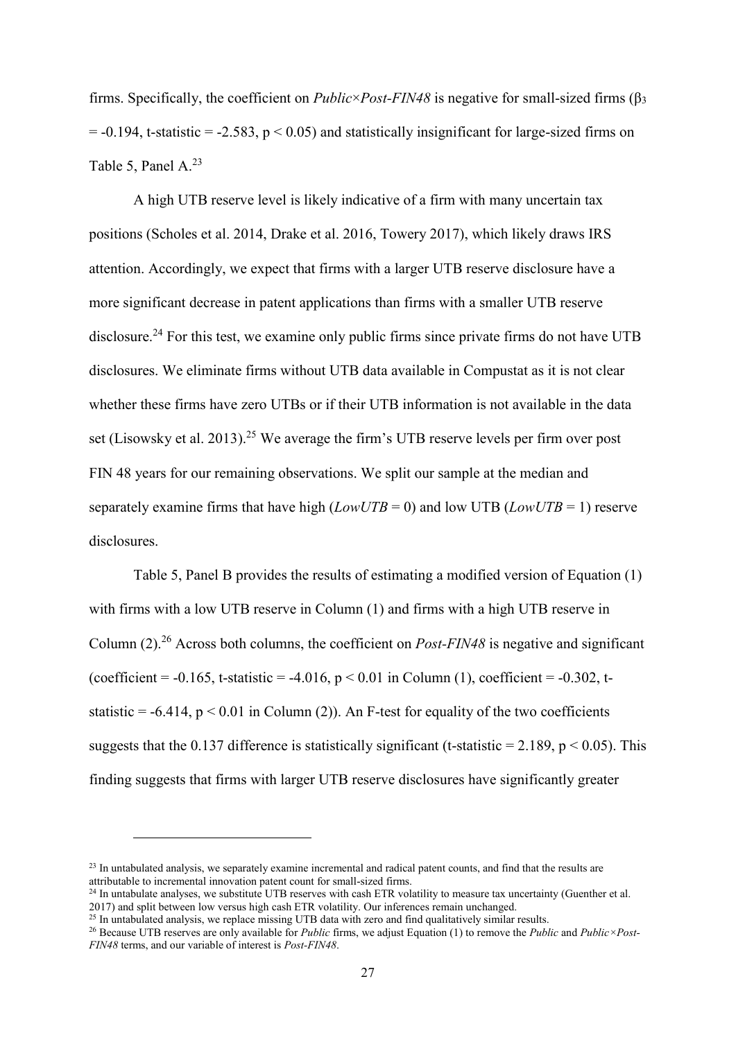firms. Specifically, the coefficient on *Public*×*Post-FIN48* is negative for small-sized firms (β<sup>3</sup>  $= -0.194$ , t-statistic  $= -2.583$ ,  $p \le 0.05$ ) and statistically insignificant for large-sized firms on Table 5, Panel A. 23

A high UTB reserve level is likely indicative of a firm with many uncertain tax positions (Scholes et al. 2014, Drake et al. 2016, Towery 2017), which likely draws IRS attention. Accordingly, we expect that firms with a larger UTB reserve disclosure have a more significant decrease in patent applications than firms with a smaller UTB reserve disclosure.<sup>24</sup> For this test, we examine only public firms since private firms do not have UTB disclosures. We eliminate firms without UTB data available in Compustat as it is not clear whether these firms have zero UTBs or if their UTB information is not available in the data set (Lisowsky et al. 2013).<sup>25</sup> We average the firm's UTB reserve levels per firm over post FIN 48 years for our remaining observations. We split our sample at the median and separately examine firms that have high  $(LowUTB = 0)$  and low UTB  $(LowUTB = 1)$  reserve disclosures.

Table 5, Panel B provides the results of estimating a modified version of Equation (1) with firms with a low UTB reserve in Column (1) and firms with a high UTB reserve in Column (2).<sup>26</sup> Across both columns, the coefficient on *Post-FIN48* is negative and significant (coefficient =  $-0.165$ , t-statistic =  $-4.016$ , p < 0.01 in Column (1), coefficient =  $-0.302$ , tstatistic =  $-6.414$ , p < 0.01 in Column (2)). An F-test for equality of the two coefficients suggests that the 0.137 difference is statistically significant (t-statistic = 2.189,  $p < 0.05$ ). This finding suggests that firms with larger UTB reserve disclosures have significantly greater

<sup>&</sup>lt;sup>23</sup> In untabulated analysis, we separately examine incremental and radical patent counts, and find that the results are attributable to incremental innovation patent count for small-sized firms.

 $^{24}$  In untabulate analyses, we substitute UTB reserves with cash ETR volatility to measure tax uncertainty (Guenther et al. 2017) and split between low versus high cash ETR volatility. Our inferences remain unchanged.

<sup>&</sup>lt;sup>25</sup> In untabulated analysis, we replace missing UTB data with zero and find qualitatively similar results.

<sup>26</sup> Because UTB reserves are only available for *Public* firms, we adjust Equation (1) to remove the *Public* and *Public×Post-FIN48* terms, and our variable of interest is *Post-FIN48*.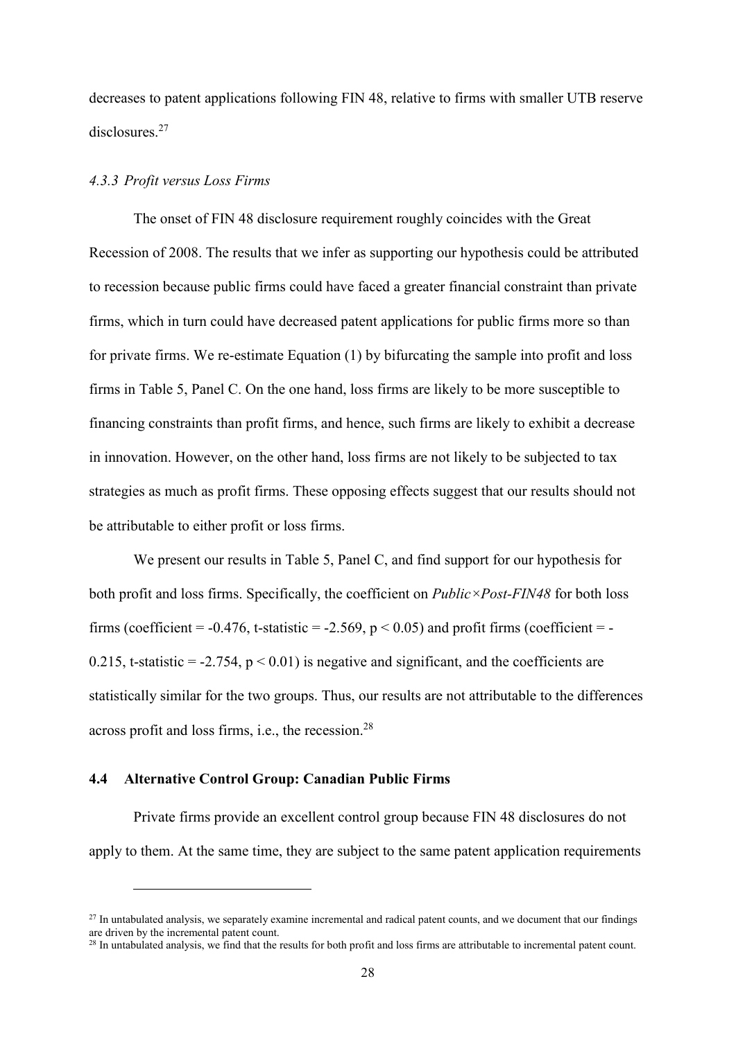decreases to patent applications following FIN 48, relative to firms with smaller UTB reserve disclosures.<sup>27</sup>

### *4.3.3 Profit versus Loss Firms*

The onset of FIN 48 disclosure requirement roughly coincides with the Great Recession of 2008. The results that we infer as supporting our hypothesis could be attributed to recession because public firms could have faced a greater financial constraint than private firms, which in turn could have decreased patent applications for public firms more so than for private firms. We re-estimate Equation (1) by bifurcating the sample into profit and loss firms in Table 5, Panel C. On the one hand, loss firms are likely to be more susceptible to financing constraints than profit firms, and hence, such firms are likely to exhibit a decrease in innovation. However, on the other hand, loss firms are not likely to be subjected to tax strategies as much as profit firms. These opposing effects suggest that our results should not be attributable to either profit or loss firms.

We present our results in Table 5, Panel C, and find support for our hypothesis for both profit and loss firms. Specifically, the coefficient on *Public×Post-FIN48* for both loss firms (coefficient =  $-0.476$ , t-statistic =  $-2.569$ , p < 0.05) and profit firms (coefficient =  $-$ 0.215, t-statistic = -2.754,  $p < 0.01$ ) is negative and significant, and the coefficients are statistically similar for the two groups. Thus, our results are not attributable to the differences across profit and loss firms, i.e., the recession.<sup>28</sup>

### **4.4 Alternative Control Group: Canadian Public Firms**

<u>.</u>

Private firms provide an excellent control group because FIN 48 disclosures do not apply to them. At the same time, they are subject to the same patent application requirements

 $27$  In untabulated analysis, we separately examine incremental and radical patent counts, and we document that our findings are driven by the incremental patent count.

<sup>&</sup>lt;sup>28</sup> In untabulated analysis, we find that the results for both profit and loss firms are attributable to incremental patent count.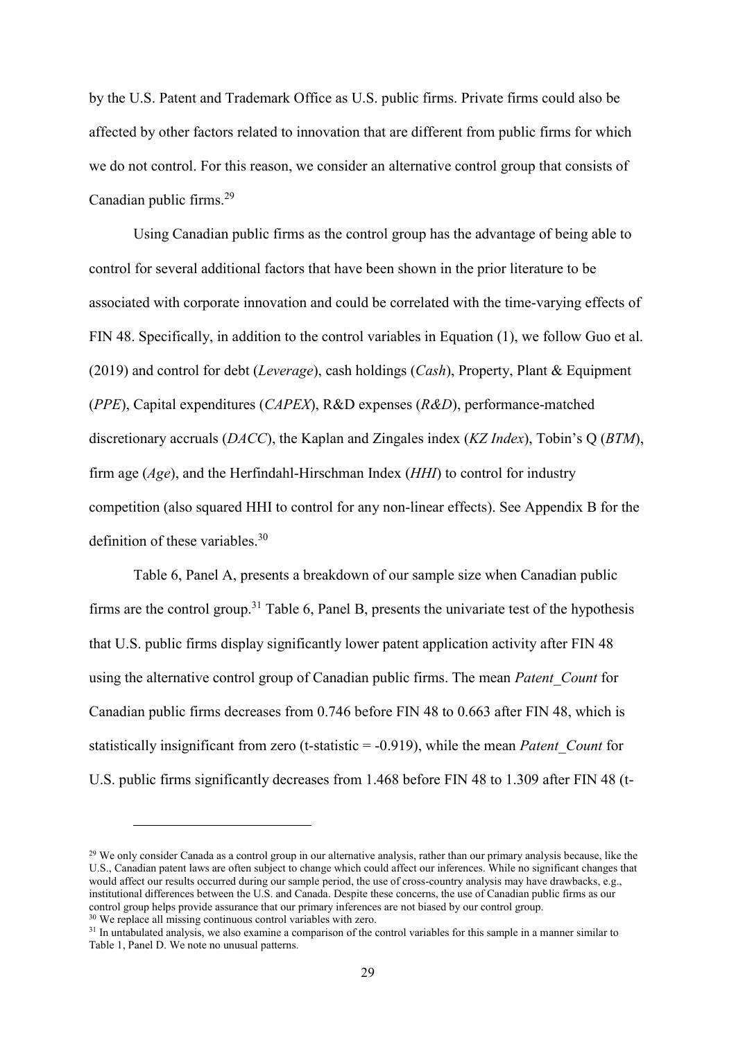by the U.S. Patent and Trademark Office as U.S. public firms. Private firms could also be affected by other factors related to innovation that are different from public firms for which we do not control. For this reason, we consider an alternative control group that consists of Canadian public firms.<sup>29</sup>

Using Canadian public firms as the control group has the advantage of being able to control for several additional factors that have been shown in the prior literature to be associated with corporate innovation and could be correlated with the time-varying effects of FIN 48. Specifically, in addition to the control variables in Equation (1), we follow Guo et al. (2019) and control for debt (*Leverage*), cash holdings (*Cash*), Property, Plant & Equipment (*PPE*), Capital expenditures (*CAPEX*), R&D expenses (*R&D*), performance-matched discretionary accruals (*DACC*), the Kaplan and Zingales index (*KZ Index*), Tobin's Q (*BTM*), firm age (*Age*), and the Herfindahl-Hirschman Index (*HHI*) to control for industry competition (also squared HHI to control for any non-linear effects). See Appendix B for the definition of these variables.<sup>30</sup>

Table 6, Panel A, presents a breakdown of our sample size when Canadian public firms are the control group.<sup>31</sup> Table 6, Panel B, presents the univariate test of the hypothesis that U.S. public firms display significantly lower patent application activity after FIN 48 using the alternative control group of Canadian public firms. The mean *Patent*\_*Count* for Canadian public firms decreases from 0.746 before FIN 48 to 0.663 after FIN 48, which is statistically insignificant from zero (t-statistic = -0.919), while the mean *Patent\_Count* for U.S. public firms significantly decreases from 1.468 before FIN 48 to 1.309 after FIN 48 (t-

<sup>&</sup>lt;sup>29</sup> We only consider Canada as a control group in our alternative analysis, rather than our primary analysis because, like the U.S., Canadian patent laws are often subject to change which could affect our inferences. While no significant changes that would affect our results occurred during our sample period, the use of cross-country analysis may have drawbacks, e.g., institutional differences between the U.S. and Canada. Despite these concerns, the use of Canadian public firms as our control group helps provide assurance that our primary inferences are not biased by our control group.

<sup>30</sup> We replace all missing continuous control variables with zero.

 $31$  In untabulated analysis, we also examine a comparison of the control variables for this sample in a manner similar to Table 1, Panel D. We note no unusual patterns.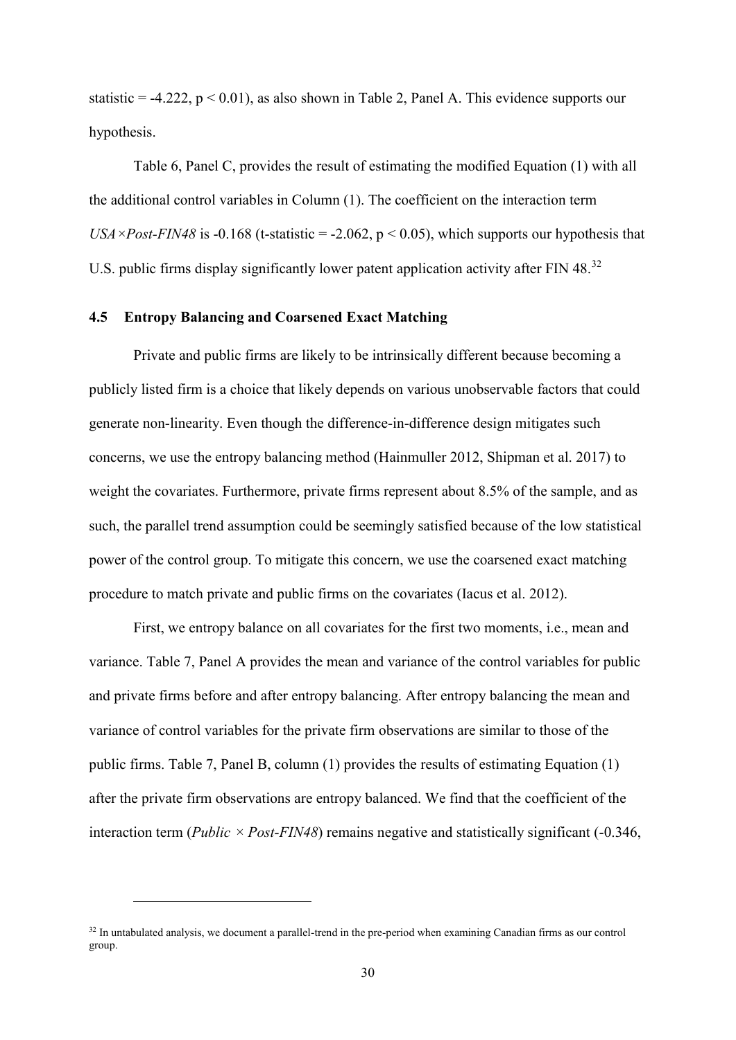statistic = -4.222,  $p < 0.01$ ), as also shown in Table 2, Panel A. This evidence supports our hypothesis.

Table 6, Panel C, provides the result of estimating the modified Equation (1) with all the additional control variables in Column (1). The coefficient on the interaction term *USA* × *Post-FIN48* is -0.168 (t-statistic = -2.062,  $p$  < 0.05), which supports our hypothesis that U.S. public firms display significantly lower patent application activity after FIN 48.<sup>32</sup>

# **4.5 Entropy Balancing and Coarsened Exact Matching**

Private and public firms are likely to be intrinsically different because becoming a publicly listed firm is a choice that likely depends on various unobservable factors that could generate non-linearity. Even though the difference-in-difference design mitigates such concerns, we use the entropy balancing method (Hainmuller 2012, Shipman et al. 2017) to weight the covariates. Furthermore, private firms represent about 8.5% of the sample, and as such, the parallel trend assumption could be seemingly satisfied because of the low statistical power of the control group. To mitigate this concern, we use the coarsened exact matching procedure to match private and public firms on the covariates (Iacus et al. 2012).

First, we entropy balance on all covariates for the first two moments, i.e., mean and variance. Table 7, Panel A provides the mean and variance of the control variables for public and private firms before and after entropy balancing. After entropy balancing the mean and variance of control variables for the private firm observations are similar to those of the public firms. Table 7, Panel B, column (1) provides the results of estimating Equation (1) after the private firm observations are entropy balanced. We find that the coefficient of the interaction term (*Public*  $\times$  *Post-FIN48*) remains negative and statistically significant (-0.346,

<sup>&</sup>lt;sup>32</sup> In untabulated analysis, we document a parallel-trend in the pre-period when examining Canadian firms as our control group.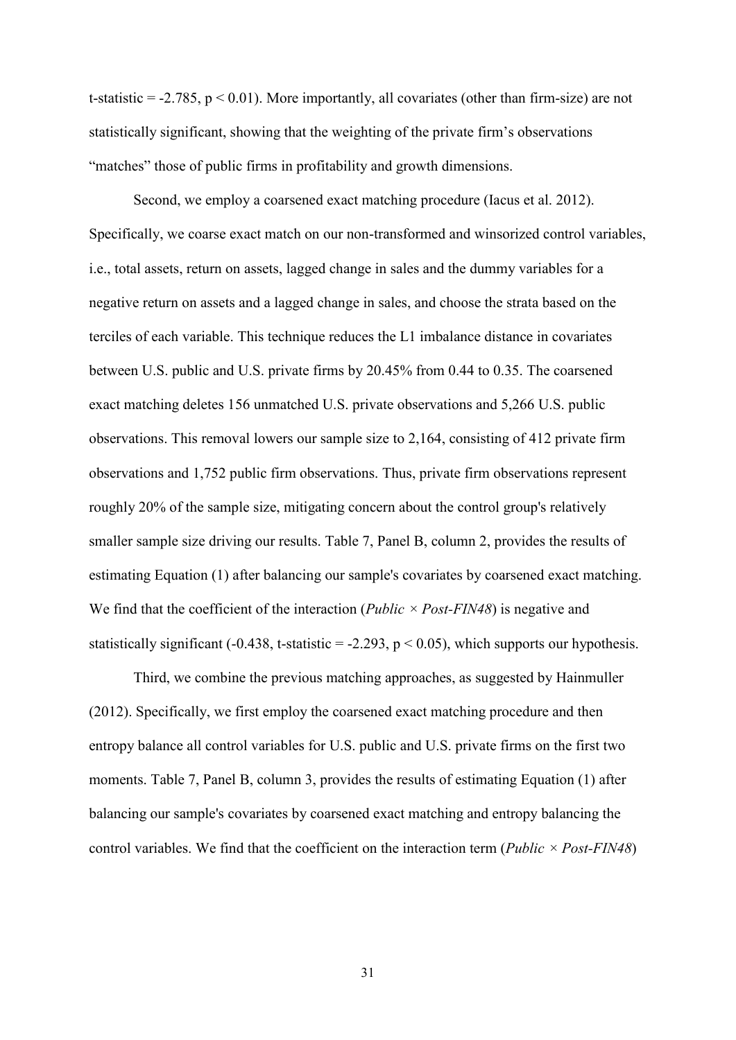t-statistic  $= -2.785$ ,  $p < 0.01$ ). More importantly, all covariates (other than firm-size) are not statistically significant, showing that the weighting of the private firm's observations "matches" those of public firms in profitability and growth dimensions.

Second, we employ a coarsened exact matching procedure (Iacus et al. 2012). Specifically, we coarse exact match on our non-transformed and winsorized control variables, i.e., total assets, return on assets, lagged change in sales and the dummy variables for a negative return on assets and a lagged change in sales, and choose the strata based on the terciles of each variable. This technique reduces the L1 imbalance distance in covariates between U.S. public and U.S. private firms by 20.45% from 0.44 to 0.35. The coarsened exact matching deletes 156 unmatched U.S. private observations and 5,266 U.S. public observations. This removal lowers our sample size to 2,164, consisting of 412 private firm observations and 1,752 public firm observations. Thus, private firm observations represent roughly 20% of the sample size, mitigating concern about the control group's relatively smaller sample size driving our results. Table 7, Panel B, column 2, provides the results of estimating Equation (1) after balancing our sample's covariates by coarsened exact matching. We find that the coefficient of the interaction (*Public*  $\times$  *Post-FIN48*) is negative and statistically significant (-0.438, t-statistic = -2.293,  $p < 0.05$ ), which supports our hypothesis.

Third, we combine the previous matching approaches, as suggested by Hainmuller (2012). Specifically, we first employ the coarsened exact matching procedure and then entropy balance all control variables for U.S. public and U.S. private firms on the first two moments. Table 7, Panel B, column 3, provides the results of estimating Equation (1) after balancing our sample's covariates by coarsened exact matching and entropy balancing the control variables. We find that the coefficient on the interaction term (*Public × Post-FIN48*)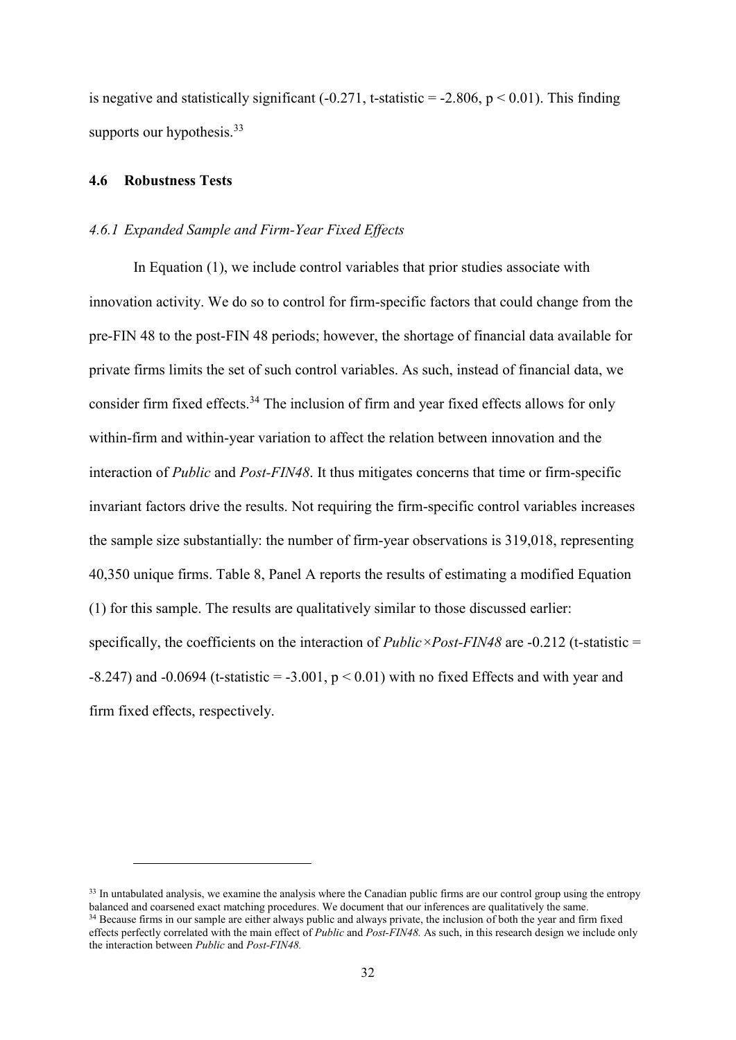is negative and statistically significant  $(-0.271, t\text{-statistic} = -2.806, p \lt 0.01)$ . This finding supports our hypothesis.<sup>33</sup>

### **4.6 Robustness Tests**

1

### *4.6.1 Expanded Sample and Firm-Year Fixed Effects*

In Equation (1), we include control variables that prior studies associate with innovation activity. We do so to control for firm-specific factors that could change from the pre-FIN 48 to the post-FIN 48 periods; however, the shortage of financial data available for private firms limits the set of such control variables. As such, instead of financial data, we consider firm fixed effects.<sup>34</sup> The inclusion of firm and year fixed effects allows for only within-firm and within-year variation to affect the relation between innovation and the interaction of *Public* and *Post-FIN48*. It thus mitigates concerns that time or firm-specific invariant factors drive the results. Not requiring the firm-specific control variables increases the sample size substantially: the number of firm-year observations is 319,018, representing 40,350 unique firms. Table 8, Panel A reports the results of estimating a modified Equation (1) for this sample. The results are qualitatively similar to those discussed earlier: specifically, the coefficients on the interaction of *Public*×*Post-FIN48* are -0.212 (t-statistic =  $-8.247$ ) and  $-0.0694$  (t-statistic =  $-3.001$ , p < 0.01) with no fixed Effects and with year and firm fixed effects, respectively.

<sup>&</sup>lt;sup>33</sup> In untabulated analysis, we examine the analysis where the Canadian public firms are our control group using the entropy balanced and coarsened exact matching procedures. We document that our inferences are qualitatively the same. <sup>34</sup> Because firms in our sample are either always public and always private, the inclusion of both the year and firm fixed effects perfectly correlated with the main effect of *Public* and *Post-FIN48.* As such, in this research design we include only the interaction between *Public* and *Post-FIN48.*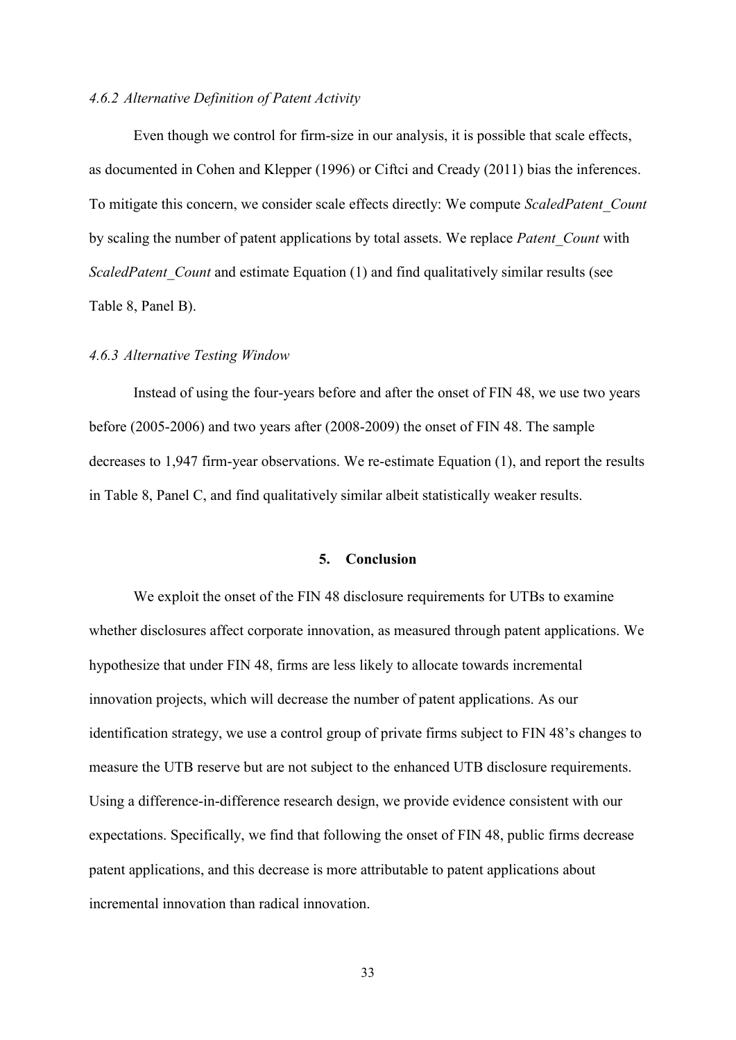### *4.6.2 Alternative Definition of Patent Activity*

Even though we control for firm-size in our analysis, it is possible that scale effects, as documented in Cohen and Klepper (1996) or Ciftci and Cready (2011) bias the inferences. To mitigate this concern, we consider scale effects directly: We compute *ScaledPatent\_Count*  by scaling the number of patent applications by total assets. We replace *Patent\_Count* with *ScaledPatent Count* and estimate Equation (1) and find qualitatively similar results (see Table 8, Panel B).

### *4.6.3 Alternative Testing Window*

Instead of using the four-years before and after the onset of FIN 48, we use two years before (2005-2006) and two years after (2008-2009) the onset of FIN 48. The sample decreases to 1,947 firm-year observations. We re-estimate Equation (1), and report the results in Table 8, Panel C, and find qualitatively similar albeit statistically weaker results.

### **5. Conclusion**

We exploit the onset of the FIN 48 disclosure requirements for UTBs to examine whether disclosures affect corporate innovation, as measured through patent applications. We hypothesize that under FIN 48, firms are less likely to allocate towards incremental innovation projects, which will decrease the number of patent applications. As our identification strategy, we use a control group of private firms subject to FIN 48's changes to measure the UTB reserve but are not subject to the enhanced UTB disclosure requirements. Using a difference-in-difference research design, we provide evidence consistent with our expectations. Specifically, we find that following the onset of FIN 48, public firms decrease patent applications, and this decrease is more attributable to patent applications about incremental innovation than radical innovation.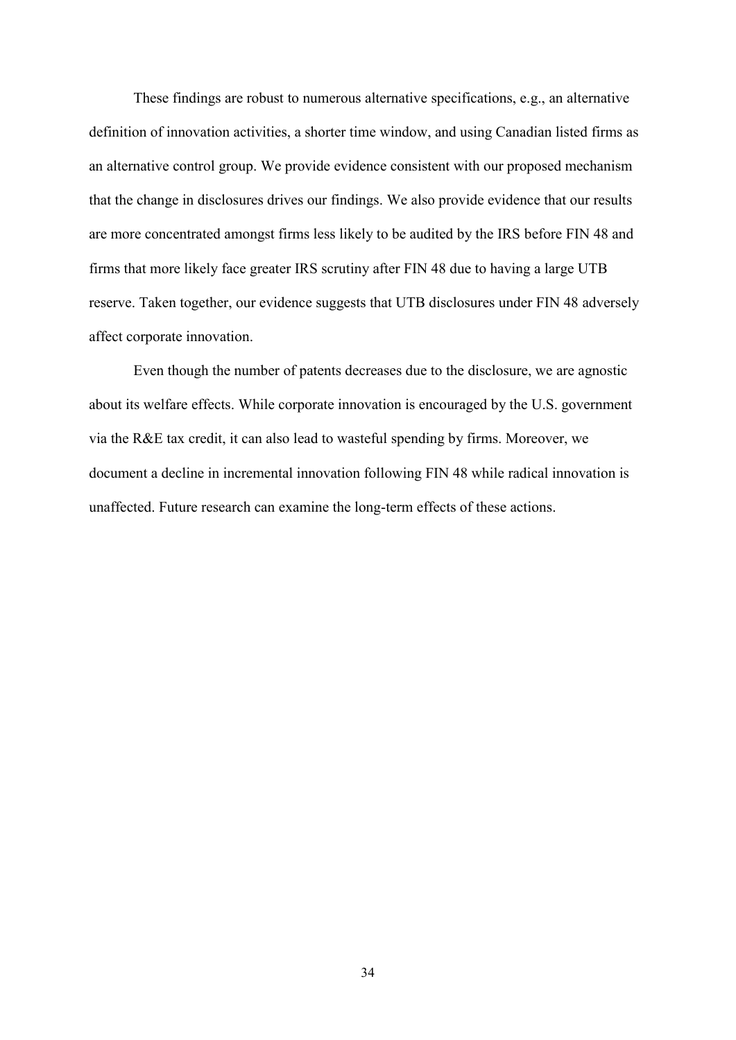These findings are robust to numerous alternative specifications, e.g., an alternative definition of innovation activities, a shorter time window, and using Canadian listed firms as an alternative control group. We provide evidence consistent with our proposed mechanism that the change in disclosures drives our findings. We also provide evidence that our results are more concentrated amongst firms less likely to be audited by the IRS before FIN 48 and firms that more likely face greater IRS scrutiny after FIN 48 due to having a large UTB reserve. Taken together, our evidence suggests that UTB disclosures under FIN 48 adversely affect corporate innovation.

Even though the number of patents decreases due to the disclosure, we are agnostic about its welfare effects. While corporate innovation is encouraged by the U.S. government via the R&E tax credit, it can also lead to wasteful spending by firms. Moreover, we document a decline in incremental innovation following FIN 48 while radical innovation is unaffected. Future research can examine the long-term effects of these actions.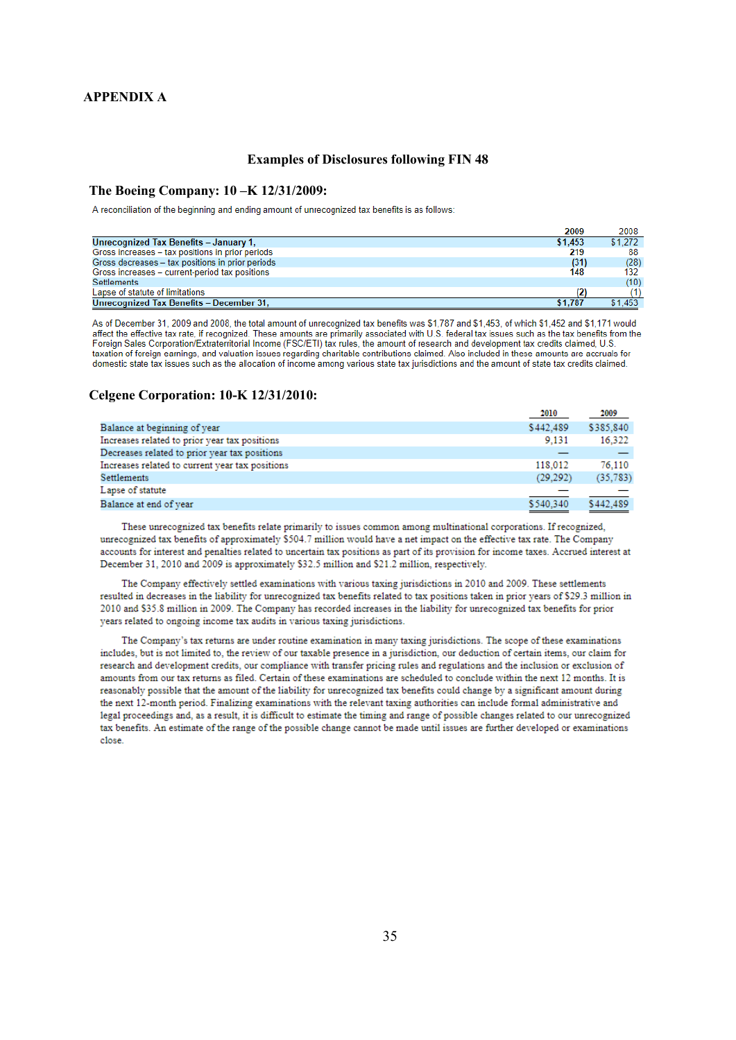#### **APPENDIX A**

#### **Examples of Disclosures following FIN 48**

#### **The Boeing Company: 10 –K 12/31/2009:**

A reconciliation of the beginning and ending amount of unrecognized tax benefits is as follows:

|                                                  | 2009    | 2008    |
|--------------------------------------------------|---------|---------|
| Unrecognized Tax Benefits - January 1,           | \$1.453 | \$1.272 |
| Gross increases - tax positions in prior periods | 219     | 88      |
| Gross decreases - tax positions in prior periods | (31)    | (28)    |
| Gross increases - current-period tax positions   | 148     | 132     |
| <b>Settlements</b>                               |         | (10)    |
| Lapse of statute of limitations                  |         |         |
| Unrecognized Tax Benefits - December 31,         | \$1.787 | \$1.453 |

As of December 31, 2009 and 2008, the total amount of unrecognized tax benefits was \$1,787 and \$1,453, of which \$1,452 and \$1,171 would affect the effective tax rate, if recognized. These amounts are primarily associated with U.S. federal tax issues such as the tax benefits from the and the state of the state of the state of the state of the state of the s taxation of foreign earnings, and valuation issues regarding charitable contributions claimed. Also included in these amounts are accruals for domestic state tax issues such as the allocation of income among various state tax jurisdictions and the amount of state tax credits claimed.

#### **Celgene Corporation: 10-K 12/31/2010:**

|                                                 | 2010                              | 2009                          |
|-------------------------------------------------|-----------------------------------|-------------------------------|
| Balance at beginning of year                    | \$442,489                         | \$385,840                     |
| Increases related to prior year tax positions   | 9.131                             | 16.322                        |
| Decreases related to prior year tax positions   |                                   |                               |
| Increases related to current year tax positions | 118,012                           | 76.110                        |
| Settlements                                     | (29, 292)                         | (35, 783)                     |
| Lapse of statute                                |                                   |                               |
| Balance at end of year                          | \$540,340                         | \$442.489                     |
|                                                 | the control of the control of the | and the state of the state of |

These unrecognized tax benefits relate primarily to issues common among multinational corporations. If recognized, unrecognized tax benefits of approximately \$504.7 million would have a net impact on the effective tax rate. The Company accounts for interest and penalties related to uncertain tax positions as part of its provision for income taxes. Accrued interest at December 31, 2010 and 2009 is approximately \$32.5 million and \$21.2 million, respectively.

The Company effectively settled examinations with various taxing jurisdictions in 2010 and 2009. These settlements resulted in decreases in the liability for unrecognized tax benefits related to tax positions taken in prior years of \$29.3 million in 2010 and \$35.8 million in 2009. The Company has recorded increases in the liability for unrecognized tax benefits for prior vears related to ongoing income tax audits in various taxing jurisdictions.

The Company's tax returns are under routine examination in many taxing jurisdictions. The scope of these examinations includes, but is not limited to, the review of our taxable presence in a jurisdiction, our deduction of certain items, our claim for research and development credits, our compliance with transfer pricing rules and regulations and the inclusion or exclusion of amounts from our tax returns as filed. Certain of these examinations are scheduled to conclude within the next 12 months. It is reasonably possible that the amount of the liability for unrecognized tax benefits could change by a significant amount during the next 12-month period. Finalizing examinations with the relevant taxing authorities can include formal administrative and legal proceedings and, as a result, it is difficult to estimate the timing and range of possible changes related to our unrecognized tax benefits. An estimate of the range of the possible change cannot be made until issues are further developed or examinations close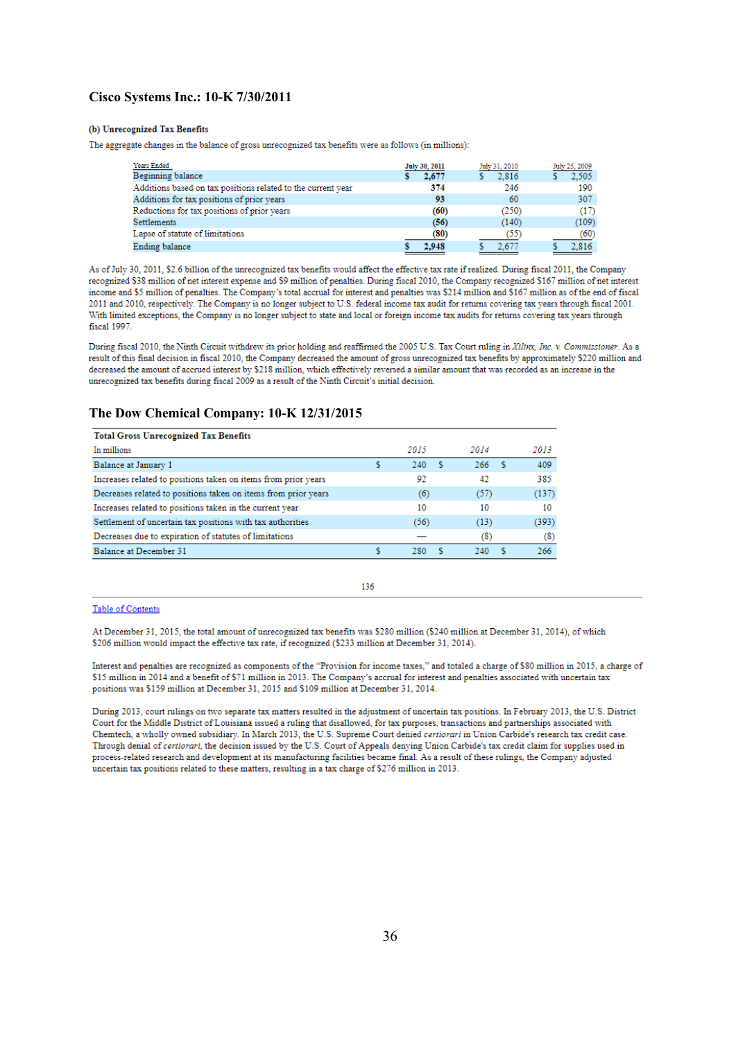#### **Cisco Systems Inc.: 10-K 7/30/2011**

#### (b) Unrecognized Tax Benefits

The aggregate changes in the balance of gross unrecognized tax benefits were as follows (in millions):

| Years Ended                                                  | July 30, 2011 |                   | July 25, 2009 |
|--------------------------------------------------------------|---------------|-------------------|---------------|
|                                                              |               | July 31, 2010     |               |
| Beginning balance                                            | 2,677         | 2.816             | 2.505         |
| Additions based on tax positions related to the current year | 374           | 246               | 190           |
| Additions for tax positions of prior years                   | 93            | 60                | 307           |
| Reductions for tax positions of prior years                  | (60)          | (250)             | (17)          |
| <b>Settlements</b>                                           | (56)          | (140)             | (109)         |
| Lapse of statute of limitations                              | (80)          | (55)              | (60)          |
| Ending balance                                               | 2.948         | 2.67 <sup>2</sup> | 2.816         |

As of July 30, 2011, \$2.6 billion of the unrecognized tax benefits would affect the effective tax rate if realized. During fiscal 2011, the Company recognized \$38 million of net interest expense and \$9 million of penalties. During fiscal 2010, the Company recognized \$167 million of net interest income and \$5 million of penalties. The Company's total accrual for interest and penalties was \$214 million and \$167 million as of the end of fiscal 2011 and 2010, respectively. The Company is no longer subject to U.S. federal income tax audit for returns covering tax years through fiscal 2001. With limited exceptions, the Company is no longer subject to state and local or foreign income tax audits for returns covering tax years through fiscal 1997.

During fiscal 2010, the Ninth Circuit withdrew its prior holding and reaffirmed the 2005 U.S. Tax Court ruling in Xilim; Inc. v. Commissioner. As a result of this final decision in fiscal 2010, the Company decreased the amount of gross unrecognized tax benefits by approximately \$220 million and decreased the amount of accrued interest by \$218 million, which effectively reversed a similar amount that was recorded as an increase in the unrecognized tax benefits during fiscal 2009 as a result of the Ninth Circuit's initial decision.

#### **The Dow Chemical Company: 10-K 12/31/2015**

| <b>Total Gross Unrecognized Tax Benefits</b>                   |      |    |            |       |
|----------------------------------------------------------------|------|----|------------|-------|
| In millions                                                    | 2015 |    | 2014       | 2013  |
| Balance at January 1                                           | 240  | -S | 266<br>- S | 409   |
| Increases related to positions taken on items from prior years | 92   |    | 42         | 385   |
| Decreases related to positions taken on items from prior years | (6)  |    | (57)       | (137) |
| Increases related to positions taken in the current year       | 10   |    | 10         | 10    |
| Settlement of uncertain tax positions with tax authorities     | (56) |    | (13)       | (393) |
| Decreases due to expiration of statutes of limitations         |      |    | (8)        | $(8)$ |
| Balance at December 31                                         | 280  |    | 240        | 266   |

#### 136

#### Table of Contents

At December 31, 2015, the total amount of unrecognized tax benefits was \$280 million (\$240 million at December 31, 2014), of which \$206 million would impact the effective tax rate, if recognized (\$233 million at December 31, 2014).

Interest and penalties are recognized as components of the "Provision for income taxes," and totaled a charge of \$80 million in 2015, a charge of \$15 million in 2014 and a benefit of \$71 million in 2013. The Company's accrual for interest and penalties associated with uncertain tax positions was \$159 million at December 31, 2015 and \$109 million at December 31, 2014.

During 2013, court rulings on two separate tax matters resulted in the adjustment of uncertain tax positions. In February 2013, the U.S. District Court for the Middle District of Louisiana issued a ruling that disallowed, for tax purposes, transactions and partnerships associated with Chemtech, a wholly owned subsidiary. In March 2013, the U.S. Supreme Court denied certiorari in Union Carbide's research tax credit case. Through denial of certiorari, the decision issued by the U.S. Court of Appeals denying Union Carbide's tax credit claim for supplies used in process-related research and development at its manufacturing facilities became final. As a result of these rulings, the Company adjusted uncertain tax positions related to these matters, resulting in a tax charge of \$276 million in 2013.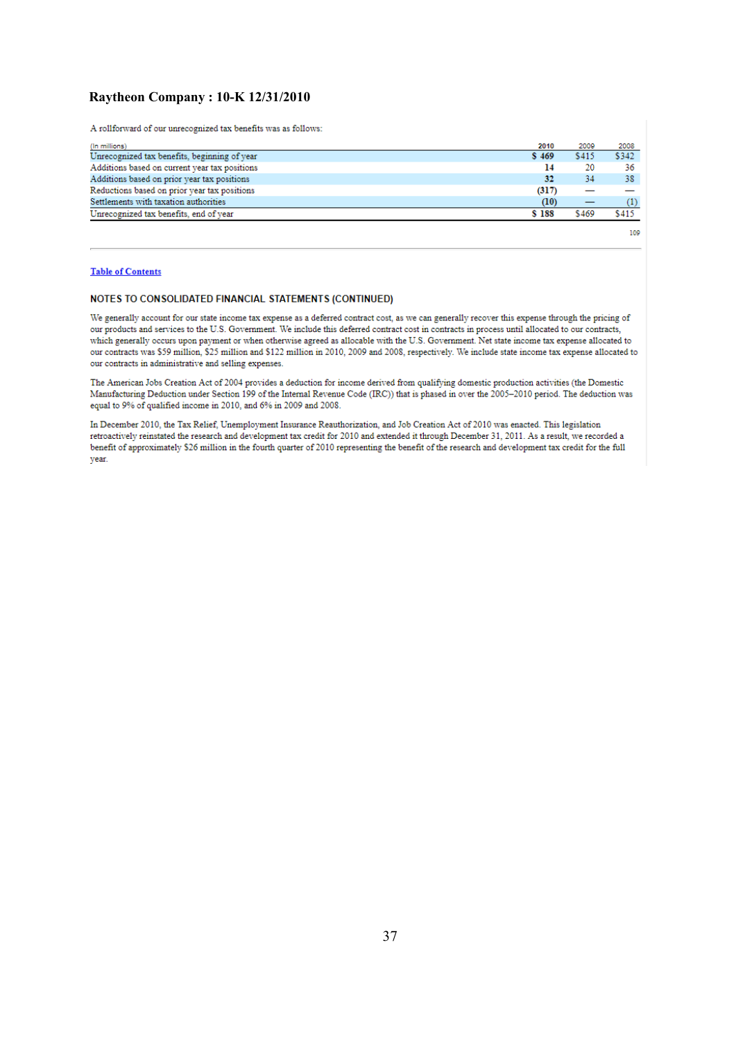### **Raytheon Company : 10-K 12/31/2010**

A rollforward of our unrecognized tax benefits was as follows:

| (In millions)                                 | 2010  | 2009  | 2008  |
|-----------------------------------------------|-------|-------|-------|
| Unrecognized tax benefits, beginning of year  | S 469 | \$415 | \$342 |
| Additions based on current year tax positions | 14    | 20    | 36    |
| Additions based on prior year tax positions   | 32    | 34    | 38    |
| Reductions based on prior year tax positions  | (317) |       |       |
| Settlements with taxation authorities         | (10)  |       |       |
| Unrecognized tax benefits, end of year        | \$188 | \$469 | \$415 |

109

#### **Table of Contents**

#### NOTES TO CONSOLIDATED FINANCIAL STATEMENTS (CONTINUED)

We generally account for our state income tax expense as a deferred contract cost, as we can generally recover this expense through the pricing of our products and services to the U.S. Government. We include this deferred contract cost in contracts in process until allocated to our contracts, which generally occurs upon payment or when otherwise agreed as allocable with the U.S. Government. Net state income tax expense allocated to our contracts was \$59 million, \$25 million and \$122 million in 2010, 2009 and 2008, respectively. We include state income tax expense allocated to our contracts in administrative and selling expenses.

The American Jobs Creation Act of 2004 provides a deduction for income derived from qualifying domestic production activities (the Domestic Manufacturing Deduction under Section 199 of the Internal Revenue Code (IRC)) that is phased in over the 2005-2010 period. The deduction was equal to 9% of qualified income in 2010, and 6% in 2009 and 2008.

In December 2010, the Tax Relief, Unemployment Insurance Reauthorization, and Job Creation Act of 2010 was enacted. This legislation retroactively reinstated the research and development tax credit for 2010 and extended it through December 31, 2011. As a result, we recorded a benefit of approximately \$26 million in the fourth quarter of 2010 representing the benefit of the research and development tax credit for the full vear.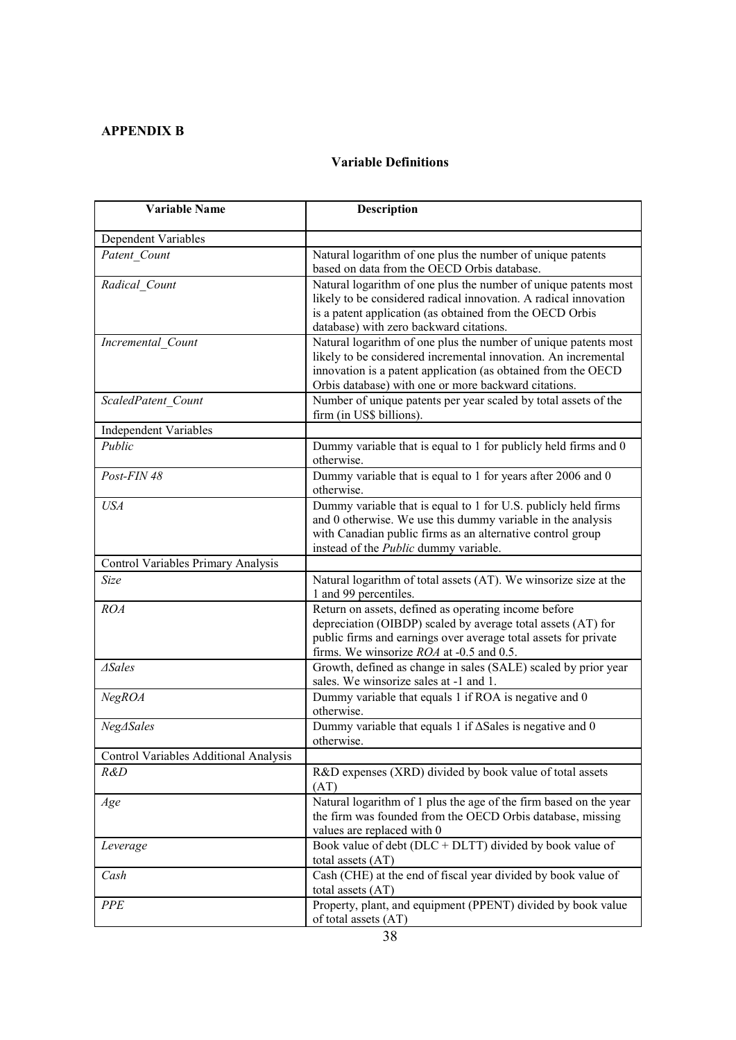# **APPENDIX B**

# **Variable Definitions**

| <b>Variable Name</b>                  | <b>Description</b>                                                                        |
|---------------------------------------|-------------------------------------------------------------------------------------------|
| Dependent Variables                   |                                                                                           |
| Patent Count                          | Natural logarithm of one plus the number of unique patents                                |
|                                       | based on data from the OECD Orbis database.                                               |
| Radical Count                         | Natural logarithm of one plus the number of unique patents most                           |
|                                       | likely to be considered radical innovation. A radical innovation                          |
|                                       | is a patent application (as obtained from the OECD Orbis                                  |
|                                       | database) with zero backward citations.                                                   |
| Incremental Count                     | Natural logarithm of one plus the number of unique patents most                           |
|                                       | likely to be considered incremental innovation. An incremental                            |
|                                       | innovation is a patent application (as obtained from the OECD                             |
|                                       | Orbis database) with one or more backward citations.                                      |
| ScaledPatent Count                    | Number of unique patents per year scaled by total assets of the                           |
|                                       | firm (in US\$ billions).                                                                  |
| <b>Independent Variables</b>          |                                                                                           |
| Public                                | Dummy variable that is equal to 1 for publicly held firms and 0                           |
|                                       | otherwise.                                                                                |
| Post-FIN 48                           | Dummy variable that is equal to 1 for years after 2006 and 0                              |
|                                       | otherwise.                                                                                |
| <b>USA</b>                            | Dummy variable that is equal to 1 for U.S. publicly held firms                            |
|                                       | and 0 otherwise. We use this dummy variable in the analysis                               |
|                                       | with Canadian public firms as an alternative control group                                |
|                                       | instead of the <i>Public</i> dummy variable.                                              |
| Control Variables Primary Analysis    |                                                                                           |
| Size                                  | Natural logarithm of total assets (AT). We winsorize size at the<br>1 and 99 percentiles. |
| ROA                                   | Return on assets, defined as operating income before                                      |
|                                       | depreciation (OIBDP) scaled by average total assets (AT) for                              |
|                                       | public firms and earnings over average total assets for private                           |
|                                       | firms. We winsorize <i>ROA</i> at -0.5 and 0.5.                                           |
| $\triangle Sales$                     | Growth, defined as change in sales (SALE) scaled by prior year                            |
|                                       | sales. We winsorize sales at -1 and 1.                                                    |
| NegROA                                | Dummy variable that equals 1 if ROA is negative and 0<br>otherwise.                       |
| Neg∆Sales                             | Dummy variable that equals 1 if $\Delta$ Sales is negative and 0                          |
|                                       | otherwise.                                                                                |
| Control Variables Additional Analysis |                                                                                           |
| R&D                                   | R&D expenses (XRD) divided by book value of total assets                                  |
|                                       | (AT)                                                                                      |
| Age                                   | Natural logarithm of 1 plus the age of the firm based on the year                         |
|                                       | the firm was founded from the OECD Orbis database, missing                                |
|                                       | values are replaced with 0                                                                |
| Leverage                              | Book value of debt ( $DLC + DLTT$ ) divided by book value of                              |
|                                       | total assets (AT)                                                                         |
| Cash                                  | Cash (CHE) at the end of fiscal year divided by book value of                             |
|                                       | total assets (AT)                                                                         |
| <b>PPE</b>                            | Property, plant, and equipment (PPENT) divided by book value                              |
|                                       | of total assets (AT)                                                                      |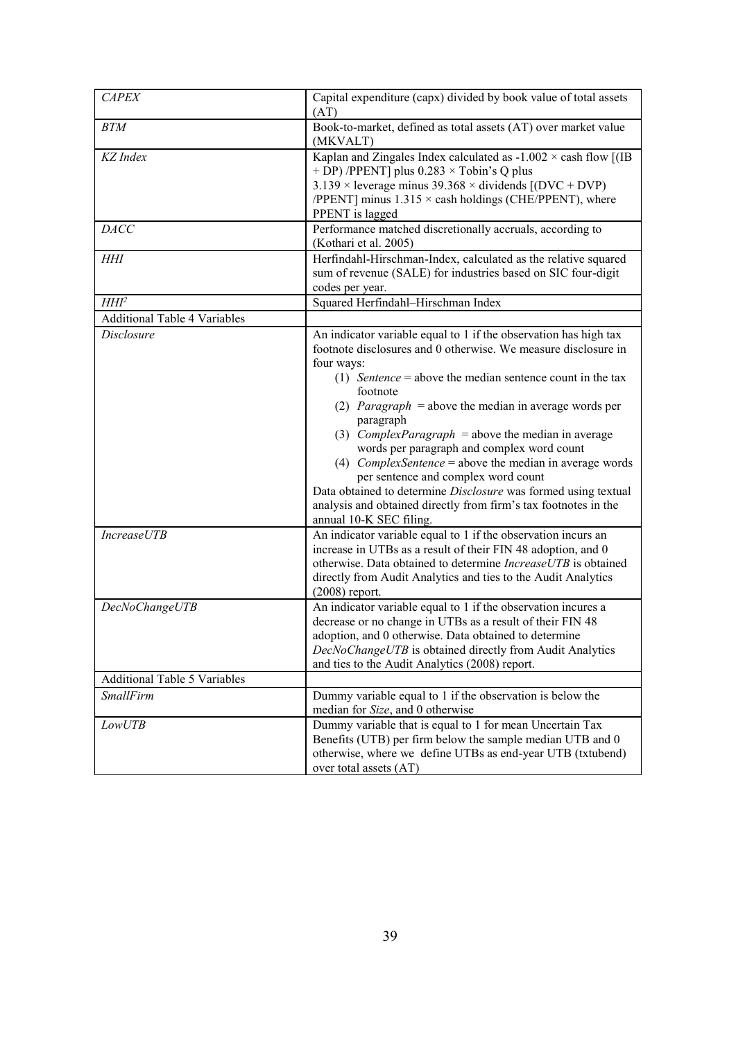| <b>CAPEX</b>                            | Capital expenditure (capx) divided by book value of total assets<br>(AT)                                                                                                                                                                                                                                                                                                                                                                                                                                                                                                                                                                                                                                                                                                                                                                                                                     |
|-----------------------------------------|----------------------------------------------------------------------------------------------------------------------------------------------------------------------------------------------------------------------------------------------------------------------------------------------------------------------------------------------------------------------------------------------------------------------------------------------------------------------------------------------------------------------------------------------------------------------------------------------------------------------------------------------------------------------------------------------------------------------------------------------------------------------------------------------------------------------------------------------------------------------------------------------|
| <b>BTM</b>                              | Book-to-market, defined as total assets (AT) over market value<br>(MKVALT)                                                                                                                                                                                                                                                                                                                                                                                                                                                                                                                                                                                                                                                                                                                                                                                                                   |
| KZ Index                                | Kaplan and Zingales Index calculated as $-1.002 \times$ cash flow [(IB<br>+ DP) /PPENT] plus $0.283 \times$ Tobin's Q plus<br>$3.139 \times$ leverage minus 39.368 $\times$ dividends [(DVC + DVP)<br>/PPENT] minus $1.315 \times$ cash holdings (CHE/PPENT), where<br>PPENT is lagged                                                                                                                                                                                                                                                                                                                                                                                                                                                                                                                                                                                                       |
| DAC                                     | Performance matched discretionally accruals, according to<br>(Kothari et al. 2005)                                                                                                                                                                                                                                                                                                                                                                                                                                                                                                                                                                                                                                                                                                                                                                                                           |
| <b>HHI</b>                              | Herfindahl-Hirschman-Index, calculated as the relative squared<br>sum of revenue (SALE) for industries based on SIC four-digit<br>codes per year.                                                                                                                                                                                                                                                                                                                                                                                                                                                                                                                                                                                                                                                                                                                                            |
| HHI <sup>2</sup>                        | Squared Herfindahl-Hirschman Index                                                                                                                                                                                                                                                                                                                                                                                                                                                                                                                                                                                                                                                                                                                                                                                                                                                           |
| <b>Additional Table 4 Variables</b>     |                                                                                                                                                                                                                                                                                                                                                                                                                                                                                                                                                                                                                                                                                                                                                                                                                                                                                              |
| <b>Disclosure</b><br><b>IncreaseUTB</b> | An indicator variable equal to 1 if the observation has high tax<br>footnote disclosures and 0 otherwise. We measure disclosure in<br>four ways:<br>(1) Sentence = above the median sentence count in the tax<br>footnote<br>(2) <i>Paragraph</i> = above the median in average words per<br>paragraph<br>(3) <i>ComplexParagraph</i> = above the median in average<br>words per paragraph and complex word count<br>(4) <i>ComplexSentence</i> = above the median in average words<br>per sentence and complex word count<br>Data obtained to determine Disclosure was formed using textual<br>analysis and obtained directly from firm's tax footnotes in the<br>annual 10-K SEC filing.<br>An indicator variable equal to 1 if the observation incurs an<br>increase in UTBs as a result of their FIN 48 adoption, and 0<br>otherwise. Data obtained to determine IncreaseUTB is obtained |
|                                         | directly from Audit Analytics and ties to the Audit Analytics<br>$(2008)$ report.                                                                                                                                                                                                                                                                                                                                                                                                                                                                                                                                                                                                                                                                                                                                                                                                            |
| DecNoChangeUTB                          | An indicator variable equal to 1 if the observation incures a<br>decrease or no change in UTBs as a result of their FIN 48<br>adoption, and 0 otherwise. Data obtained to determine<br>DecNoChangeUTB is obtained directly from Audit Analytics<br>and ties to the Audit Analytics (2008) report.                                                                                                                                                                                                                                                                                                                                                                                                                                                                                                                                                                                            |
| <b>Additional Table 5 Variables</b>     |                                                                                                                                                                                                                                                                                                                                                                                                                                                                                                                                                                                                                                                                                                                                                                                                                                                                                              |
| <b>SmallFirm</b>                        | Dummy variable equal to 1 if the observation is below the<br>median for Size, and 0 otherwise                                                                                                                                                                                                                                                                                                                                                                                                                                                                                                                                                                                                                                                                                                                                                                                                |
| <i>LowUTB</i>                           | Dummy variable that is equal to 1 for mean Uncertain Tax<br>Benefits (UTB) per firm below the sample median UTB and 0<br>otherwise, where we define UTBs as end-year UTB (txtubend)<br>over total assets (AT)                                                                                                                                                                                                                                                                                                                                                                                                                                                                                                                                                                                                                                                                                |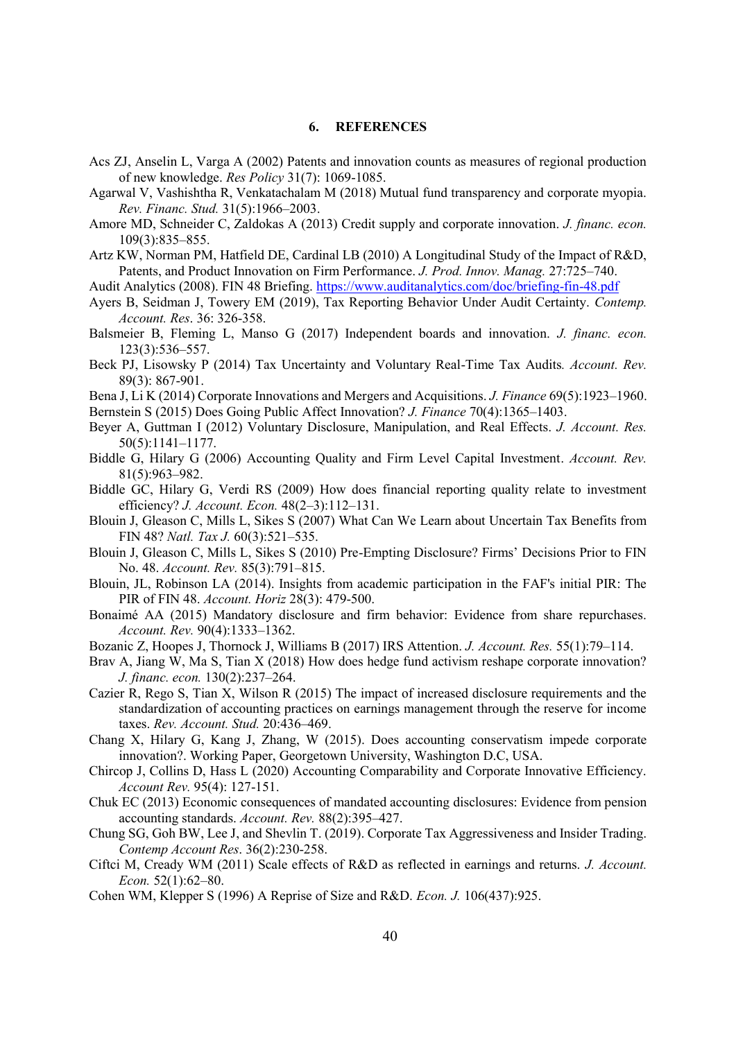#### **6. REFERENCES**

- Acs ZJ, Anselin L, Varga A (2002) Patents and innovation counts as measures of regional production of new knowledge. *Res Policy* 31(7): 1069-1085.
- Agarwal V, Vashishtha R, Venkatachalam M (2018) Mutual fund transparency and corporate myopia. *Rev. Financ. Stud.* 31(5):1966–2003.
- Amore MD, Schneider C, Zaldokas A (2013) Credit supply and corporate innovation. *J. financ. econ.* 109(3):835–855.
- Artz KW, Norman PM, Hatfield DE, Cardinal LB (2010) A Longitudinal Study of the Impact of R&D, Patents, and Product Innovation on Firm Performance. *J. Prod. Innov. Manag.* 27:725–740.
- Audit Analytics (2008). FIN 48 Briefing.<https://www.auditanalytics.com/doc/briefing-fin-48.pdf>
- Ayers B, Seidman J, Towery EM (2019), Tax Reporting Behavior Under Audit Certainty. *Contemp. Account. Res*. 36: 326-358.
- Balsmeier B, Fleming L, Manso G (2017) Independent boards and innovation. *J. financ. econ.* 123(3):536–557.
- Beck PJ, Lisowsky P (2014) Tax Uncertainty and Voluntary Real-Time Tax Audits*. Account. Rev.* 89(3): 867-901.
- Bena J, Li K (2014) Corporate Innovations and Mergers and Acquisitions. *J. Finance* 69(5):1923–1960.

Bernstein S (2015) Does Going Public Affect Innovation? *J. Finance* 70(4):1365–1403.

- Beyer A, Guttman I (2012) Voluntary Disclosure, Manipulation, and Real Effects. *J. Account. Res.* 50(5):1141–1177.
- Biddle G, Hilary G (2006) Accounting Quality and Firm Level Capital Investment. *Account. Rev.* 81(5):963–982.
- Biddle GC, Hilary G, Verdi RS (2009) How does financial reporting quality relate to investment efficiency? *J. Account. Econ.* 48(2–3):112–131.
- Blouin J, Gleason C, Mills L, Sikes S (2007) What Can We Learn about Uncertain Tax Benefits from FIN 48? *Natl. Tax J.* 60(3):521–535.
- Blouin J, Gleason C, Mills L, Sikes S (2010) Pre-Empting Disclosure? Firms' Decisions Prior to FIN No. 48. *Account. Rev.* 85(3):791–815.
- Blouin, JL, Robinson LA (2014). Insights from academic participation in the FAF's initial PIR: The PIR of FIN 48. *Account. Horiz* 28(3): 479-500.
- Bonaimé AA (2015) Mandatory disclosure and firm behavior: Evidence from share repurchases. *Account. Rev.* 90(4):1333–1362.
- Bozanic Z, Hoopes J, Thornock J, Williams B (2017) IRS Attention. *J. Account. Res.* 55(1):79–114.
- Brav A, Jiang W, Ma S, Tian X (2018) How does hedge fund activism reshape corporate innovation? *J. financ. econ.* 130(2):237–264.
- Cazier R, Rego S, Tian X, Wilson R (2015) The impact of increased disclosure requirements and the standardization of accounting practices on earnings management through the reserve for income taxes. *Rev. Account. Stud.* 20:436–469.
- Chang X, Hilary G, Kang J, Zhang, W (2015). Does accounting conservatism impede corporate innovation?. Working Paper, Georgetown University, Washington D.C, USA.
- Chircop J, Collins D, Hass L (2020) Accounting Comparability and Corporate Innovative Efficiency. *Account Rev.* 95(4): 127-151.
- Chuk EC (2013) Economic consequences of mandated accounting disclosures: Evidence from pension accounting standards. *Account. Rev.* 88(2):395–427.
- Chung SG, Goh BW, Lee J, and Shevlin T. (2019). Corporate Tax Aggressiveness and Insider Trading. *Contemp Account Res*. 36(2):230-258.
- Ciftci M, Cready WM (2011) Scale effects of R&D as reflected in earnings and returns. *J. Account. Econ.* 52(1):62–80.
- Cohen WM, Klepper S (1996) A Reprise of Size and R&D. *Econ. J.* 106(437):925.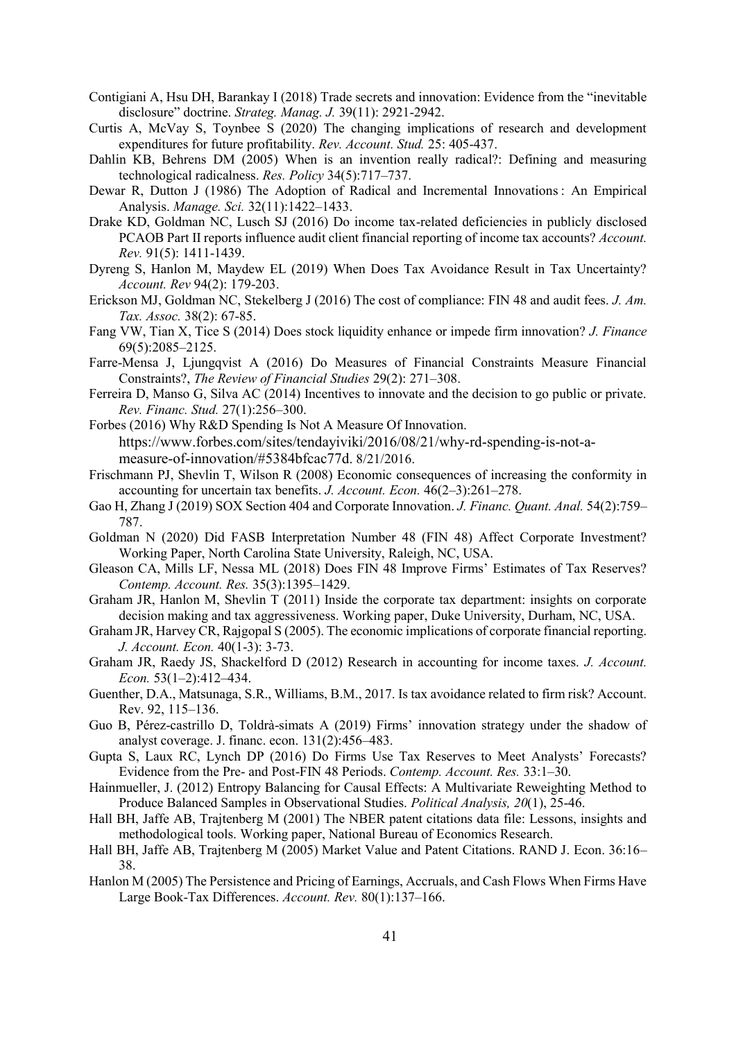- Contigiani A, Hsu DH, Barankay I (2018) Trade secrets and innovation: Evidence from the "inevitable disclosure" doctrine. *Strateg. Manag. J.* 39(11): 2921-2942.
- Curtis A, McVay S, Toynbee S (2020) The changing implications of research and development expenditures for future profitability. *Rev. Account. Stud.* 25: 405-437.
- Dahlin KB, Behrens DM (2005) When is an invention really radical?: Defining and measuring technological radicalness. *Res. Policy* 34(5):717–737.
- Dewar R, Dutton J (1986) The Adoption of Radical and Incremental Innovations : An Empirical Analysis. *Manage. Sci.* 32(11):1422–1433.
- Drake KD, Goldman NC, Lusch SJ (2016) Do income tax-related deficiencies in publicly disclosed PCAOB Part II reports influence audit client financial reporting of income tax accounts? *Account. Rev.* 91(5): 1411-1439.
- Dyreng S, Hanlon M, Maydew EL (2019) When Does Tax Avoidance Result in Tax Uncertainty? *Account. Rev* 94(2): 179-203.
- Erickson MJ, Goldman NC, Stekelberg J (2016) The cost of compliance: FIN 48 and audit fees. *J. Am. Tax. Assoc.* 38(2): 67-85.
- Fang VW, Tian X, Tice S (2014) Does stock liquidity enhance or impede firm innovation? *J. Finance* 69(5):2085–2125.
- Farre-Mensa J, Ljungqvist A (2016) Do Measures of Financial Constraints Measure Financial Constraints?, *The Review of Financial Studies* 29(2): 271–308.
- Ferreira D, Manso G, Silva AC (2014) Incentives to innovate and the decision to go public or private. *Rev. Financ. Stud.* 27(1):256–300.
- Forbes (2016) Why R&D Spending Is Not A Measure Of Innovation. [https://www.forbes.com/sites/tendayiviki/2016/08/21/why-rd-spending-is-not-a](https://www.forbes.com/sites/tendayiviki/2016/08/21/why-rd-spending-is-not-a-measure-of-innovation/#5384bfcac77d)[measure-of-innovation/#5384bfcac77d](https://www.forbes.com/sites/tendayiviki/2016/08/21/why-rd-spending-is-not-a-measure-of-innovation/#5384bfcac77d). 8/21/2016.
- Frischmann PJ, Shevlin T, Wilson R (2008) Economic consequences of increasing the conformity in accounting for uncertain tax benefits. *J. Account. Econ.* 46(2–3):261–278.
- Gao H, Zhang J (2019) SOX Section 404 and Corporate Innovation. *J. Financ. Quant. Anal.* 54(2):759– 787.
- Goldman N (2020) Did FASB Interpretation Number 48 (FIN 48) Affect Corporate Investment? Working Paper, North Carolina State University, Raleigh, NC, USA.
- Gleason CA, Mills LF, Nessa ML (2018) Does FIN 48 Improve Firms' Estimates of Tax Reserves? *Contemp. Account. Res.* 35(3):1395–1429.
- Graham JR, Hanlon M, Shevlin T (2011) Inside the corporate tax department: insights on corporate decision making and tax aggressiveness. Working paper, Duke University, Durham, NC, USA.
- Graham JR, Harvey CR, Rajgopal S (2005). The economic implications of corporate financial reporting. *J. Account. Econ.* 40(1-3): 3-73.
- Graham JR, Raedy JS, Shackelford D (2012) Research in accounting for income taxes. *J. Account. Econ.* 53(1–2):412–434.
- Guenther, D.A., Matsunaga, S.R., Williams, B.M., 2017. Is tax avoidance related to firm risk? Account. Rev. 92, 115–136.
- Guo B, Pérez-castrillo D, Toldrà-simats A (2019) Firms' innovation strategy under the shadow of analyst coverage. J. financ. econ. 131(2):456–483.
- Gupta S, Laux RC, Lynch DP (2016) Do Firms Use Tax Reserves to Meet Analysts' Forecasts? Evidence from the Pre- and Post-FIN 48 Periods. *Contemp. Account. Res.* 33:1–30.
- Hainmueller, J. (2012) Entropy Balancing for Causal Effects: A Multivariate Reweighting Method to Produce Balanced Samples in Observational Studies. *Political Analysis, 20*(1), 25-46.
- Hall BH, Jaffe AB, Trajtenberg M (2001) The NBER patent citations data file: Lessons, insights and methodological tools. Working paper, National Bureau of Economics Research.
- Hall BH, Jaffe AB, Trajtenberg M (2005) Market Value and Patent Citations. RAND J. Econ. 36:16– 38.
- Hanlon M (2005) The Persistence and Pricing of Earnings, Accruals, and Cash Flows When Firms Have Large Book-Tax Differences. *Account. Rev.* 80(1):137–166.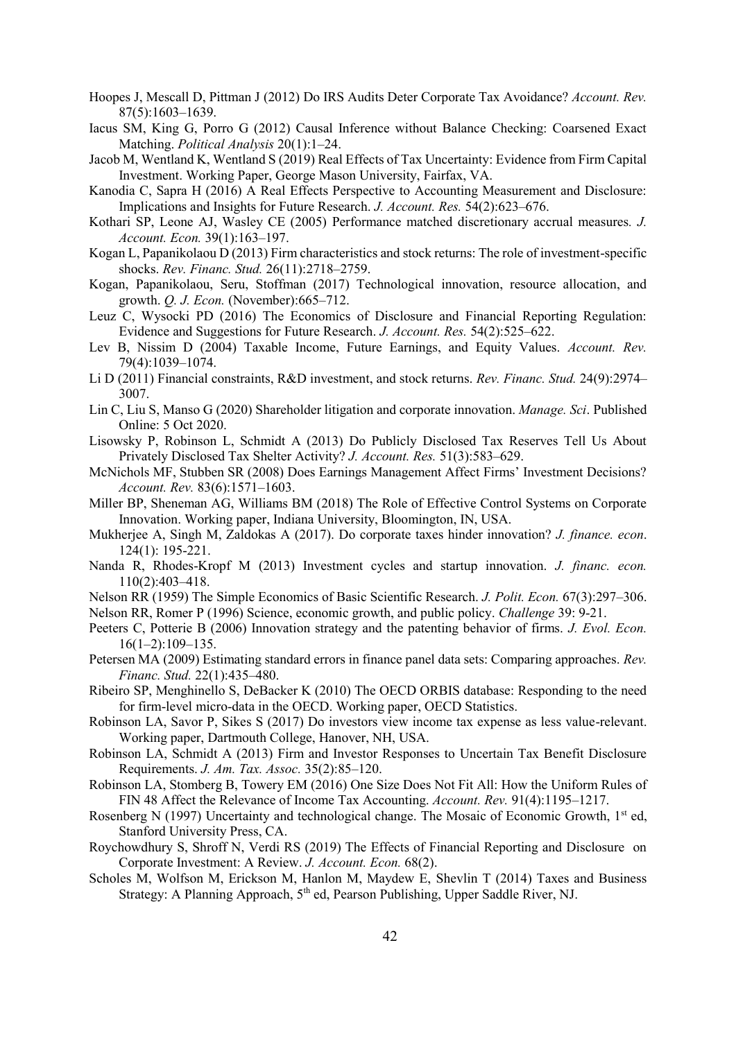- Hoopes J, Mescall D, Pittman J (2012) Do IRS Audits Deter Corporate Tax Avoidance? *Account. Rev.* 87(5):1603–1639.
- Iacus SM, King G, Porro G (2012) Causal Inference without Balance Checking: Coarsened Exact Matching. *Political Analysis* 20(1):1–24.
- Jacob M, Wentland K, Wentland S (2019) Real Effects of Tax Uncertainty: Evidence from Firm Capital Investment. Working Paper, George Mason University, Fairfax, VA.
- Kanodia C, Sapra H (2016) A Real Effects Perspective to Accounting Measurement and Disclosure: Implications and Insights for Future Research. *J. Account. Res.* 54(2):623–676.
- Kothari SP, Leone AJ, Wasley CE (2005) Performance matched discretionary accrual measures*. J. Account. Econ.* 39(1):163–197.
- Kogan L, Papanikolaou D (2013) Firm characteristics and stock returns: The role of investment-specific shocks. *Rev. Financ. Stud.* 26(11):2718–2759.
- Kogan, Papanikolaou, Seru, Stoffman (2017) Technological innovation, resource allocation, and growth. *Q. J. Econ.* (November):665–712.
- Leuz C, Wysocki PD (2016) The Economics of Disclosure and Financial Reporting Regulation: Evidence and Suggestions for Future Research. *J. Account. Res.* 54(2):525–622.
- Lev B, Nissim D (2004) Taxable Income, Future Earnings, and Equity Values. *Account. Rev.* 79(4):1039–1074.
- Li D (2011) Financial constraints, R&D investment, and stock returns. *Rev. Financ. Stud.* 24(9):2974– 3007.
- Lin C, Liu S, Manso G (2020) Shareholder litigation and corporate innovation. *Manage. Sci*. Published Online: 5 Oct 2020.
- Lisowsky P, Robinson L, Schmidt A (2013) Do Publicly Disclosed Tax Reserves Tell Us About Privately Disclosed Tax Shelter Activity? *J. Account. Res.* 51(3):583–629.
- McNichols MF, Stubben SR (2008) Does Earnings Management Affect Firms' Investment Decisions? *Account. Rev.* 83(6):1571–1603.
- Miller BP, Sheneman AG, Williams BM (2018) The Role of Effective Control Systems on Corporate Innovation. Working paper, Indiana University, Bloomington, IN, USA.
- Mukherjee A, Singh M, Zaldokas A (2017). Do corporate taxes hinder innovation? *J. finance. econ*. 124(1): 195-221.
- Nanda R, Rhodes-Kropf M (2013) Investment cycles and startup innovation. *J. financ. econ.* 110(2):403–418.
- Nelson RR (1959) The Simple Economics of Basic Scientific Research. *J. Polit. Econ.* 67(3):297–306.

Nelson RR, Romer P (1996) Science, economic growth, and public policy. *Challenge* 39: 9-21.

- Peeters C, Potterie B (2006) Innovation strategy and the patenting behavior of firms. *J. Evol. Econ.* 16(1–2):109–135.
- Petersen MA (2009) Estimating standard errors in finance panel data sets: Comparing approaches. *Rev. Financ. Stud.* 22(1):435–480.
- Ribeiro SP, Menghinello S, DeBacker K (2010) The OECD ORBIS database: Responding to the need for firm-level micro-data in the OECD. Working paper, OECD Statistics.
- Robinson LA, Savor P, Sikes S (2017) Do investors view income tax expense as less value-relevant. Working paper, Dartmouth College, Hanover, NH, USA.
- Robinson LA, Schmidt A (2013) Firm and Investor Responses to Uncertain Tax Benefit Disclosure Requirements. *J. Am. Tax. Assoc.* 35(2):85–120.
- Robinson LA, Stomberg B, Towery EM (2016) One Size Does Not Fit All: How the Uniform Rules of FIN 48 Affect the Relevance of Income Tax Accounting. *Account. Rev.* 91(4):1195–1217.
- Rosenberg N (1997) Uncertainty and technological change. The Mosaic of Economic Growth, 1<sup>st</sup> ed, Stanford University Press, CA.
- Roychowdhury S, Shroff N, Verdi RS (2019) The Effects of Financial Reporting and Disclosure on Corporate Investment: A Review. *J. Account. Econ.* 68(2).
- Scholes M, Wolfson M, Erickson M, Hanlon M, Maydew E, Shevlin T (2014) Taxes and Business Strategy: A Planning Approach, 5<sup>th</sup> ed, Pearson Publishing, Upper Saddle River, NJ.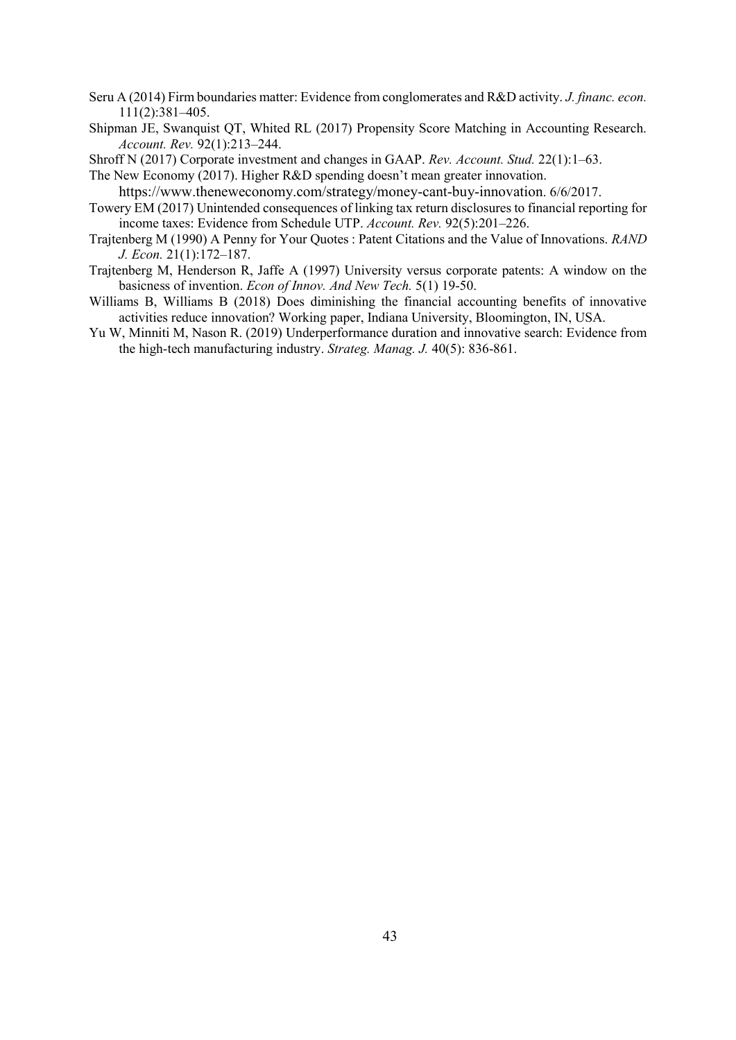- Seru A (2014) Firm boundaries matter: Evidence from conglomerates and R&D activity. *J. financ. econ.* 111(2):381–405.
- Shipman JE, Swanquist QT, Whited RL (2017) Propensity Score Matching in Accounting Research. *Account. Rev.* 92(1):213–244.
- Shroff N (2017) Corporate investment and changes in GAAP. *Rev. Account. Stud.* 22(1):1–63.

The New Economy (2017). Higher R&D spending doesn't mean greater innovation.

- <https://www.theneweconomy.com/strategy/money-cant-buy-innovation>. 6/6/2017.
- Towery EM (2017) Unintended consequences of linking tax return disclosures to financial reporting for income taxes: Evidence from Schedule UTP. *Account. Rev.* 92(5):201–226.
- Trajtenberg M (1990) A Penny for Your Quotes : Patent Citations and the Value of Innovations. *RAND J. Econ.* 21(1):172–187.
- Trajtenberg M, Henderson R, Jaffe A (1997) University versus corporate patents: A window on the basicness of invention. *Econ of Innov. And New Tech.* 5(1) 19-50.
- Williams B, Williams B (2018) Does diminishing the financial accounting benefits of innovative activities reduce innovation? Working paper, Indiana University, Bloomington, IN, USA.
- Yu W, Minniti M, Nason R. (2019) Underperformance duration and innovative search: Evidence from the high-tech manufacturing industry. *Strateg. Manag. J.* 40(5): 836-861.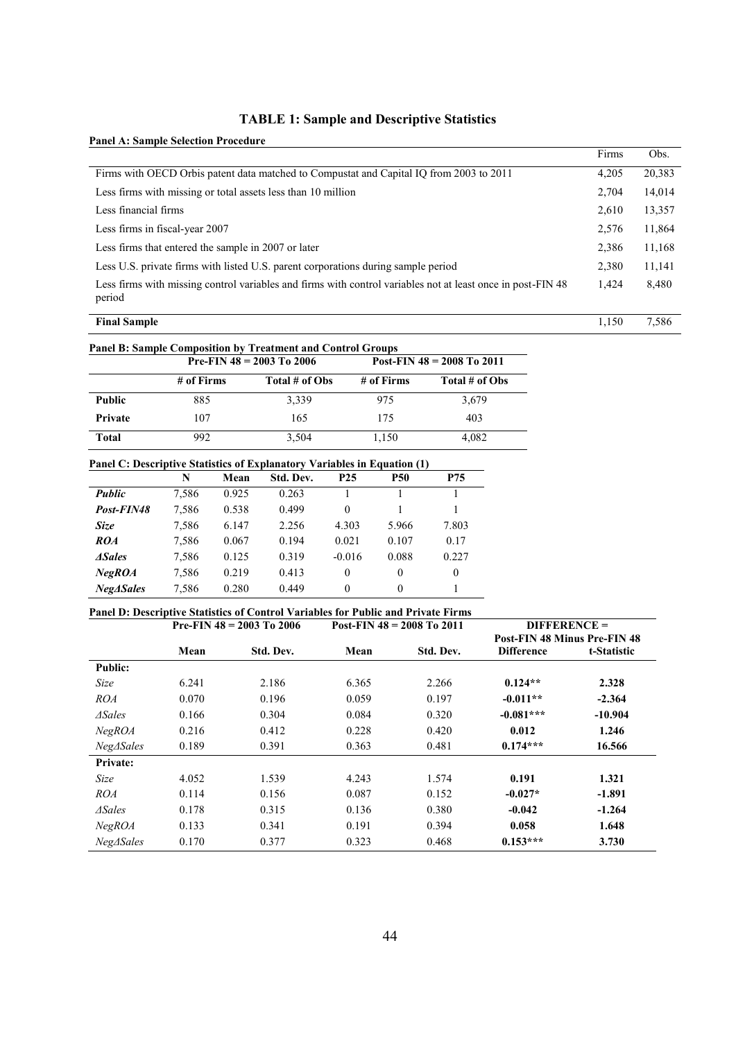# **TABLE 1: Sample and Descriptive Statistics**

| <b>Panel A: Sample Selection Procedure</b> |  |
|--------------------------------------------|--|
|--------------------------------------------|--|

|                                                                                                                       | Firms | Obs.   |
|-----------------------------------------------------------------------------------------------------------------------|-------|--------|
| Firms with OECD Orbis patent data matched to Compustat and Capital IO from 2003 to 2011                               | 4,205 | 20,383 |
| Less firms with missing or total assets less than 10 million                                                          | 2,704 | 14,014 |
| Less financial firms                                                                                                  | 2.610 | 13,357 |
| Less firms in fiscal-year 2007                                                                                        | 2,576 | 11,864 |
| Less firms that entered the sample in 2007 or later                                                                   | 2,386 | 11,168 |
| Less U.S. private firms with listed U.S. parent corporations during sample period                                     | 2.380 | 11,141 |
| Less firms with missing control variables and firms with control variables not at least once in post-FIN 48<br>period | 1,424 | 8,480  |
| <b>Final Sample</b>                                                                                                   | 1.150 | 7,586  |

| <b>Panel B: Sample Composition by Treatment and Control Groups</b> |            |                             |            |                                |  |  |  |
|--------------------------------------------------------------------|------------|-----------------------------|------------|--------------------------------|--|--|--|
|                                                                    |            | Pre-FIN $48 = 2003$ To 2006 |            | Post-FIN $48 = 2008$ To $2011$ |  |  |  |
|                                                                    | # of Firms | Total # of Obs              | # of Firms | Total # of Obs                 |  |  |  |
| <b>Public</b>                                                      | 885        | 3.339                       | 975        | 3.679                          |  |  |  |
| Private                                                            | 107        | 165                         | 175        | 403                            |  |  |  |
| Total                                                              | 992        | 3.504                       | 1.150      | 4.082                          |  |  |  |

#### **Panel C: Descriptive Statistics of Explanatory Variables in Equation (1)**

|               | N     | Mean  | Std. Dev. | P <sub>25</sub> | <b>P50</b> | P75      |
|---------------|-------|-------|-----------|-----------------|------------|----------|
| <b>Public</b> | 7,586 | 0.925 | 0.263     |                 |            |          |
| Post-FIN48    | 7,586 | 0.538 | 0.499     | $\theta$        |            |          |
| Size          | 7,586 | 6.147 | 2.256     | 4.303           | 5.966      | 7.803    |
| ROA           | 7,586 | 0.067 | 0.194     | 0.021           | 0.107      | 0.17     |
| <b>ASales</b> | 7,586 | 0.125 | 0.319     | $-0.016$        | 0.088      | 0.227    |
| NeqROA        | 7,586 | 0.219 | 0.413     | 0               | $\theta$   | $\theta$ |
| NeqASales     | 7,586 | 0.280 | 0.449     | $\Omega$        | $\Omega$   |          |

## **Panel D: Descriptive Statistics of Control Variables for Public and Private Firms**

|                   |       | Pre-FIN $48 = 2003$ To 2006 | <b>DIFFERENCE =</b><br>Post-FIN $48 = 2008$ To 2011 |           |                   |                                     |
|-------------------|-------|-----------------------------|-----------------------------------------------------|-----------|-------------------|-------------------------------------|
|                   |       |                             |                                                     |           |                   | <b>Post-FIN 48 Minus Pre-FIN 48</b> |
|                   | Mean  | Std. Dev.                   | Mean                                                | Std. Dev. | <b>Difference</b> | t-Statistic                         |
| <b>Public:</b>    |       |                             |                                                     |           |                   |                                     |
| Size              | 6.241 | 2.186                       | 6.365                                               | 2.266     | $0.124**$         | 2.328                               |
| ROA               | 0.070 | 0.196                       | 0.059                                               | 0.197     | $-0.011**$        | $-2.364$                            |
| $\Delta Sales$    | 0.166 | 0.304                       | 0.084                                               | 0.320     | $-0.081***$       | $-10.904$                           |
| NegROA            | 0.216 | 0.412                       | 0.228                                               | 0.420     | 0.012             | 1.246                               |
| $Neg\Delta Sales$ | 0.189 | 0.391                       | 0.363                                               | 0.481     | $0.174***$        | 16.566                              |
| Private:          |       |                             |                                                     |           |                   |                                     |
| Size              | 4.052 | 1.539                       | 4.243                                               | 1.574     | 0.191             | 1.321                               |
| ROA               | 0.114 | 0.156                       | 0.087                                               | 0.152     | $-0.027*$         | $-1.891$                            |
| $\Delta Sales$    | 0.178 | 0.315                       | 0.136                                               | 0.380     | $-0.042$          | $-1.264$                            |
| NegROA            | 0.133 | 0.341                       | 0.191                                               | 0.394     | 0.058             | 1.648                               |
| NegASales         | 0.170 | 0.377                       | 0.323                                               | 0.468     | $0.153***$        | 3.730                               |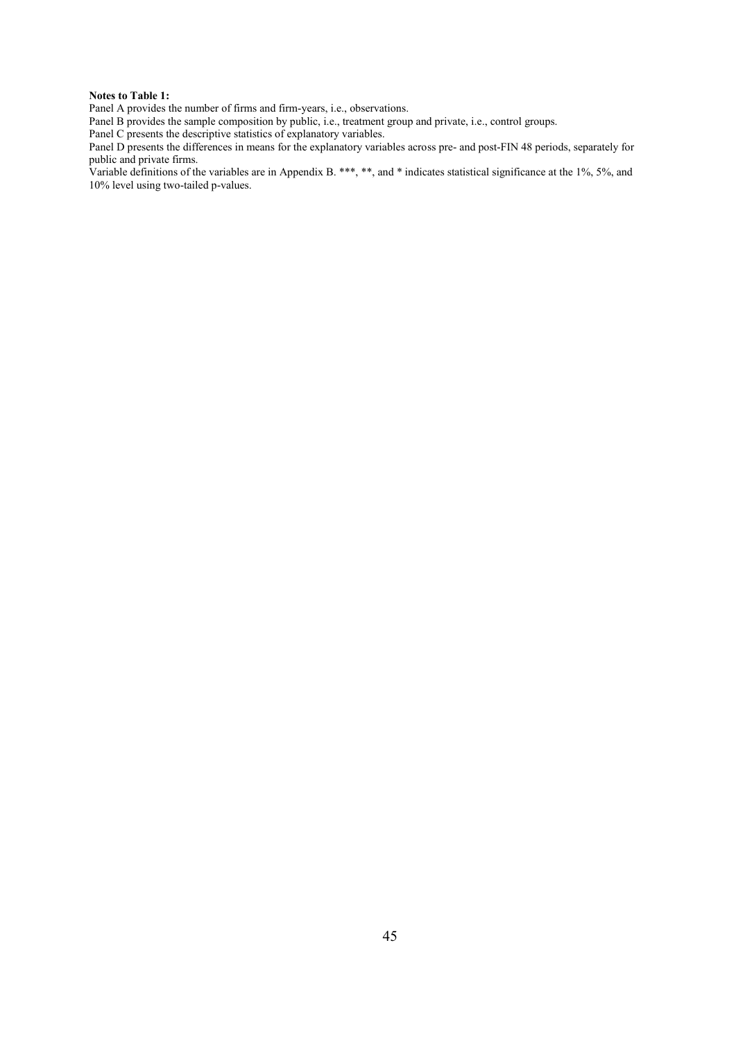#### **Notes to Table 1:**

Panel A provides the number of firms and firm-years, i.e., observations.

Panel B provides the sample composition by public, i.e., treatment group and private, i.e., control groups.

Panel C presents the descriptive statistics of explanatory variables.

Panel D presents the differences in means for the explanatory variables across pre- and post-FIN 48 periods, separately for public and private firms.

Variable definitions of the variables are in Appendix B. \*\*\*, \*\*, and \* indicates statistical significance at the 1%, 5%, and 10% level using two-tailed p-values.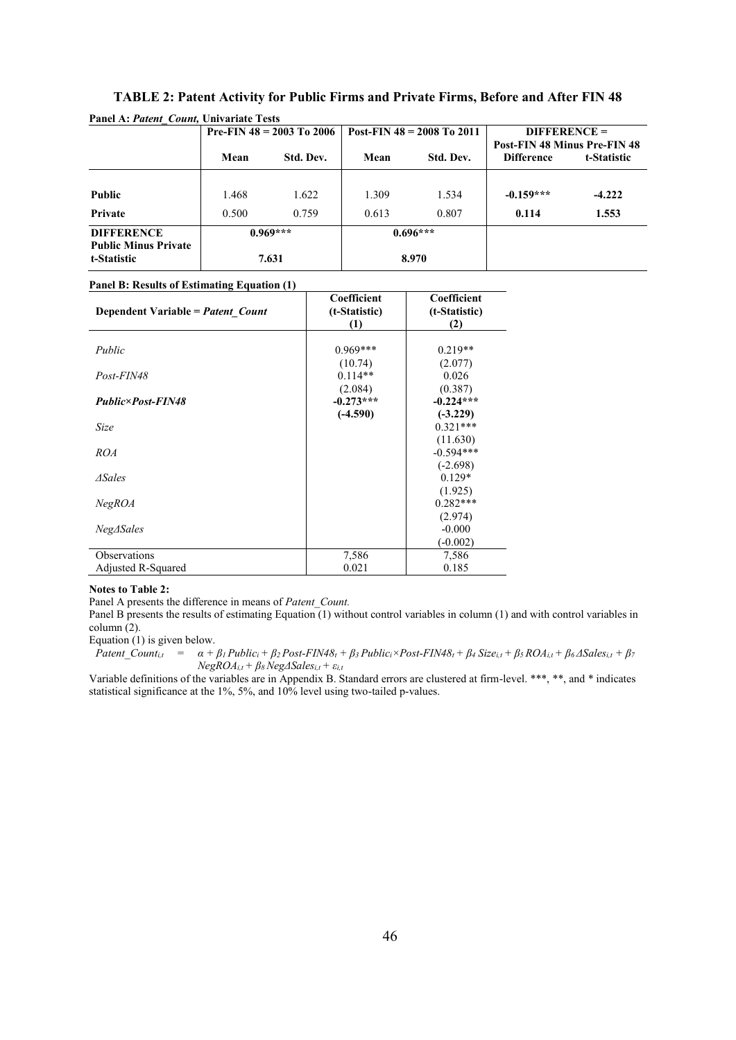|                                            | Pre-FIN $48 = 2003$ To $2006$ |           | Post-FIN $48 = 2008$ To $2011$ |           | $DIFFERENCE =$<br><b>Post-FIN 48 Minus Pre-FIN 48</b> |             |
|--------------------------------------------|-------------------------------|-----------|--------------------------------|-----------|-------------------------------------------------------|-------------|
|                                            | Mean                          | Std. Dev. | Mean                           | Std. Dev. | <b>Difference</b>                                     | t-Statistic |
| <b>Public</b>                              | 1.468                         | 1.622     | 1.309                          | 1.534     | $-0.159***$                                           | $-4.222$    |
| Private                                    | 0.500                         | 0.759     | 0.613                          | 0.807     | 0.114                                                 | 1.553       |
| <b>DIFFERENCE</b>                          | $0.969***$                    |           | $0.696***$                     |           |                                                       |             |
| <b>Public Minus Private</b><br>t-Statistic |                               | 7.631     | 8.970                          |           |                                                       |             |

# **TABLE 2: Patent Activity for Public Firms and Private Firms, Before and After FIN 48**

|  |  | Panel B: Results of Estimating Equation (1) |  |  |  |
|--|--|---------------------------------------------|--|--|--|
|--|--|---------------------------------------------|--|--|--|

| Dependent Variable = Patent Count | Coefficient<br>(t-Statistic) | Coefficient<br>(t-Statistic) |
|-----------------------------------|------------------------------|------------------------------|
|                                   | (1)                          | (2)                          |
|                                   |                              |                              |
| Public                            | $0.969***$                   | $0.219**$                    |
|                                   | (10.74)                      | (2.077)                      |
| Post-FIN48                        | $0.114**$                    | 0.026                        |
|                                   | (2.084)                      | (0.387)                      |
| <b>Public×Post-FIN48</b>          | $-0.273***$                  | $-0.224***$                  |
|                                   | $(-4.590)$                   | $(-3.229)$                   |
| Size                              |                              | $0.321***$                   |
|                                   |                              | (11.630)                     |
| <b>ROA</b>                        |                              | $-0.594***$                  |
|                                   |                              | $(-2.698)$                   |
| <i>ASales</i>                     |                              | $0.129*$                     |
|                                   |                              | (1.925)                      |
| NegROA                            |                              | $0.282***$                   |
|                                   |                              | (2.974)                      |
| $Neg\Delta Sales$                 |                              | $-0.000$                     |
|                                   |                              | $(-0.002)$                   |
| Observations                      | 7,586                        | 7,586                        |
| Adjusted R-Squared                | 0.021                        | 0.185                        |

#### **Notes to Table 2:**

Panel A presents the difference in means of *Patent\_Count.*

Panel B presents the results of estimating Equation  $(1)$  without control variables in column (1) and with control variables in column (2).

Equation (1) is given below.

Patent\_Count<sub>i,t</sub> =  $\alpha + \beta_1$  Public<sub>i</sub> +  $\beta_2$  Post-FIN48<sub>t</sub> +  $\beta_3$  Public<sub>i</sub> × Post-FIN48<sub>t</sub> +  $\beta_4$  Size<sub>i,t</sub> +  $\beta_5$  ROA<sub>i,t</sub> +  $\beta_6$   $\triangle$ Sales<sub>i,t</sub> +  $\beta_7$ *NegROAi,t + β8 NegΔSalesi,t + εi,t*

Variable definitions of the variables are in Appendix B. Standard errors are clustered at firm-level. \*\*\*, \*\*, and \* indicates statistical significance at the 1%, 5%, and 10% level using two-tailed p-values.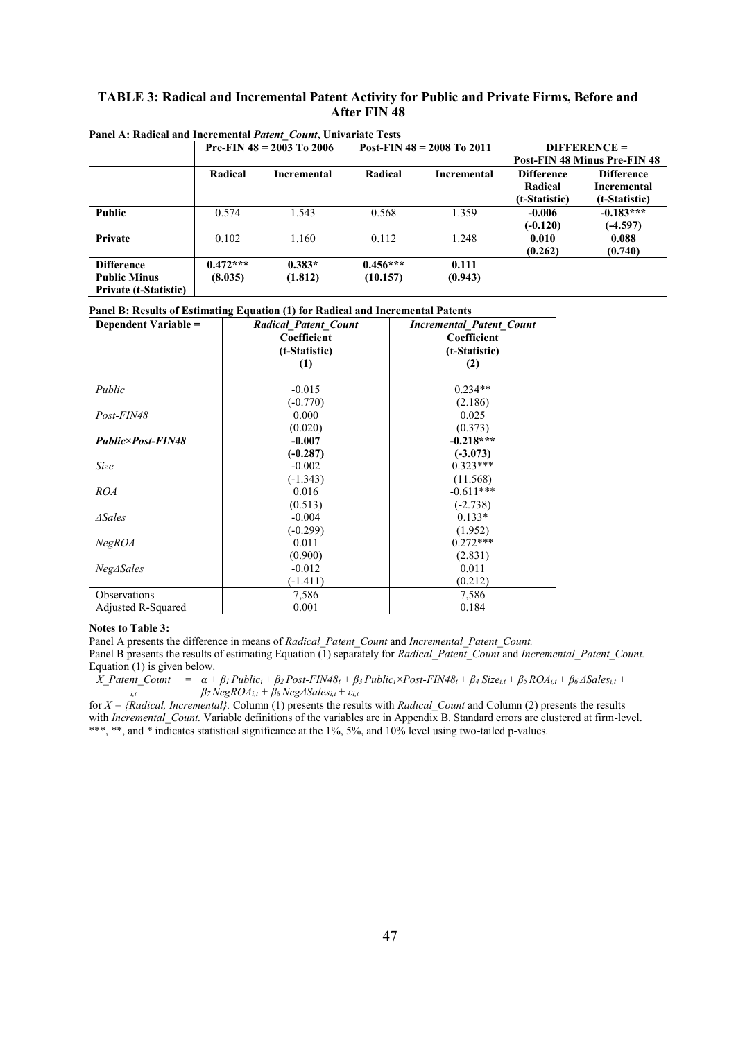### **TABLE 3: Radical and Incremental Patent Activity for Public and Private Firms, Before and After FIN 48**

|                                                                          |                       | Pre-FIN $48 = 2003$ To 2006 |                        | Post-FIN $48 = 2008$ To 2011 |                                               | $DIFFERENCE =$                                    |  |
|--------------------------------------------------------------------------|-----------------------|-----------------------------|------------------------|------------------------------|-----------------------------------------------|---------------------------------------------------|--|
|                                                                          |                       |                             |                        |                              | <b>Post-FIN 48 Minus Pre-FIN 48</b>           |                                                   |  |
|                                                                          | Radical               | Incremental                 | Radical                | Incremental                  | <b>Difference</b><br>Radical<br>(t-Statistic) | <b>Difference</b><br>Incremental<br>(t-Statistic) |  |
| <b>Public</b>                                                            | 0.574                 | 1.543                       | 0.568                  | 1.359                        | $-0.006$<br>$(-0.120)$                        | $-0.183***$<br>$(-4.597)$                         |  |
| Private                                                                  | 0.102                 | 1.160                       | 0.112                  | 1.248                        | 0.010<br>(0.262)                              | 0.088<br>(0.740)                                  |  |
| <b>Difference</b><br><b>Public Minus</b><br><b>Private (t-Statistic)</b> | $0.472***$<br>(8.035) | $0.383*$<br>(1.812)         | $0.456***$<br>(10.157) | 0.111<br>(0.943)             |                                               |                                                   |  |

**Panel A: Radical and Incremental** *Patent\_Count***, Univariate Tests**

#### **Panel B: Results of Estimating Equation (1) for Radical and Incremental Patents**

| Dependent Variable =     | <b>Radical Patent Count</b> | <b>Incremental Patent Count</b> |
|--------------------------|-----------------------------|---------------------------------|
|                          | Coefficient                 | Coefficient                     |
|                          | (t-Statistic)               | (t-Statistic)                   |
|                          | (1)                         | (2)                             |
|                          |                             |                                 |
| Public                   | $-0.015$                    | $0.234**$                       |
|                          | $(-0.770)$                  | (2.186)                         |
| Post-FIN48               | 0.000                       | 0.025                           |
|                          | (0.020)                     | (0.373)                         |
| <b>Public×Post-FIN48</b> | $-0.007$                    | $-0.218***$                     |
|                          | $(-0.287)$                  | $(-3.073)$                      |
| Size                     | $-0.002$                    | $0.323***$                      |
|                          | $(-1.343)$                  | (11.568)                        |
| ROA                      | 0.016                       | $-0.611***$                     |
|                          | (0.513)                     | $(-2.738)$                      |
| $\Delta$ Sales           | $-0.004$                    | $0.133*$                        |
|                          | $(-0.299)$                  | (1.952)                         |
| NegROA                   | 0.011                       | $0.272***$                      |
|                          | (0.900)                     | (2.831)                         |
| $Neg\Delta Sales$        | $-0.012$                    | 0.011                           |
|                          | $(-1.411)$                  | (0.212)                         |
| Observations             | 7,586                       | 7,586                           |
| Adjusted R-Squared       | 0.001                       | 0.184                           |

#### **Notes to Table 3:**

Panel A presents the difference in means of *Radical\_Patent\_Count* and *Incremental\_Patent\_Count.*

Panel B presents the results of estimating Equation (1) separately for *Radical\_Patent\_Count* and *Incremental\_Patent\_Count.* Equation (1) is given below.

 $X$ \_Patent\_Count =  $\alpha + \beta_1$ Public<sub>i</sub> +  $\beta_2$ Post-FIN48<sub>t</sub> +  $\beta_3$ Public<sub>i</sub> ×Post-FIN48<sub>t</sub> +  $\beta_4$  Size<sub>i,t</sub> +  $\beta_5$  ROA<sub>i,t</sub> +  $\beta_6$   $\Delta$ Sales<sub>i,t</sub> + *i,t β7 NegROAi,t + β8 NegΔSalesi,t + εi,t*

for  $X = \{Radical, \text{\}$  Incremental}. Column (1) presents the results with *Radical Count* and Column (2) presents the results with *Incremental Count*. Variable definitions of the variables are in Appendix B. Standard errors are clustered at firm-level. \*\*\*, \*\*, and \* indicates statistical significance at the 1%, 5%, and 10% level using two-tailed p-values.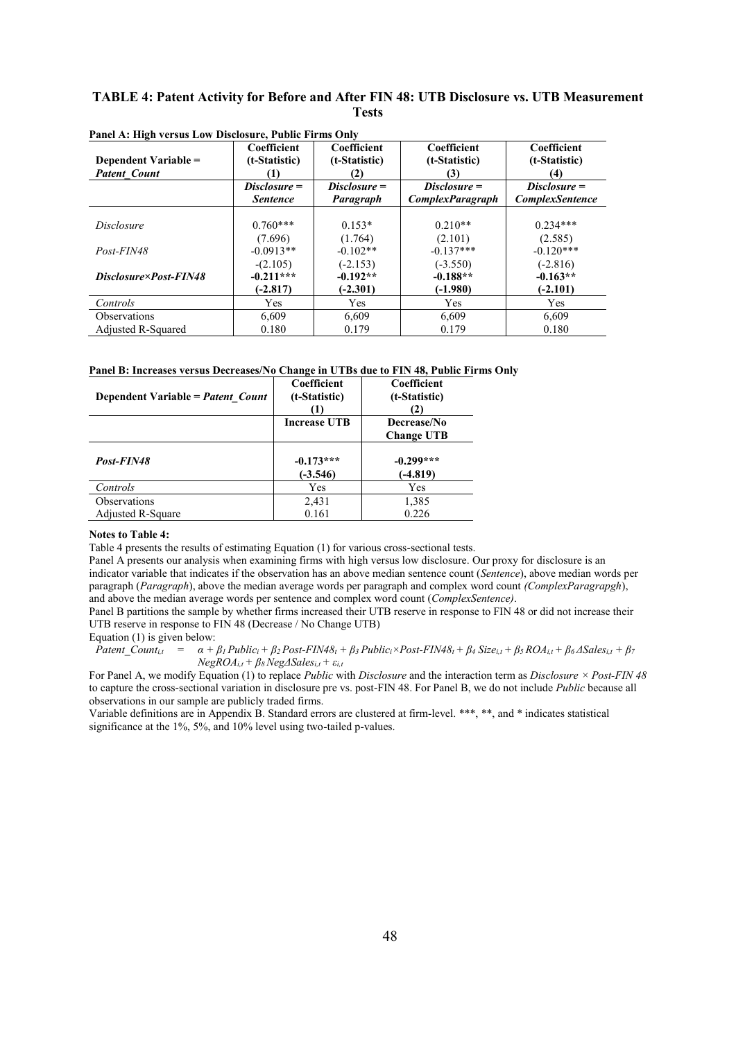### **TABLE 4: Patent Activity for Before and After FIN 48: UTB Disclosure vs. UTB Measurement Tests**

| Dependent Variable =<br><b>Patent Count</b> | Coefficient<br>(t-Statistic)<br>(1) | Coefficient<br>(t-Statistic)<br>(2) | Coefficient<br>(t-Statistic)<br>(3)       | Coefficient<br>(t-Statistic)<br>(4)      |
|---------------------------------------------|-------------------------------------|-------------------------------------|-------------------------------------------|------------------------------------------|
|                                             | $Disclosure =$<br><b>Sentence</b>   | $Disclosure =$<br>Paragraph         | $Disclosure =$<br><b>ComplexParagraph</b> | $Disclosure =$<br><b>ComplexSentence</b> |
| <i>Disclosure</i>                           | $0.760***$                          | $0.153*$                            | $0.210**$                                 | $0.234***$                               |
| Post-FIN48                                  | (7.696)<br>$-0.0913**$              | (1.764)<br>$-0.102**$               | (2.101)<br>$-0.137***$                    | (2.585)<br>$-0.120***$                   |
| Disclosure×Post-FIN48                       | $-(2.105)$<br>$-0.211***$           | $(-2.153)$<br>$-0.192**$            | $(-3.550)$<br>$-0.188**$                  | $(-2.816)$<br>$-0.163**$                 |
|                                             | $(-2.817)$                          | $(-2.301)$                          | $(-1.980)$                                | $(-2.101)$                               |
| Controls                                    | <b>Yes</b>                          | <b>Yes</b>                          | <b>Yes</b>                                | <b>Yes</b>                               |
| <b>Observations</b>                         | 6,609                               | 6.609                               | 6.609                                     | 6,609                                    |
| Adjusted R-Squared                          | 0.180                               | 0.179                               | 0.179                                     | 0.180                                    |

**Panel A: High versus Low Disclosure, Public Firms Only**

#### **Panel B: Increases versus Decreases/No Change in UTBs due to FIN 48, Public Firms Only**

| Dependent Variable = Patent Count | Coefficient<br>(t-Statistic) | Coefficient<br>(t-Statistic)<br>(2) |
|-----------------------------------|------------------------------|-------------------------------------|
|                                   | <b>Increase UTB</b>          | Decrease/No<br><b>Change UTB</b>    |
| Post-FIN48                        | $-0.173***$<br>$(-3.546)$    | $-0.299***$<br>$(-4.819)$           |
| Controls                          | Yes                          | Yes                                 |
| <b>Observations</b>               | 2,431                        | 1,385                               |
| Adjusted R-Square                 | 0.161                        | 0.226                               |

#### **Notes to Table 4:**

Table 4 presents the results of estimating Equation (1) for various cross-sectional tests.

Panel A presents our analysis when examining firms with high versus low disclosure. Our proxy for disclosure is an indicator variable that indicates if the observation has an above median sentence count (*Sentence*), above median words per paragraph (*Paragraph*), above the median average words per paragraph and complex word count *(ComplexParagrapgh*), and above the median average words per sentence and complex word count (*ComplexSentence)*.

Panel B partitions the sample by whether firms increased their UTB reserve in response to FIN 48 or did not increase their UTB reserve in response to FIN 48 (Decrease / No Change UTB)

Equation (1) is given below:

Patent Count<sub>i,1</sub> =  $\alpha + \beta_1$  Public<sub>i</sub> +  $\beta_2$  Post-FIN48<sub>t</sub> +  $\beta_3$  Public<sub>i</sub> × Post-FIN48<sub>t</sub> +  $\beta_4$  Size<sub>i,t</sub> +  $\beta_5$  ROA<sub>i,t</sub> +  $\beta_6$  ASales<sub>i,t</sub> +  $\beta_7$  $N$ *egROA*<sub>*i*</sub> $t$ </sub> + *B*<sub>8</sub> $N$ eg $\triangle$ Sales<sub>*i*</sub> $t$ </sub> +  $\varepsilon$ <sub>*it*</sub>

For Panel A, we modify Equation (1) to replace *Public* with *Disclosure* and the interaction term as *Disclosure × Post-FIN 48*  to capture the cross-sectional variation in disclosure pre vs. post-FIN 48. For Panel B, we do not include *Public* because all observations in our sample are publicly traded firms.

Variable definitions are in Appendix B. Standard errors are clustered at firm-level. \*\*\*, \*\*, and \* indicates statistical significance at the 1%, 5%, and 10% level using two-tailed p-values.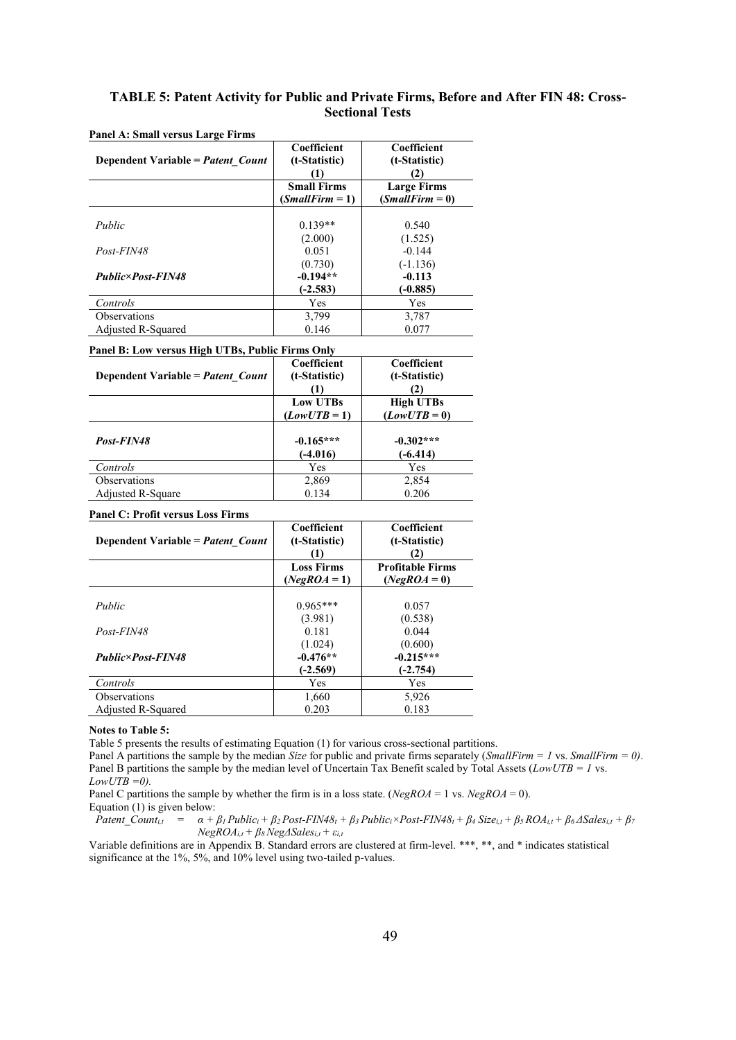### **TABLE 5: Patent Activity for Public and Private Firms, Before and After FIN 48: Cross-Sectional Tests**

| Dependent Variable = Patent Count | Coefficient<br>(t-Statistic)<br>(1)     | Coefficient<br>(t-Statistic)<br>$\mathbf{2}$ |  |
|-----------------------------------|-----------------------------------------|----------------------------------------------|--|
|                                   | <b>Small Firms</b><br>$(SmallFirm = 1)$ | <b>Large Firms</b><br>$(SmallFirm = 0)$      |  |
| Public                            | $0.139**$                               | 0.540                                        |  |
| $Post-FIN48$                      | (2.000)<br>0.051                        | (1.525)<br>$-0.144$                          |  |
| <b>Public×Post-FIN48</b>          | (0.730)<br>$-0.194**$                   | $(-1.136)$<br>$-0.113$                       |  |
| Controls                          | $(-2.583)$<br>Yes                       | $(-0.885)$<br>Yes                            |  |
| <b>Observations</b>               | 3,799                                   | 3,787                                        |  |
| Adjusted R-Squared                | 0.146                                   | 0.077                                        |  |

### **Panel A: Small versus Large Firms**

#### **Panel B: Low versus High UTBs, Public Firms Only**

| Dependent Variable = Patent Count | Coefficient<br>(t-Statistic)<br>(1) | Coefficient<br>(t-Statistic)<br>$\left( 2\right)$ |
|-----------------------------------|-------------------------------------|---------------------------------------------------|
|                                   | Low UTBs                            | <b>High UTBs</b>                                  |
|                                   | $(LowUTB=1)$                        | $(LowUTB=0)$                                      |
| Post-FIN48                        | $-0.165***$<br>$(-4.016)$           | $-0.302***$<br>$(-6.414)$                         |
| Controls                          | Yes                                 | Yes                                               |
| <b>Observations</b>               | 2,869                               | 2,854                                             |
| Adjusted R-Square                 | 0.134                               | 0.206                                             |

### **Panel C: Profit versus Loss Firms**

|                                          | Coefficient       | Coefficient             |
|------------------------------------------|-------------------|-------------------------|
| Dependent Variable = <i>Patent Count</i> | (t-Statistic)     | (t-Statistic)           |
|                                          | (1)               | (2)                     |
|                                          | <b>Loss Firms</b> | <b>Profitable Firms</b> |
|                                          | $(NegROA = 1)$    | $(NegROA=0)$            |
|                                          |                   |                         |
| Public                                   | $0.965***$        | 0.057                   |
|                                          | (3.981)           | (0.538)                 |
| Post-FIN48                               | 0.181             | 0.044                   |
|                                          | (1.024)           | (0.600)                 |
| <b>Public×Post-FIN48</b>                 | $-0.476**$        | $-0.215***$             |
|                                          | $(-2.569)$        | (-2.754)                |
| Controls                                 | Yes               | Yes                     |
| <b>Observations</b>                      | 1,660             | 5,926                   |
| Adjusted R-Squared                       | 0.203             | 0.183                   |

#### **Notes to Table 5:**

Table 5 presents the results of estimating Equation (1) for various cross-sectional partitions.

Panel A partitions the sample by the median *Size* for public and private firms separately (*SmallFirm = 1* vs. *SmallFirm = 0)*. Panel B partitions the sample by the median level of Uncertain Tax Benefit scaled by Total Assets (*LowUTB = 1* vs.  $LowUTB = 0$ .

Panel C partitions the sample by whether the firm is in a loss state. (*NegROA* = 1 vs. *NegROA* = 0). Equation (1) is given below:

Patent Count<sub>it</sub> =  $\alpha + \beta_1$  Public<sub>i</sub> +  $\beta_2$  Post-FIN48<sub>t</sub> +  $\beta_3$  Public<sub>i</sub> × Post-FIN48<sub>t</sub> +  $\beta_4$  Size<sub>i,t</sub> +  $\beta_5$  ROA<sub>i,t</sub> +  $\beta_6$   $\Delta$ Sales<sub>i,t</sub> +  $\beta_7$  $NegROA_{i,t} + \beta \frac{NegA}Sales_{i,t} + \varepsilon_{i,t}$ 

Variable definitions are in Appendix B. Standard errors are clustered at firm-level. \*\*\*, \*\*, and \* indicates statistical significance at the 1%, 5%, and 10% level using two-tailed p-values.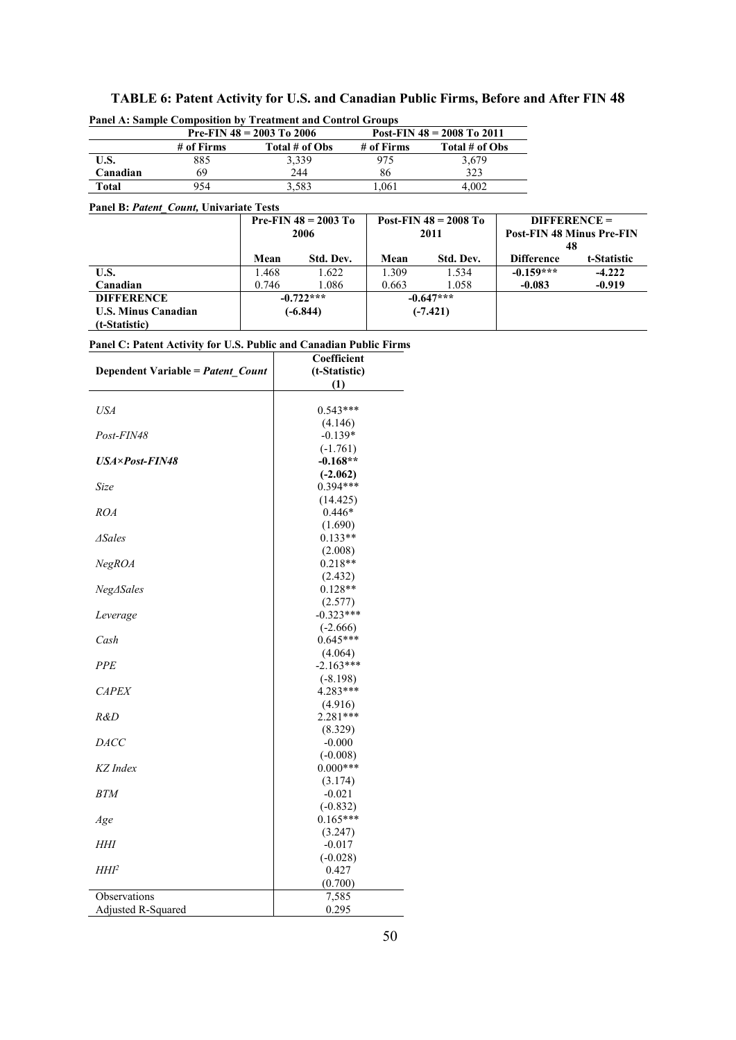| Panel A: Sample Composition by Treatment and Control Groups |            |                             |                                |                |  |  |
|-------------------------------------------------------------|------------|-----------------------------|--------------------------------|----------------|--|--|
|                                                             |            | Pre-FIN $48 = 2003$ To 2006 | Post-FIN $48 = 2008$ To $2011$ |                |  |  |
|                                                             | # of Firms | Total # of Obs              | # of Firms                     | Total # of Obs |  |  |
| U.S.                                                        | 885        | 3.339                       | 975                            | 3.679          |  |  |
| Canadian                                                    | 69         | 244                         | 86                             | 323            |  |  |
| Total                                                       | 954        | 3,583                       | .061                           | 4.002          |  |  |

# **TABLE 6: Patent Activity for U.S. and Canadian Public Firms, Before and After FIN 48** Panel A: Sample Composition by Treatment and Control Green

#### **Panel B:** *Patent\_Count,* **Univariate Tests**

|                            |       | <b>Pre-FIN <math>48 = 2003</math> To</b> |       | Post-FIN $48 = 2008$ To |                   | $DIFFERENCE =$                   |  |
|----------------------------|-------|------------------------------------------|-------|-------------------------|-------------------|----------------------------------|--|
|                            |       | 2006                                     |       | 2011                    |                   | <b>Post-FIN 48 Minus Pre-FIN</b> |  |
|                            |       |                                          |       |                         | 48                |                                  |  |
|                            | Mean  | Std. Dev.                                | Mean  | Std. Dev.               | <b>Difference</b> | t-Statistic                      |  |
| U.S.                       | .468  | 1.622                                    | 1.309 | 1.534                   | $-0.159***$       | $-4.222$                         |  |
| Canadian                   | 0.746 | 1.086                                    | 0.663 | 1.058                   | $-0.083$          | $-0.919$                         |  |
| <b>DIFFERENCE</b>          |       | $-0.722***$                              |       | $-0.647***$             |                   |                                  |  |
| <b>U.S. Minus Canadian</b> |       | $(-6.844)$                               |       | $(-7.421)$              |                   |                                  |  |
| (t-Statistic)              |       |                                          |       |                         |                   |                                  |  |

|  |  | Panel C: Patent Activity for U.S. Public and Canadian Public Firms |  |  |  |  |
|--|--|--------------------------------------------------------------------|--|--|--|--|
|--|--|--------------------------------------------------------------------|--|--|--|--|

|                                   | Coefficient   |  |  |
|-----------------------------------|---------------|--|--|
| Dependent Variable = Patent_Count | (t-Statistic) |  |  |
|                                   | (1)           |  |  |
|                                   |               |  |  |
| USA                               | $0.543***$    |  |  |
|                                   | (4.146)       |  |  |
| Post-FIN48                        | $-0.139*$     |  |  |
|                                   | $(-1.761)$    |  |  |
| <b>USA×Post-FIN48</b>             | $-0.168**$    |  |  |
|                                   | $(-2.062)$    |  |  |
| Size                              | $0.394***$    |  |  |
|                                   | (14.425)      |  |  |
| <b>ROA</b>                        | $0.446*$      |  |  |
|                                   | (1.690)       |  |  |
| <i><b>ASales</b></i>              | $0.133**$     |  |  |
|                                   | (2.008)       |  |  |
| NegROA                            | $0.218**$     |  |  |
|                                   | (2.432)       |  |  |
| Neg∆Sales                         | $0.128**$     |  |  |
|                                   | (2.577)       |  |  |
| Leverage                          | $-0.323***$   |  |  |
|                                   | $(-2.666)$    |  |  |
| Cash                              | $0.645***$    |  |  |
|                                   | (4.064)       |  |  |
| <b>PPE</b>                        | $-2.163***$   |  |  |
|                                   | $(-8.198)$    |  |  |
| <b>CAPEX</b>                      | 4.283***      |  |  |
|                                   | (4.916)       |  |  |
| R&D                               | $2.281***$    |  |  |
|                                   | (8.329)       |  |  |
| <b>DACC</b>                       | $-0.000$      |  |  |
|                                   | $(-0.008)$    |  |  |
| KZ Index                          | $0.000***$    |  |  |
|                                   | (3.174)       |  |  |
| <b>BTM</b>                        | $-0.021$      |  |  |
|                                   | $(-0.832)$    |  |  |
| Age                               | $0.165***$    |  |  |
|                                   | (3.247)       |  |  |
| HHI                               | $-0.017$      |  |  |
|                                   | $(-0.028)$    |  |  |
| HHI <sup>2</sup>                  | 0.427         |  |  |
|                                   | (0.700)       |  |  |
| Observations                      | 7,585         |  |  |
| Adjusted R-Squared                | 0.295         |  |  |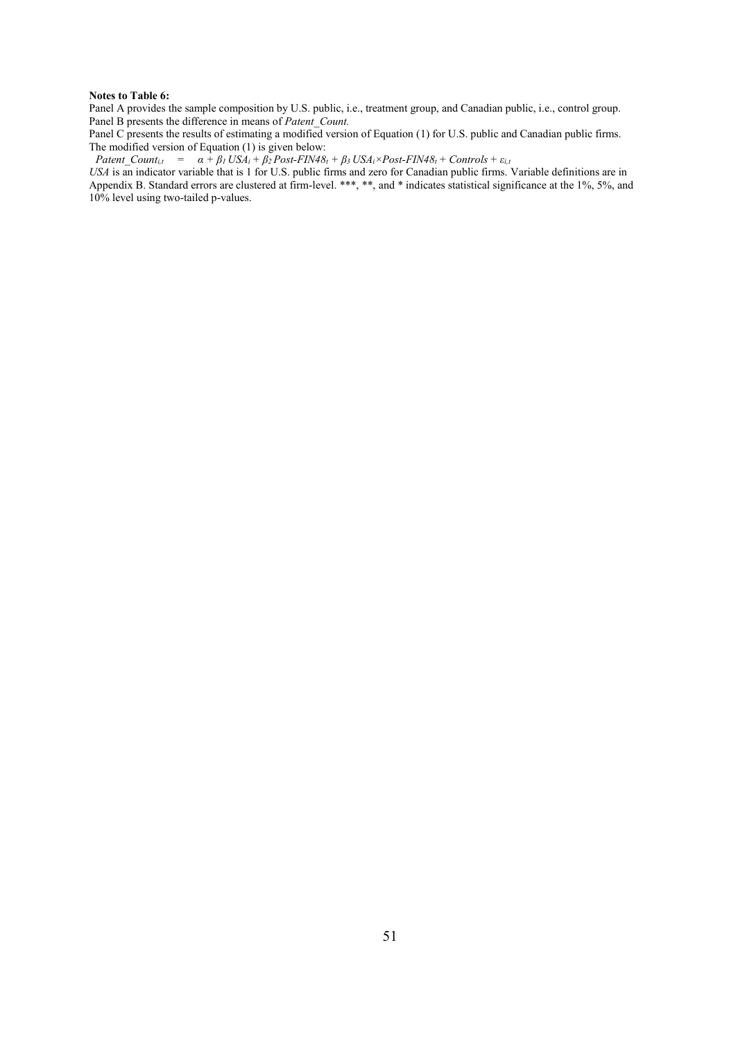#### **Notes to Table 6:**

Panel A provides the sample composition by U.S. public, i.e., treatment group, and Canadian public, i.e., control group. Panel B presents the difference in means of *Patent Count*.

Panel C presents the results of estimating a modified version of Equation (1) for U.S. public and Canadian public firms. The modified version of Equation (1) is given below:

Patent Count<sub>i,t</sub> =  $\alpha + \beta_1 \text{USA}_i + \beta_2 \text{Post-FIN48}_t + \beta_3 \text{USA}_i \times \text{Post-FIN48}_t + \text{Controls} + \varepsilon_{i,i}$ 

*USA* is an indicator variable that is 1 for U.S. public firms and zero for Canadian public firms. Variable definitions are in Appendix B. Standard errors are clustered at firm-level. \*\*\*, \*\*, and \* indicates statistical significance at the 1%, 5%, and 10% level using two-tailed p-values.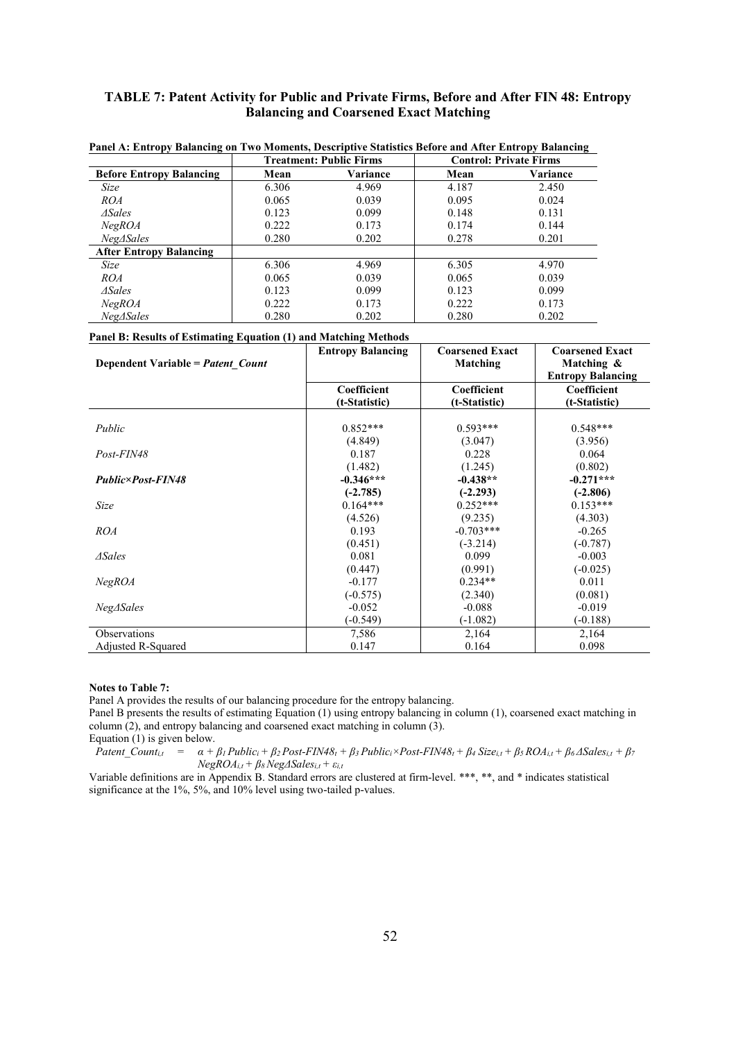### **TABLE 7: Patent Activity for Public and Private Firms, Before and After FIN 48: Entropy Balancing and Coarsened Exact Matching**

|                                 | <u>110, Best part e Smillers Berore and river Binit op J Banneing</u><br><b>Treatment: Public Firms</b> |          | <b>Control: Private Firms</b> |          |
|---------------------------------|---------------------------------------------------------------------------------------------------------|----------|-------------------------------|----------|
| <b>Before Entropy Balancing</b> | Mean                                                                                                    | Variance | Mean                          | Variance |
| Size                            | 6.306                                                                                                   | 4.969    | 4.187                         | 2.450    |
| ROA                             | 0.065                                                                                                   | 0.039    | 0.095                         | 0.024    |
| $\Delta$ Sales                  | 0.123                                                                                                   | 0.099    | 0.148                         | 0.131    |
| NegROA                          | 0.222                                                                                                   | 0.173    | 0.174                         | 0.144    |
| Neg∆Sales                       | 0.280                                                                                                   | 0.202    | 0.278                         | 0.201    |
| <b>After Entropy Balancing</b>  |                                                                                                         |          |                               |          |
| Size                            | 6.306                                                                                                   | 4.969    | 6.305                         | 4.970    |
| <i>ROA</i>                      | 0.065                                                                                                   | 0.039    | 0.065                         | 0.039    |
| $\triangle$ Sales               | 0.123                                                                                                   | 0.099    | 0.123                         | 0.099    |
| NegROA                          | 0.222                                                                                                   | 0.173    | 0.222                         | 0.173    |
| Neg∆Sales                       | 0.280                                                                                                   | 0.202    | 0.280                         | 0.202    |

**Panel A: Entropy Balancing on Two Moments, Descriptive Statistics Before and After Entropy Balancing**

#### **Panel B: Results of Estimating Equation (1) and Matching Methods**

| Dependent Variable = Patent Count | <b>Entropy Balancing</b> | <b>Coarsened Exact</b><br>Matching | <b>Coarsened Exact</b><br>Matching &<br><b>Entropy Balancing</b> |
|-----------------------------------|--------------------------|------------------------------------|------------------------------------------------------------------|
|                                   | Coefficient              | Coefficient                        | Coefficient                                                      |
|                                   | (t-Statistic)            | (t-Statistic)                      | (t-Statistic)                                                    |
|                                   |                          |                                    |                                                                  |
| Public                            | $0.852***$               | $0.593***$                         | $0.548***$                                                       |
|                                   | (4.849)                  | (3.047)                            | (3.956)                                                          |
| Post-FIN48                        | 0.187                    | 0.228                              | 0.064                                                            |
|                                   | (1.482)                  | (1.245)                            | (0.802)                                                          |
| Public×Post-FIN48                 | $-0.346***$              | $-0.438**$                         | $-0.271***$                                                      |
|                                   | $(-2.785)$               | $(-2.293)$                         | $(-2.806)$                                                       |
| Size                              | $0.164***$               | $0.252***$                         | $0.153***$                                                       |
|                                   | (4.526)                  | (9.235)                            | (4.303)                                                          |
| <b>ROA</b>                        | 0.193                    | $-0.703***$                        | $-0.265$                                                         |
|                                   | (0.451)                  | $(-3.214)$                         | $(-0.787)$                                                       |
| $\Delta$ Sales                    | 0.081                    | 0.099                              | $-0.003$                                                         |
|                                   | (0.447)                  | (0.991)                            | $(-0.025)$                                                       |
| NegROA                            | $-0.177$                 | $0.234**$                          | 0.011                                                            |
|                                   | $(-0.575)$               | (2.340)                            | (0.081)                                                          |
| $Neg\Delta Sales$                 | $-0.052$                 | $-0.088$                           | $-0.019$                                                         |
|                                   | $-0.549$                 | $(-1.082)$                         | $(-0.188)$                                                       |
| Observations                      | 7,586                    | 2,164                              | 2,164                                                            |
| Adjusted R-Squared                | 0.147                    | 0.164                              | 0.098                                                            |

#### **Notes to Table 7:**

Panel A provides the results of our balancing procedure for the entropy balancing.

Panel B presents the results of estimating Equation (1) using entropy balancing in column (1), coarsened exact matching in column (2), and entropy balancing and coarsened exact matching in column (3).

Equation (1) is given below.<br>*Patent Count<sub>it</sub>* =  $\alpha$  +  $\alpha + \beta_1$  Public<sub>i</sub> +  $\beta_2$  Post-FIN48<sub>t</sub> +  $\beta_3$  Public<sub>i</sub> × Post-FIN48<sub>t</sub> +  $\beta_4$  Size<sub>i,t</sub> +  $\beta_5$  ROA<sub>i,t</sub> +  $\beta_6$   $\triangle$ Sales<sub>i,t</sub> +  $\beta_7$  $NegROA_{i,t} + \beta s \overset{\prime}{N}eg\Delta Sales_{i,t} + \varepsilon_{i,t}$ 

Variable definitions are in Appendix B. Standard errors are clustered at firm-level. \*\*\*, \*\*, and \* indicates statistical significance at the 1%, 5%, and 10% level using two-tailed p-values.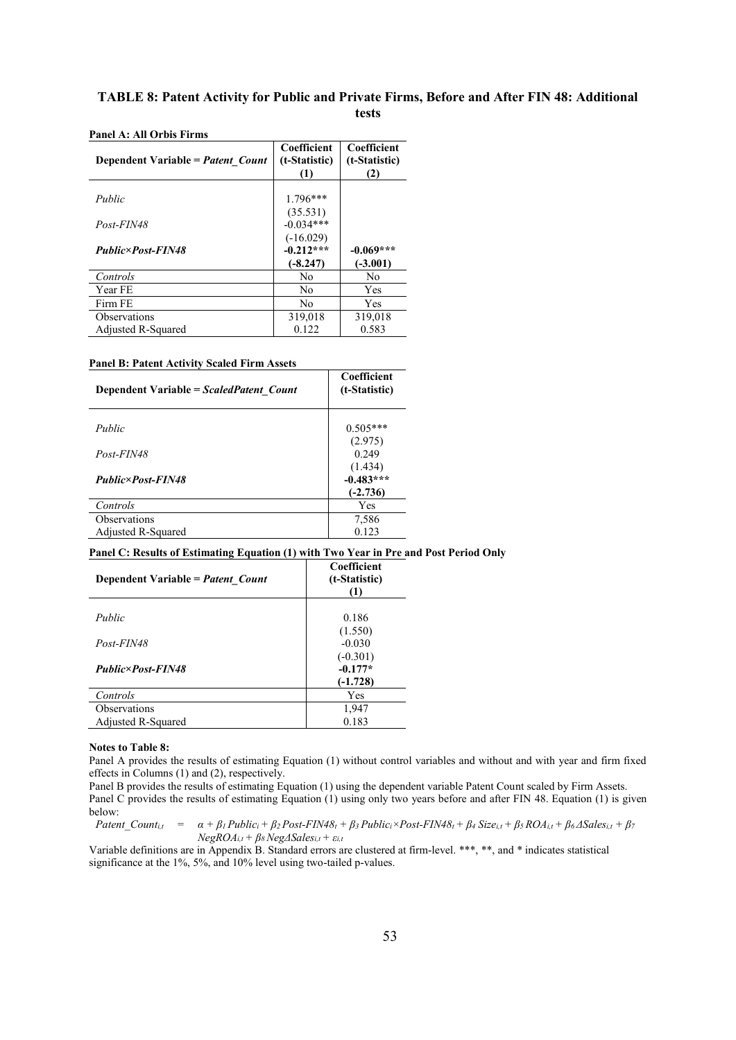### **TABLE 8: Patent Activity for Public and Private Firms, Before and After FIN 48: Additional tests**

| Dependent Variable = Patent Count | Coefficient<br>(t-Statistic)<br>(1) | Coefficient<br>(t-Statistic)<br>(2) |
|-----------------------------------|-------------------------------------|-------------------------------------|
| Public                            | $1.796***$                          |                                     |
|                                   | (35.531)                            |                                     |
| Post-FIN48                        | $-0.034***$                         |                                     |
|                                   | $(-16.029)$                         |                                     |
| <b>Public×Post-FIN48</b>          | $-0.212***$                         | $-0.069***$                         |
|                                   | $(-8.247)$                          | $(-3.001)$                          |
| Controls                          | No                                  | No                                  |
| Year FE                           | No                                  | Yes                                 |
| Firm FE                           | No                                  | <b>Yes</b>                          |
| <b>Observations</b>               | 319,018                             | 319,018                             |
| Adjusted R-Squared                | 0.122                               | 0.583                               |

**Panel A: All Orbis Firms**

#### **Panel B: Patent Activity Scaled Firm Assets**

| Dependent Variable = ScaledPatent Count | Coefficient<br>(t-Statistic)         |
|-----------------------------------------|--------------------------------------|
| Public                                  | $0.505***$                           |
| Post-FIN48                              | (2.975)<br>0.249                     |
| Public×Post-FIN48                       | (1.434)<br>$-0.483***$<br>$(-2.736)$ |
| Controls                                | Yes                                  |
| Observations<br>Adjusted R-Squared      | 7,586<br>0.123                       |

#### **Panel C: Results of Estimating Equation (1) with Two Year in Pre and Post Period Only**

| Dependent Variable = Patent Count | Coefficient<br>(t-Statistic)<br>(1) |
|-----------------------------------|-------------------------------------|
| Public                            | 0.186                               |
|                                   | (1.550)                             |
| Post-FIN48                        | $-0.030$                            |
|                                   | $(-0.301)$                          |
| <b>Public×Post-FIN48</b>          | $-0.177*$                           |
|                                   | $(-1.728)$                          |
| Controls                          | Yes                                 |
| <b>Observations</b>               | 1,947                               |
| Adjusted R-Squared                | 0.183                               |

#### **Notes to Table 8:**

Panel A provides the results of estimating Equation (1) without control variables and without and with year and firm fixed effects in Columns (1) and (2), respectively.

Panel B provides the results of estimating Equation (1) using the dependent variable Patent Count scaled by Firm Assets. Panel C provides the results of estimating Equation (1) using only two years before and after FIN 48. Equation (1) is given below:

Patent Count<sub>i,1</sub> =  $\alpha + \beta_1$  Public<sub>i</sub> +  $\beta_2$  Post-FIN48<sub>t</sub> +  $\beta_3$  Public<sub>i</sub> × Post-FIN48<sub>t</sub> +  $\beta_4$  Size<sub>i,t</sub> +  $\beta_5$  ROA<sub>i,t</sub> +  $\beta_6$  ASales<sub>i,t</sub> +  $\beta_7$  $NegROA_{i,t} + \beta_s NegASales_{i,t} + \varepsilon_{i,t}$ 

Variable definitions are in Appendix B. Standard errors are clustered at firm-level. \*\*\*, \*\*, and \* indicates statistical significance at the 1%, 5%, and 10% level using two-tailed p-values.